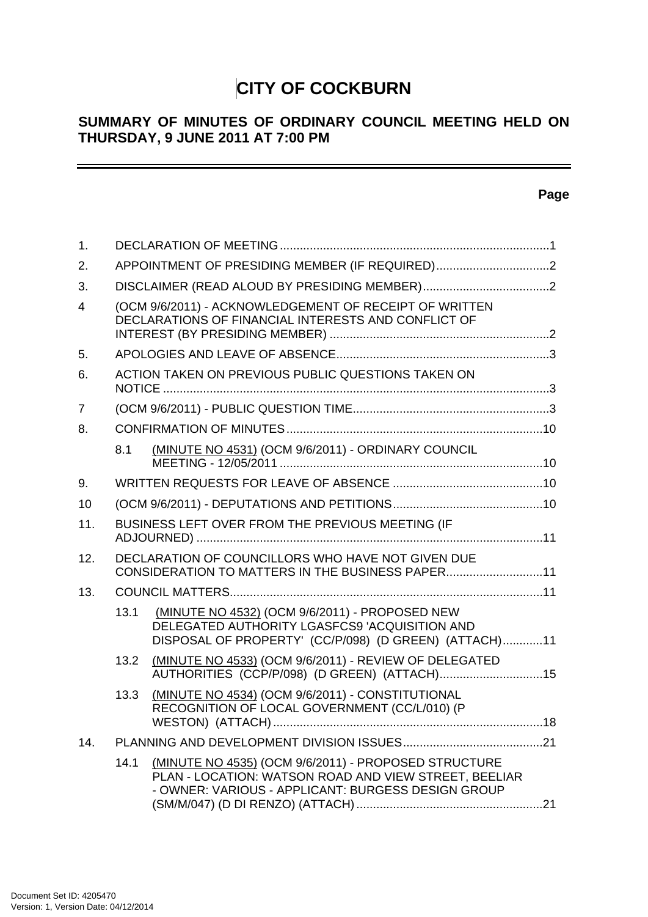# **CITY OF COCKBURN**

# **SUMMARY OF MINUTES OF ORDINARY COUNCIL MEETING HELD ON THURSDAY, 9 JUNE 2011 AT 7:00 PM**

### **Page**

| $\mathbf{1}$ . |      |                                                                                                                                                                     |  |
|----------------|------|---------------------------------------------------------------------------------------------------------------------------------------------------------------------|--|
| 2.             |      | APPOINTMENT OF PRESIDING MEMBER (IF REQUIRED)2                                                                                                                      |  |
| 3.             |      |                                                                                                                                                                     |  |
| 4              |      | (OCM 9/6/2011) - ACKNOWLEDGEMENT OF RECEIPT OF WRITTEN<br>DECLARATIONS OF FINANCIAL INTERESTS AND CONFLICT OF                                                       |  |
| 5.             |      |                                                                                                                                                                     |  |
| 6.             |      | ACTION TAKEN ON PREVIOUS PUBLIC QUESTIONS TAKEN ON                                                                                                                  |  |
| $\overline{7}$ |      |                                                                                                                                                                     |  |
| 8.             |      |                                                                                                                                                                     |  |
|                | 8.1  | (MINUTE NO 4531) (OCM 9/6/2011) - ORDINARY COUNCIL                                                                                                                  |  |
| 9.             |      |                                                                                                                                                                     |  |
| 10             |      |                                                                                                                                                                     |  |
| 11.            |      | BUSINESS LEFT OVER FROM THE PREVIOUS MEETING (IF                                                                                                                    |  |
| 12.            |      | DECLARATION OF COUNCILLORS WHO HAVE NOT GIVEN DUE<br>CONSIDERATION TO MATTERS IN THE BUSINESS PAPER11                                                               |  |
| 13.            |      |                                                                                                                                                                     |  |
|                | 13.1 | (MINUTE NO 4532) (OCM 9/6/2011) - PROPOSED NEW<br>DELEGATED AUTHORITY LGASFCS9 'ACQUISITION AND<br>DISPOSAL OF PROPERTY' (CC/P/098) (D GREEN) (ATTACH)11            |  |
|                | 13.2 | (MINUTE NO 4533) (OCM 9/6/2011) - REVIEW OF DELEGATED                                                                                                               |  |
|                | 13.3 | (MINUTE NO 4534) (OCM 9/6/2011) - CONSTITUTIONAL<br>RECOGNITION OF LOCAL GOVERNMENT (CC/L/010) (P                                                                   |  |
| 14.            |      |                                                                                                                                                                     |  |
|                | 14.1 | (MINUTE NO 4535) (OCM 9/6/2011) - PROPOSED STRUCTURE<br>PLAN - LOCATION: WATSON ROAD AND VIEW STREET, BEELIAR<br>- OWNER: VARIOUS - APPLICANT: BURGESS DESIGN GROUP |  |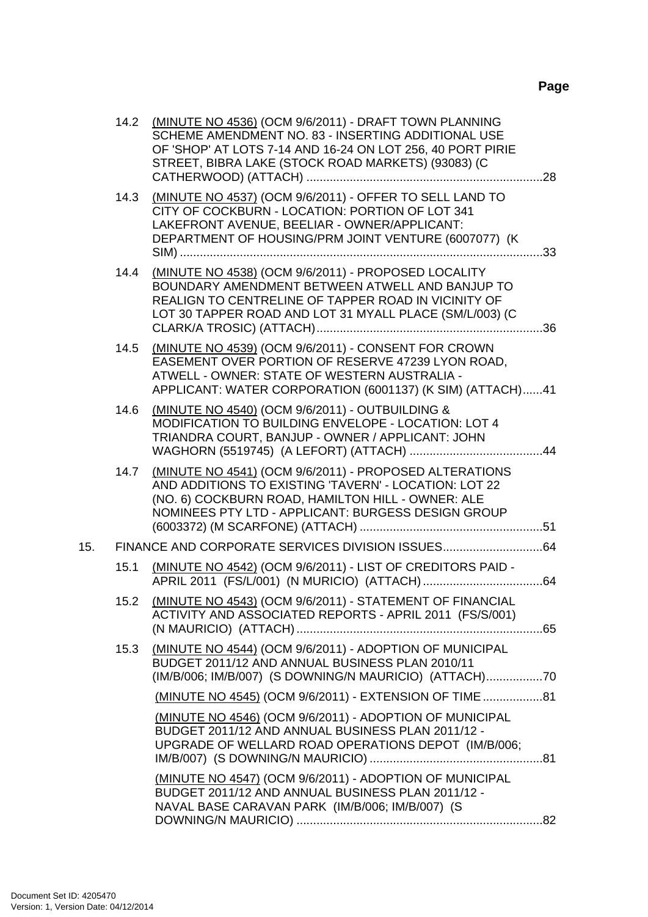|     |      | 14.2 (MINUTE NO 4536) (OCM 9/6/2011) - DRAFT TOWN PLANNING<br>SCHEME AMENDMENT NO. 83 - INSERTING ADDITIONAL USE<br>OF 'SHOP' AT LOTS 7-14 AND 16-24 ON LOT 256, 40 PORT PIRIE<br>STREET, BIBRA LAKE (STOCK ROAD MARKETS) (93083) (C |  |
|-----|------|--------------------------------------------------------------------------------------------------------------------------------------------------------------------------------------------------------------------------------------|--|
|     | 14.3 | (MINUTE NO 4537) (OCM 9/6/2011) - OFFER TO SELL LAND TO<br>CITY OF COCKBURN - LOCATION: PORTION OF LOT 341<br>LAKEFRONT AVENUE, BEELIAR - OWNER/APPLICANT:<br>DEPARTMENT OF HOUSING/PRM JOINT VENTURE (6007077) (K)                  |  |
|     | 14.4 | (MINUTE NO 4538) (OCM 9/6/2011) - PROPOSED LOCALITY<br>BOUNDARY AMENDMENT BETWEEN ATWELL AND BANJUP TO<br>REALIGN TO CENTRELINE OF TAPPER ROAD IN VICINITY OF<br>LOT 30 TAPPER ROAD AND LOT 31 MYALL PLACE (SM/L/003) (C             |  |
|     | 14.5 | (MINUTE NO 4539) (OCM 9/6/2011) - CONSENT FOR CROWN<br>EASEMENT OVER PORTION OF RESERVE 47239 LYON ROAD,<br>ATWELL - OWNER: STATE OF WESTERN AUSTRALIA -<br>APPLICANT: WATER CORPORATION (6001137) (K SIM) (ATTACH)41                |  |
|     | 14.6 | (MINUTE NO 4540) (OCM 9/6/2011) - OUTBUILDING &<br>MODIFICATION TO BUILDING ENVELOPE - LOCATION: LOT 4<br>TRIANDRA COURT, BANJUP - OWNER / APPLICANT: JOHN                                                                           |  |
|     | 14.7 | (MINUTE NO 4541) (OCM 9/6/2011) - PROPOSED ALTERATIONS<br>AND ADDITIONS TO EXISTING 'TAVERN' - LOCATION: LOT 22<br>(NO. 6) COCKBURN ROAD, HAMILTON HILL - OWNER: ALE<br>NOMINEES PTY LTD - APPLICANT: BURGESS DESIGN GROUP           |  |
| 15. |      |                                                                                                                                                                                                                                      |  |
|     | 15.1 | (MINUTE NO 4542) (OCM 9/6/2011) - LIST OF CREDITORS PAID -                                                                                                                                                                           |  |
|     |      | 15.2 (MINUTE NO 4543) (OCM 9/6/2011) - STATEMENT OF FINANCIAL<br>ACTIVITY AND ASSOCIATED REPORTS - APRIL 2011 (FS/S/001)                                                                                                             |  |
|     | 15.3 | (MINUTE NO 4544) (OCM 9/6/2011) - ADOPTION OF MUNICIPAL<br>BUDGET 2011/12 AND ANNUAL BUSINESS PLAN 2010/11<br>(IM/B/006; IM/B/007) (S DOWNING/N MAURICIO) (ATTACH)                                                                   |  |
|     |      | (MINUTE NO 4545) (OCM 9/6/2011) - EXTENSION OF TIME 81                                                                                                                                                                               |  |
|     |      | (MINUTE NO 4546) (OCM 9/6/2011) - ADOPTION OF MUNICIPAL<br>BUDGET 2011/12 AND ANNUAL BUSINESS PLAN 2011/12 -<br>UPGRADE OF WELLARD ROAD OPERATIONS DEPOT (IM/B/006;                                                                  |  |
|     |      | (MINUTE NO 4547) (OCM 9/6/2011) - ADOPTION OF MUNICIPAL<br>BUDGET 2011/12 AND ANNUAL BUSINESS PLAN 2011/12 -<br>NAVAL BASE CARAVAN PARK (IM/B/006; IM/B/007) (S                                                                      |  |
|     |      |                                                                                                                                                                                                                                      |  |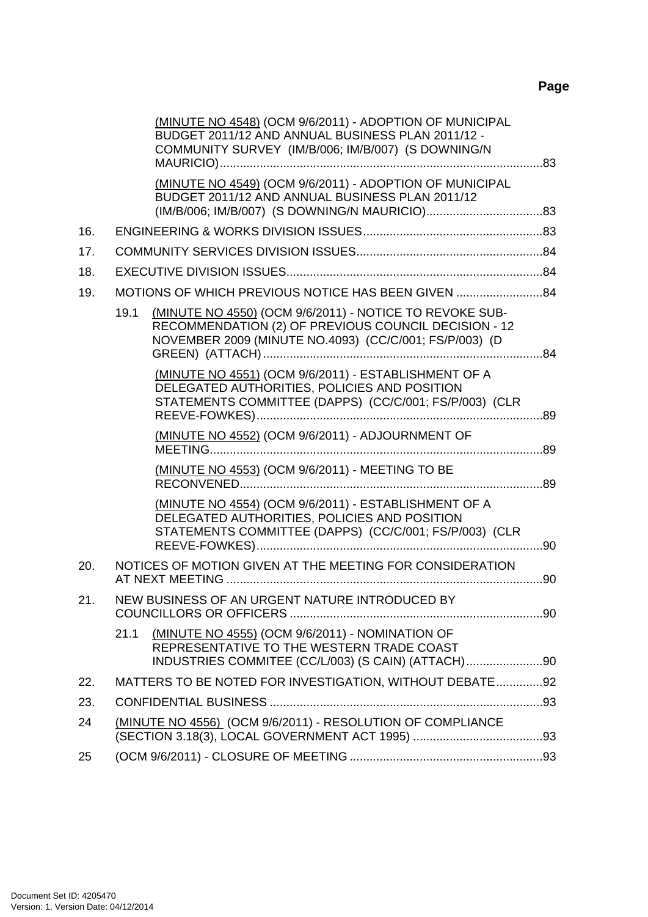|     |      | (MINUTE NO 4548) (OCM 9/6/2011) - ADOPTION OF MUNICIPAL<br>BUDGET 2011/12 AND ANNUAL BUSINESS PLAN 2011/12 -<br>COMMUNITY SURVEY (IM/B/006; IM/B/007) (S DOWNING/N        |     |
|-----|------|---------------------------------------------------------------------------------------------------------------------------------------------------------------------------|-----|
|     |      | (MINUTE NO 4549) (OCM 9/6/2011) - ADOPTION OF MUNICIPAL<br>BUDGET 2011/12 AND ANNUAL BUSINESS PLAN 2011/12                                                                |     |
| 16. |      |                                                                                                                                                                           |     |
| 17. |      |                                                                                                                                                                           |     |
| 18. |      |                                                                                                                                                                           |     |
| 19. |      | MOTIONS OF WHICH PREVIOUS NOTICE HAS BEEN GIVEN                                                                                                                           |     |
|     | 19.1 | (MINUTE NO 4550) (OCM 9/6/2011) - NOTICE TO REVOKE SUB-<br>RECOMMENDATION (2) OF PREVIOUS COUNCIL DECISION - 12<br>NOVEMBER 2009 (MINUTE NO.4093) (CC/C/001; FS/P/003) (D |     |
|     |      | (MINUTE NO 4551) (OCM 9/6/2011) - ESTABLISHMENT OF A<br>DELEGATED AUTHORITIES, POLICIES AND POSITION<br>STATEMENTS COMMITTEE (DAPPS) (CC/C/001; FS/P/003) (CLR            |     |
|     |      | (MINUTE NO 4552) (OCM 9/6/2011) - ADJOURNMENT OF                                                                                                                          |     |
|     |      | (MINUTE NO 4553) (OCM 9/6/2011) - MEETING TO BE                                                                                                                           |     |
|     |      | (MINUTE NO 4554) (OCM 9/6/2011) - ESTABLISHMENT OF A<br>DELEGATED AUTHORITIES, POLICIES AND POSITION<br>STATEMENTS COMMITTEE (DAPPS) (CC/C/001; FS/P/003) (CLR            |     |
| 20. |      | NOTICES OF MOTION GIVEN AT THE MEETING FOR CONSIDERATION                                                                                                                  | .90 |
| 21  |      | NEW BUSINESS OF AN URGENT NATURE INTRODUCED BY                                                                                                                            |     |
|     | 21.1 | (MINUTE NO 4555) (OCM 9/6/2011) - NOMINATION OF<br>REPRESENTATIVE TO THE WESTERN TRADE COAST<br>INDUSTRIES COMMITEE (CC/L/003) (S CAIN) (ATTACH)90                        |     |
| 22. |      | MATTERS TO BE NOTED FOR INVESTIGATION, WITHOUT DEBATE92                                                                                                                   |     |
| 23. |      |                                                                                                                                                                           |     |
| 24  |      | (MINUTE NO 4556) (OCM 9/6/2011) - RESOLUTION OF COMPLIANCE                                                                                                                |     |
| 25  |      |                                                                                                                                                                           |     |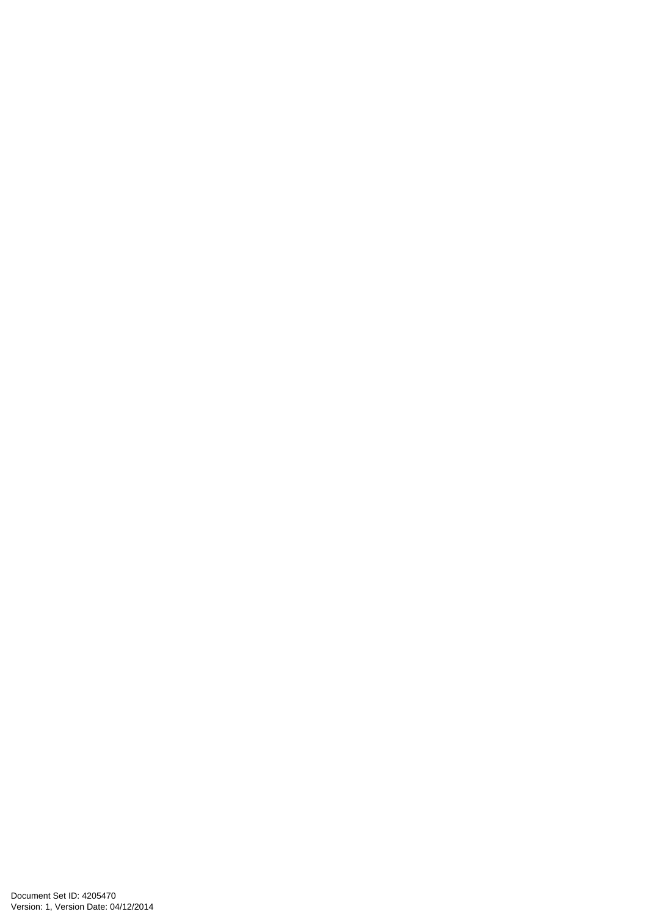Document Set ID: 4205470<br>Version: 1, Version Date: 04/12/2014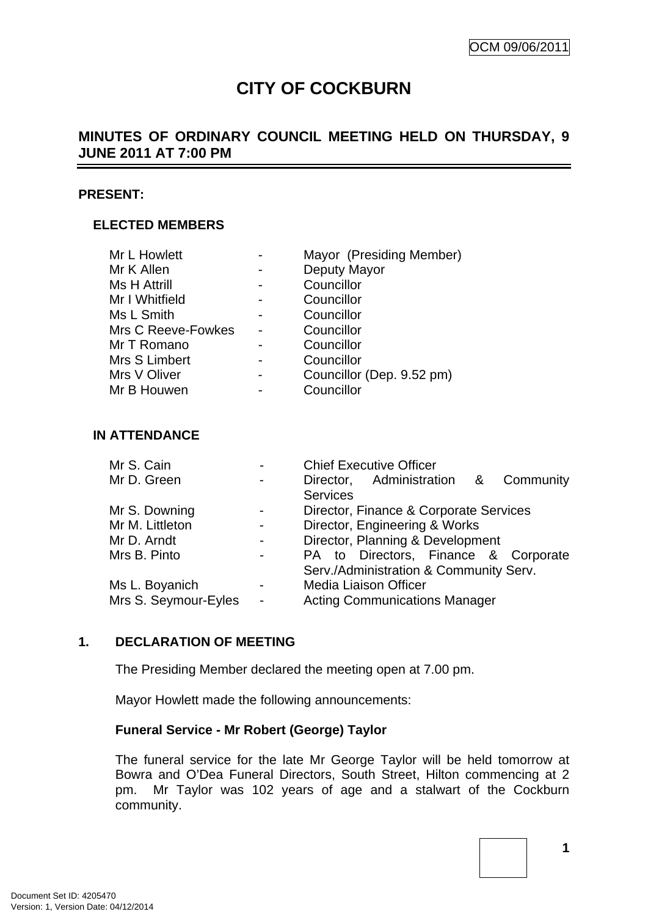# **CITY OF COCKBURN**

## <span id="page-4-0"></span>**MINUTES OF ORDINARY COUNCIL MEETING HELD ON THURSDAY, 9 JUNE 2011 AT 7:00 PM**

#### **PRESENT:**

### **ELECTED MEMBERS**

| Mr L Howlett       | Mayor (Presiding Member)  |
|--------------------|---------------------------|
| Mr K Allen         | Deputy Mayor              |
| Ms H Attrill       | Councillor                |
| Mr I Whitfield     | Councillor                |
| Ms L Smith         | Councillor                |
| Mrs C Reeve-Fowkes | Councillor                |
| Mr T Romano        | Councillor                |
| Mrs S Limbert      | Councillor                |
| Mrs V Oliver       | Councillor (Dep. 9.52 pm) |
| Mr B Houwen        | Councillor                |

### **IN ATTENDANCE**

| Mr S. Cain           |                | <b>Chief Executive Officer</b>          |  |  |
|----------------------|----------------|-----------------------------------------|--|--|
| Mr D. Green          | $\blacksquare$ | Director, Administration &<br>Community |  |  |
|                      |                | <b>Services</b>                         |  |  |
| Mr S. Downing        |                | Director, Finance & Corporate Services  |  |  |
| Mr M. Littleton      | $\blacksquare$ | Director, Engineering & Works           |  |  |
| Mr D. Arndt          |                | Director, Planning & Development        |  |  |
| Mrs B. Pinto         |                | PA to Directors, Finance & Corporate    |  |  |
|                      |                | Serv./Administration & Community Serv.  |  |  |
| Ms L. Boyanich       |                | <b>Media Liaison Officer</b>            |  |  |
| Mrs S. Seymour-Eyles | $\blacksquare$ | <b>Acting Communications Manager</b>    |  |  |

### **1. DECLARATION OF MEETING**

The Presiding Member declared the meeting open at 7.00 pm.

Mayor Howlett made the following announcements:

### **Funeral Service - Mr Robert (George) Taylor**

The funeral service for the late Mr George Taylor will be held tomorrow at Bowra and O'Dea Funeral Directors, South Street, Hilton commencing at 2 pm. Mr Taylor was 102 years of age and a stalwart of the Cockburn community.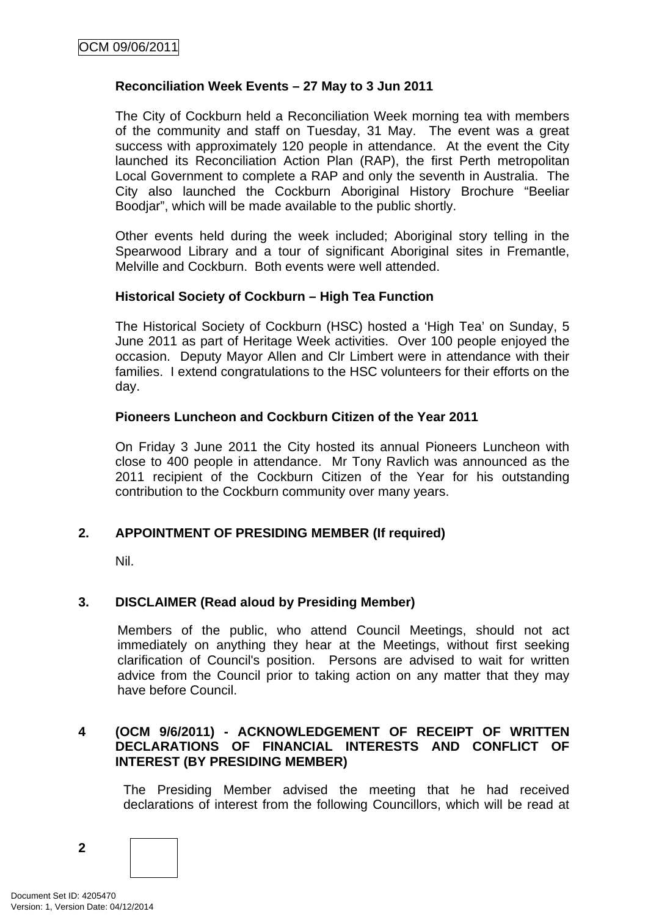### <span id="page-5-0"></span>**Reconciliation Week Events – 27 May to 3 Jun 2011**

The City of Cockburn held a Reconciliation Week morning tea with members of the community and staff on Tuesday, 31 May. The event was a great success with approximately 120 people in attendance. At the event the City launched its Reconciliation Action Plan (RAP), the first Perth metropolitan Local Government to complete a RAP and only the seventh in Australia. The City also launched the Cockburn Aboriginal History Brochure "Beeliar Boodjar", which will be made available to the public shortly.

Other events held during the week included; Aboriginal story telling in the Spearwood Library and a tour of significant Aboriginal sites in Fremantle, Melville and Cockburn. Both events were well attended.

### **Historical Society of Cockburn – High Tea Function**

The Historical Society of Cockburn (HSC) hosted a 'High Tea' on Sunday, 5 June 2011 as part of Heritage Week activities. Over 100 people enjoyed the occasion. Deputy Mayor Allen and Clr Limbert were in attendance with their families. I extend congratulations to the HSC volunteers for their efforts on the day.

### **Pioneers Luncheon and Cockburn Citizen of the Year 2011**

On Friday 3 June 2011 the City hosted its annual Pioneers Luncheon with close to 400 people in attendance. Mr Tony Ravlich was announced as the 2011 recipient of the Cockburn Citizen of the Year for his outstanding contribution to the Cockburn community over many years.

### **2. APPOINTMENT OF PRESIDING MEMBER (If required)**

Nil.

### **3. DISCLAIMER (Read aloud by Presiding Member)**

Members of the public, who attend Council Meetings, should not act immediately on anything they hear at the Meetings, without first seeking clarification of Council's position. Persons are advised to wait for written advice from the Council prior to taking action on any matter that they may have before Council.

### **4 (OCM 9/6/2011) - ACKNOWLEDGEMENT OF RECEIPT OF WRITTEN DECLARATIONS OF FINANCIAL INTERESTS AND CONFLICT OF INTEREST (BY PRESIDING MEMBER)**

The Presiding Member advised the meeting that he had received declarations of interest from the following Councillors, which will be read at

**2**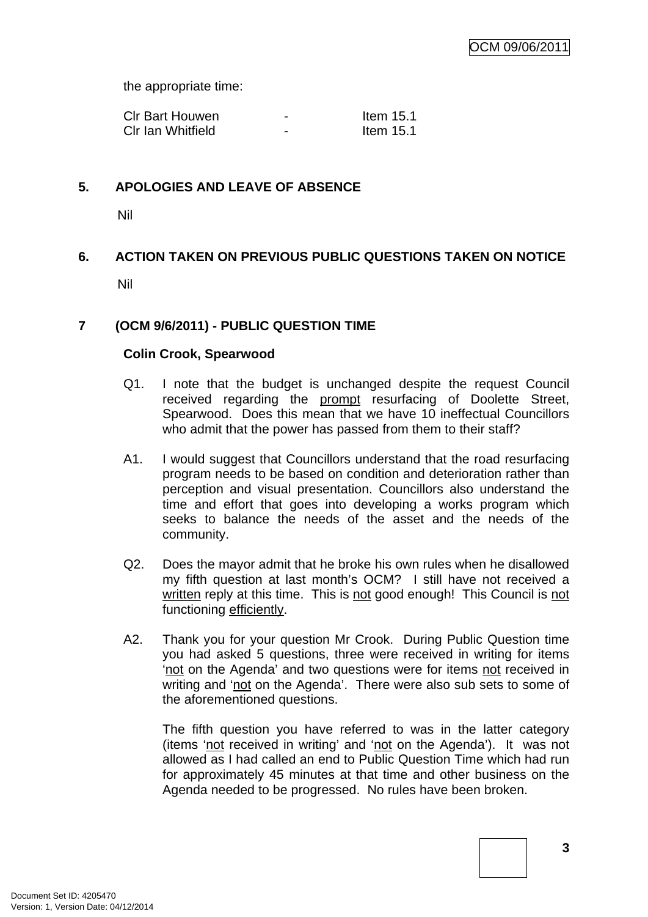<span id="page-6-0"></span>the appropriate time:

| CIr Bart Houwen   |   | Item $15.1$ |
|-------------------|---|-------------|
| CIr Ian Whitfield | - | Item $15.1$ |

### **5. APOLOGIES AND LEAVE OF ABSENCE**

Nil

# **6. ACTION TAKEN ON PREVIOUS PUBLIC QUESTIONS TAKEN ON NOTICE**  Nil

### **7 (OCM 9/6/2011) - PUBLIC QUESTION TIME**

### **Colin Crook, Spearwood**

- Q1. I note that the budget is unchanged despite the request Council received regarding the prompt resurfacing of Doolette Street, Spearwood. Does this mean that we have 10 ineffectual Councillors who admit that the power has passed from them to their staff?
- A1. I would suggest that Councillors understand that the road resurfacing program needs to be based on condition and deterioration rather than perception and visual presentation. Councillors also understand the time and effort that goes into developing a works program which seeks to balance the needs of the asset and the needs of the community.
- Q2. Does the mayor admit that he broke his own rules when he disallowed my fifth question at last month's OCM? I still have not received a written reply at this time. This is not good enough! This Council is not functioning efficiently.
- A2. Thank you for your question Mr Crook. During Public Question time you had asked 5 questions, three were received in writing for items 'not on the Agenda' and two questions were for items not received in writing and 'not on the Agenda'. There were also sub sets to some of the aforementioned questions.

The fifth question you have referred to was in the latter category (items 'not received in writing' and 'not on the Agenda'). It was not allowed as I had called an end to Public Question Time which had run for approximately 45 minutes at that time and other business on the Agenda needed to be progressed. No rules have been broken.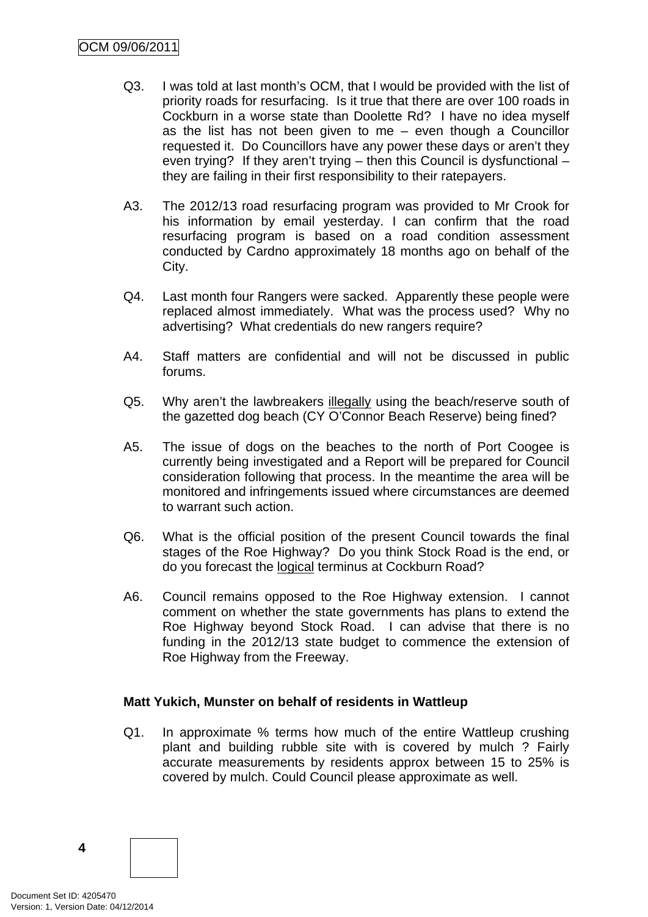- Q3. I was told at last month's OCM, that I would be provided with the list of priority roads for resurfacing. Is it true that there are over 100 roads in Cockburn in a worse state than Doolette Rd? I have no idea myself as the list has not been given to me – even though a Councillor requested it. Do Councillors have any power these days or aren't they even trying? If they aren't trying – then this Council is dysfunctional – they are failing in their first responsibility to their ratepayers.
- A3. The 2012/13 road resurfacing program was provided to Mr Crook for his information by email yesterday. I can confirm that the road resurfacing program is based on a road condition assessment conducted by Cardno approximately 18 months ago on behalf of the City.
- Q4. Last month four Rangers were sacked. Apparently these people were replaced almost immediately. What was the process used? Why no advertising? What credentials do new rangers require?
- A4. Staff matters are confidential and will not be discussed in public forums.
- Q5. Why aren't the lawbreakers illegally using the beach/reserve south of the gazetted dog beach (CY O'Connor Beach Reserve) being fined?
- A5. The issue of dogs on the beaches to the north of Port Coogee is currently being investigated and a Report will be prepared for Council consideration following that process. In the meantime the area will be monitored and infringements issued where circumstances are deemed to warrant such action.
- Q6. What is the official position of the present Council towards the final stages of the Roe Highway? Do you think Stock Road is the end, or do you forecast the logical terminus at Cockburn Road?
- A6. Council remains opposed to the Roe Highway extension. I cannot comment on whether the state governments has plans to extend the Roe Highway beyond Stock Road. I can advise that there is no funding in the 2012/13 state budget to commence the extension of Roe Highway from the Freeway.

### **Matt Yukich, Munster on behalf of residents in Wattleup**

Q1. In approximate % terms how much of the entire Wattleup crushing plant and building rubble site with is covered by mulch ? Fairly accurate measurements by residents approx between 15 to 25% is covered by mulch. Could Council please approximate as well.

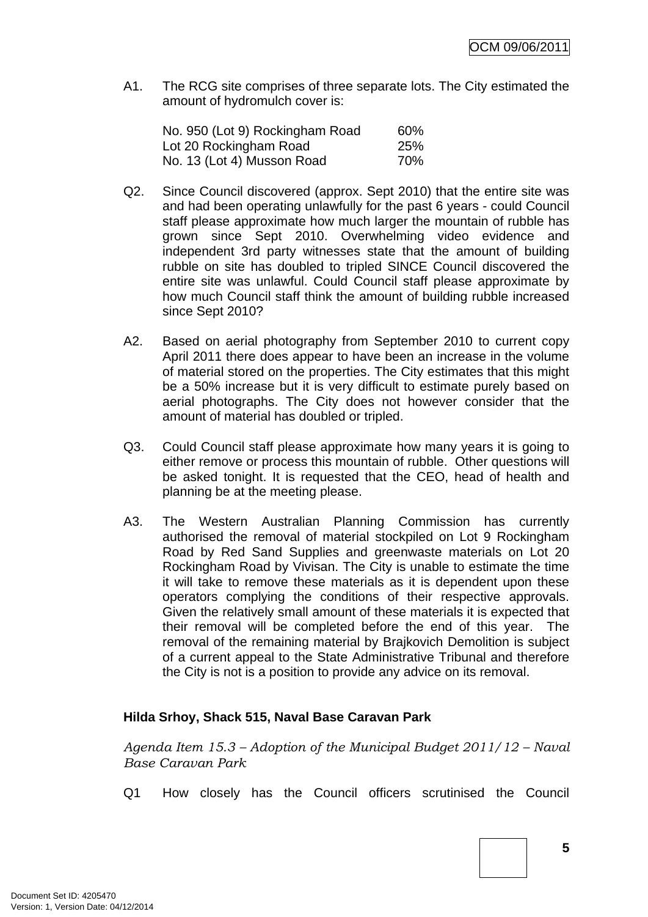A1. The RCG site comprises of three separate lots. The City estimated the amount of hydromulch cover is:

| No. 950 (Lot 9) Rockingham Road | 60% |
|---------------------------------|-----|
| Lot 20 Rockingham Road          | 25% |
| No. 13 (Lot 4) Musson Road      | 70% |

- Q2. Since Council discovered (approx. Sept 2010) that the entire site was and had been operating unlawfully for the past 6 years - could Council staff please approximate how much larger the mountain of rubble has grown since Sept 2010. Overwhelming video evidence and independent 3rd party witnesses state that the amount of building rubble on site has doubled to tripled SINCE Council discovered the entire site was unlawful. Could Council staff please approximate by how much Council staff think the amount of building rubble increased since Sept 2010?
- A2. Based on aerial photography from September 2010 to current copy April 2011 there does appear to have been an increase in the volume of material stored on the properties. The City estimates that this might be a 50% increase but it is very difficult to estimate purely based on aerial photographs. The City does not however consider that the amount of material has doubled or tripled.
- Q3. Could Council staff please approximate how many years it is going to either remove or process this mountain of rubble. Other questions will be asked tonight. It is requested that the CEO, head of health and planning be at the meeting please.
- A3. The Western Australian Planning Commission has currently authorised the removal of material stockpiled on Lot 9 Rockingham Road by Red Sand Supplies and greenwaste materials on Lot 20 Rockingham Road by Vivisan. The City is unable to estimate the time it will take to remove these materials as it is dependent upon these operators complying the conditions of their respective approvals. Given the relatively small amount of these materials it is expected that their removal will be completed before the end of this year. The removal of the remaining material by Brajkovich Demolition is subject of a current appeal to the State Administrative Tribunal and therefore the City is not is a position to provide any advice on its removal.

### **Hilda Srhoy, Shack 515, Naval Base Caravan Park**

*Agenda Item 15.3 – Adoption of the Municipal Budget 2011/12 – Naval Base Caravan Park* 

Q1 How closely has the Council officers scrutinised the Council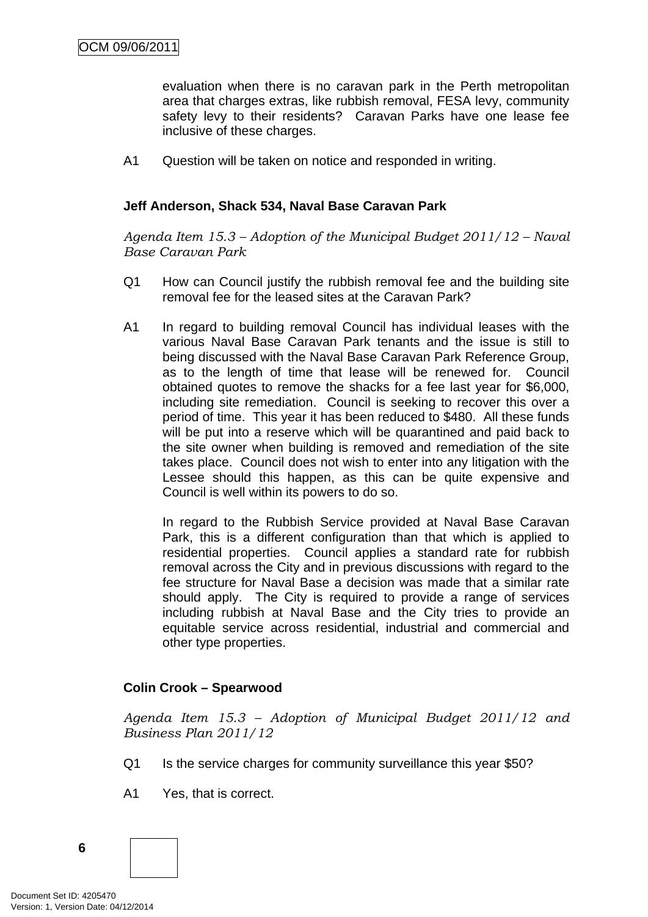evaluation when there is no caravan park in the Perth metropolitan area that charges extras, like rubbish removal, FESA levy, community safety levy to their residents? Caravan Parks have one lease fee inclusive of these charges.

A1 Question will be taken on notice and responded in writing.

### **Jeff Anderson, Shack 534, Naval Base Caravan Park**

*Agenda Item 15.3 – Adoption of the Municipal Budget 2011/12 – Naval Base Caravan Park* 

- Q1 How can Council justify the rubbish removal fee and the building site removal fee for the leased sites at the Caravan Park?
- A1 In regard to building removal Council has individual leases with the various Naval Base Caravan Park tenants and the issue is still to being discussed with the Naval Base Caravan Park Reference Group, as to the length of time that lease will be renewed for. Council obtained quotes to remove the shacks for a fee last year for \$6,000, including site remediation. Council is seeking to recover this over a period of time. This year it has been reduced to \$480. All these funds will be put into a reserve which will be quarantined and paid back to the site owner when building is removed and remediation of the site takes place. Council does not wish to enter into any litigation with the Lessee should this happen, as this can be quite expensive and Council is well within its powers to do so.

In regard to the Rubbish Service provided at Naval Base Caravan Park, this is a different configuration than that which is applied to residential properties. Council applies a standard rate for rubbish removal across the City and in previous discussions with regard to the fee structure for Naval Base a decision was made that a similar rate should apply. The City is required to provide a range of services including rubbish at Naval Base and the City tries to provide an equitable service across residential, industrial and commercial and other type properties.

### **Colin Crook – Spearwood**

*Agenda Item 15.3 – Adoption of Municipal Budget 2011/12 and Business Plan 2011/12* 

- Q1 Is the service charges for community surveillance this year \$50?
- A1 Yes, that is correct.

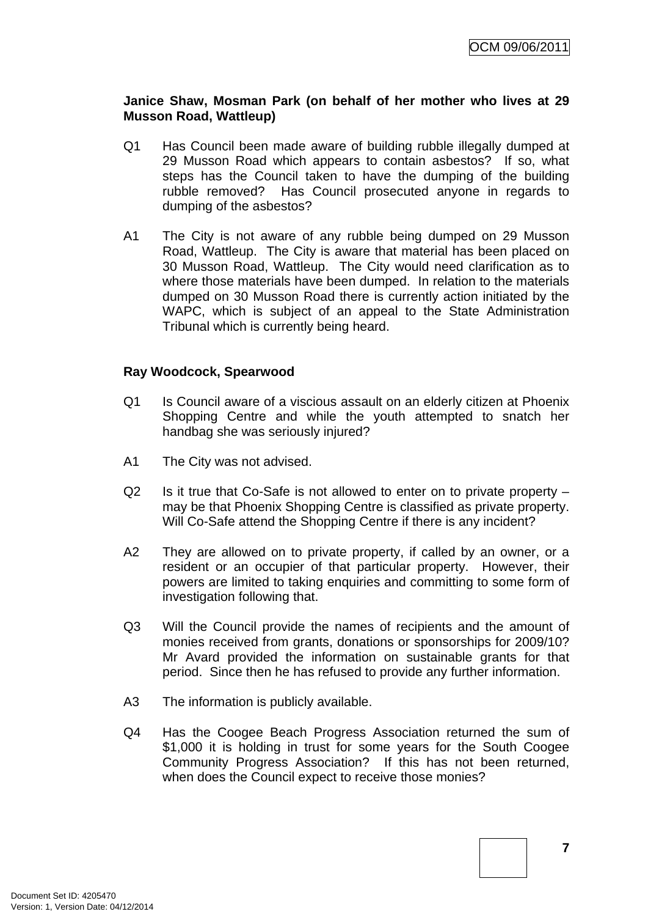### **Janice Shaw, Mosman Park (on behalf of her mother who lives at 29 Musson Road, Wattleup)**

- Q1 Has Council been made aware of building rubble illegally dumped at 29 Musson Road which appears to contain asbestos? If so, what steps has the Council taken to have the dumping of the building rubble removed? Has Council prosecuted anyone in regards to dumping of the asbestos?
- A1 The City is not aware of any rubble being dumped on 29 Musson Road, Wattleup. The City is aware that material has been placed on 30 Musson Road, Wattleup. The City would need clarification as to where those materials have been dumped. In relation to the materials dumped on 30 Musson Road there is currently action initiated by the WAPC, which is subject of an appeal to the State Administration Tribunal which is currently being heard.

### **Ray Woodcock, Spearwood**

- Q1 Is Council aware of a viscious assault on an elderly citizen at Phoenix Shopping Centre and while the youth attempted to snatch her handbag she was seriously injured?
- A1 The City was not advised.
- Q2 Is it true that Co-Safe is not allowed to enter on to private property may be that Phoenix Shopping Centre is classified as private property. Will Co-Safe attend the Shopping Centre if there is any incident?
- A2 They are allowed on to private property, if called by an owner, or a resident or an occupier of that particular property. However, their powers are limited to taking enquiries and committing to some form of investigation following that.
- Q3 Will the Council provide the names of recipients and the amount of monies received from grants, donations or sponsorships for 2009/10? Mr Avard provided the information on sustainable grants for that period. Since then he has refused to provide any further information.
- A3 The information is publicly available.
- Q4 Has the Coogee Beach Progress Association returned the sum of \$1,000 it is holding in trust for some years for the South Coogee Community Progress Association? If this has not been returned, when does the Council expect to receive those monies?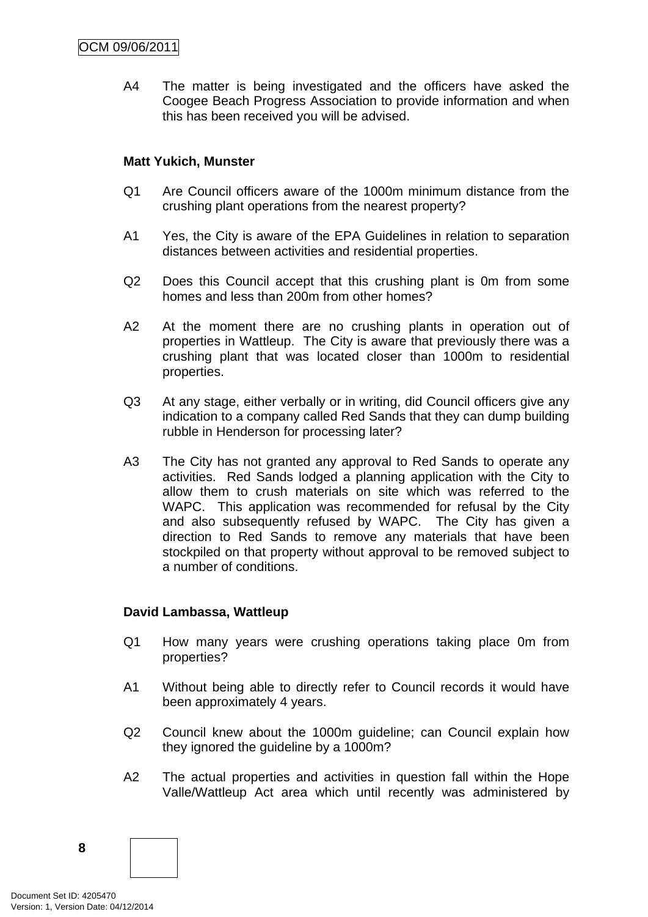A4 The matter is being investigated and the officers have asked the Coogee Beach Progress Association to provide information and when this has been received you will be advised.

#### **Matt Yukich, Munster**

- Q1 Are Council officers aware of the 1000m minimum distance from the crushing plant operations from the nearest property?
- A1 Yes, the City is aware of the EPA Guidelines in relation to separation distances between activities and residential properties.
- Q2 Does this Council accept that this crushing plant is 0m from some homes and less than 200m from other homes?
- A2 At the moment there are no crushing plants in operation out of properties in Wattleup. The City is aware that previously there was a crushing plant that was located closer than 1000m to residential properties.
- Q3 At any stage, either verbally or in writing, did Council officers give any indication to a company called Red Sands that they can dump building rubble in Henderson for processing later?
- A3 The City has not granted any approval to Red Sands to operate any activities. Red Sands lodged a planning application with the City to allow them to crush materials on site which was referred to the WAPC. This application was recommended for refusal by the City and also subsequently refused by WAPC. The City has given a direction to Red Sands to remove any materials that have been stockpiled on that property without approval to be removed subject to a number of conditions.

### **David Lambassa, Wattleup**

- Q1 How many years were crushing operations taking place 0m from properties?
- A1 Without being able to directly refer to Council records it would have been approximately 4 years.
- Q2 Council knew about the 1000m guideline; can Council explain how they ignored the guideline by a 1000m?
- A2 The actual properties and activities in question fall within the Hope Valle/Wattleup Act area which until recently was administered by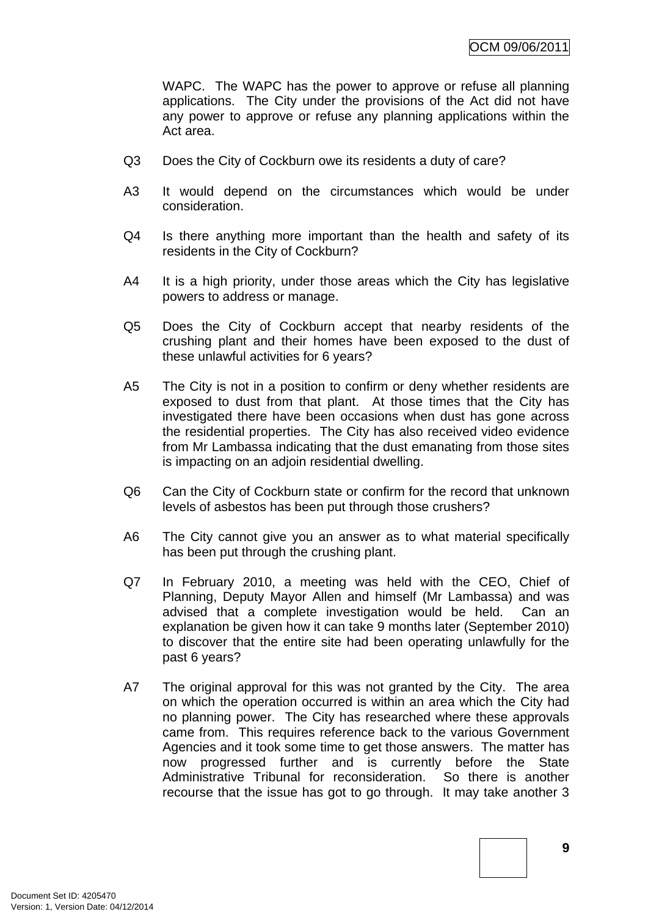WAPC. The WAPC has the power to approve or refuse all planning applications. The City under the provisions of the Act did not have any power to approve or refuse any planning applications within the Act area.

- Q3 Does the City of Cockburn owe its residents a duty of care?
- A3 It would depend on the circumstances which would be under consideration.
- Q4 Is there anything more important than the health and safety of its residents in the City of Cockburn?
- A4 It is a high priority, under those areas which the City has legislative powers to address or manage.
- Q5 Does the City of Cockburn accept that nearby residents of the crushing plant and their homes have been exposed to the dust of these unlawful activities for 6 years?
- A5 The City is not in a position to confirm or deny whether residents are exposed to dust from that plant. At those times that the City has investigated there have been occasions when dust has gone across the residential properties. The City has also received video evidence from Mr Lambassa indicating that the dust emanating from those sites is impacting on an adjoin residential dwelling.
- Q6 Can the City of Cockburn state or confirm for the record that unknown levels of asbestos has been put through those crushers?
- A6 The City cannot give you an answer as to what material specifically has been put through the crushing plant.
- Q7 In February 2010, a meeting was held with the CEO, Chief of Planning, Deputy Mayor Allen and himself (Mr Lambassa) and was advised that a complete investigation would be held. Can an explanation be given how it can take 9 months later (September 2010) to discover that the entire site had been operating unlawfully for the past 6 years?
- A7 The original approval for this was not granted by the City. The area on which the operation occurred is within an area which the City had no planning power. The City has researched where these approvals came from. This requires reference back to the various Government Agencies and it took some time to get those answers. The matter has now progressed further and is currently before the State Administrative Tribunal for reconsideration. So there is another recourse that the issue has got to go through. It may take another 3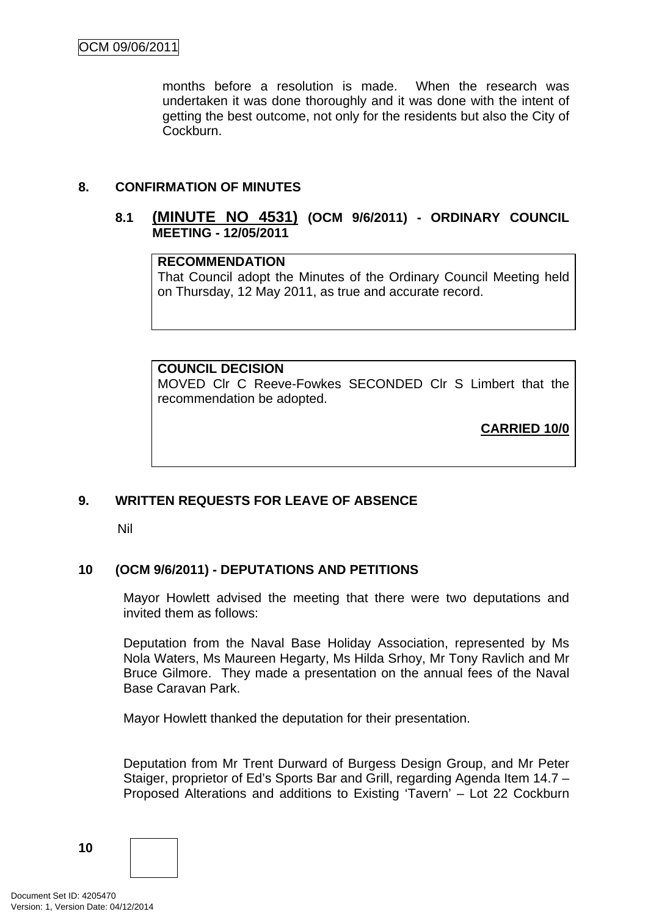<span id="page-13-0"></span>months before a resolution is made. When the research was undertaken it was done thoroughly and it was done with the intent of getting the best outcome, not only for the residents but also the City of Cockburn.

### **8. CONFIRMATION OF MINUTES**

### **8.1 (MINUTE NO 4531) (OCM 9/6/2011) - ORDINARY COUNCIL MEETING - 12/05/2011**

### **RECOMMENDATION**

That Council adopt the Minutes of the Ordinary Council Meeting held on Thursday, 12 May 2011, as true and accurate record.

### **COUNCIL DECISION**

MOVED Clr C Reeve-Fowkes SECONDED Clr S Limbert that the recommendation be adopted.

**CARRIED 10/0**

### **9. WRITTEN REQUESTS FOR LEAVE OF ABSENCE**

Nil

### **10 (OCM 9/6/2011) - DEPUTATIONS AND PETITIONS**

Mayor Howlett advised the meeting that there were two deputations and invited them as follows:

Deputation from the Naval Base Holiday Association, represented by Ms Nola Waters, Ms Maureen Hegarty, Ms Hilda Srhoy, Mr Tony Ravlich and Mr Bruce Gilmore. They made a presentation on the annual fees of the Naval Base Caravan Park.

Mayor Howlett thanked the deputation for their presentation.

Deputation from Mr Trent Durward of Burgess Design Group, and Mr Peter Staiger, proprietor of Ed's Sports Bar and Grill, regarding Agenda Item 14.7 – Proposed Alterations and additions to Existing 'Tavern' – Lot 22 Cockburn

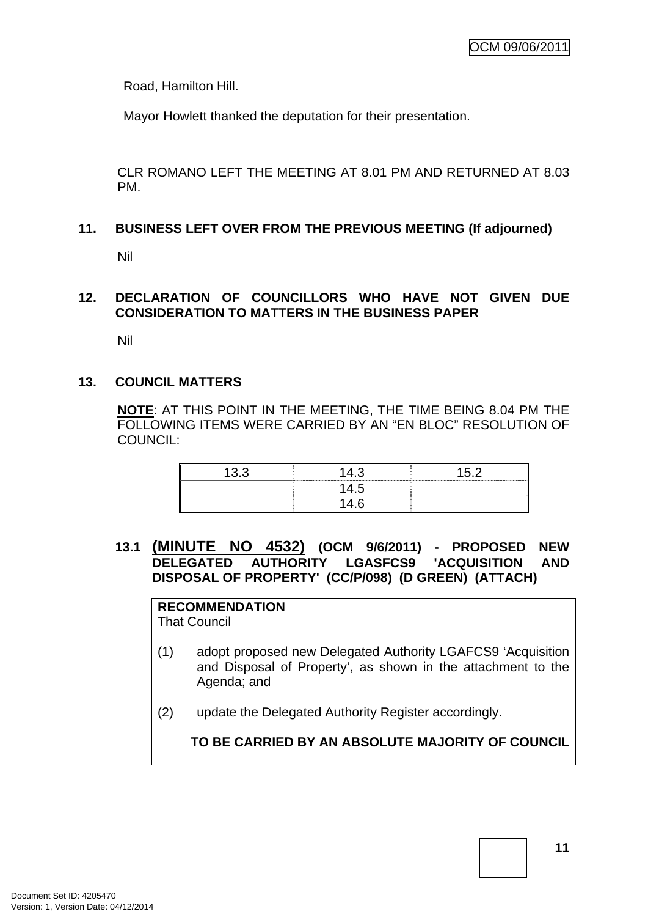<span id="page-14-0"></span>Road, Hamilton Hill.

Mayor Howlett thanked the deputation for their presentation.

CLR ROMANO LEFT THE MEETING AT 8.01 PM AND RETURNED AT 8.03 PM.

### **11. BUSINESS LEFT OVER FROM THE PREVIOUS MEETING (If adjourned)**

Nil

### **12. DECLARATION OF COUNCILLORS WHO HAVE NOT GIVEN DUE CONSIDERATION TO MATTERS IN THE BUSINESS PAPER**

Nil

### **13. COUNCIL MATTERS**

**NOTE**: AT THIS POINT IN THE MEETING, THE TIME BEING 8.04 PM THE FOLLOWING ITEMS WERE CARRIED BY AN "EN BLOC" RESOLUTION OF COUNCIL:

**13.1 (MINUTE NO 4532) (OCM 9/6/2011) - PROPOSED NEW DELEGATED AUTHORITY LGASFCS9 'ACQUISITION AND DISPOSAL OF PROPERTY' (CC/P/098) (D GREEN) (ATTACH)** 

#### **RECOMMENDATION** That Council

- (1) adopt proposed new Delegated Authority LGAFCS9 'Acquisition and Disposal of Property', as shown in the attachment to the Agenda; and
- (2) update the Delegated Authority Register accordingly.

**TO BE CARRIED BY AN ABSOLUTE MAJORITY OF COUNCIL**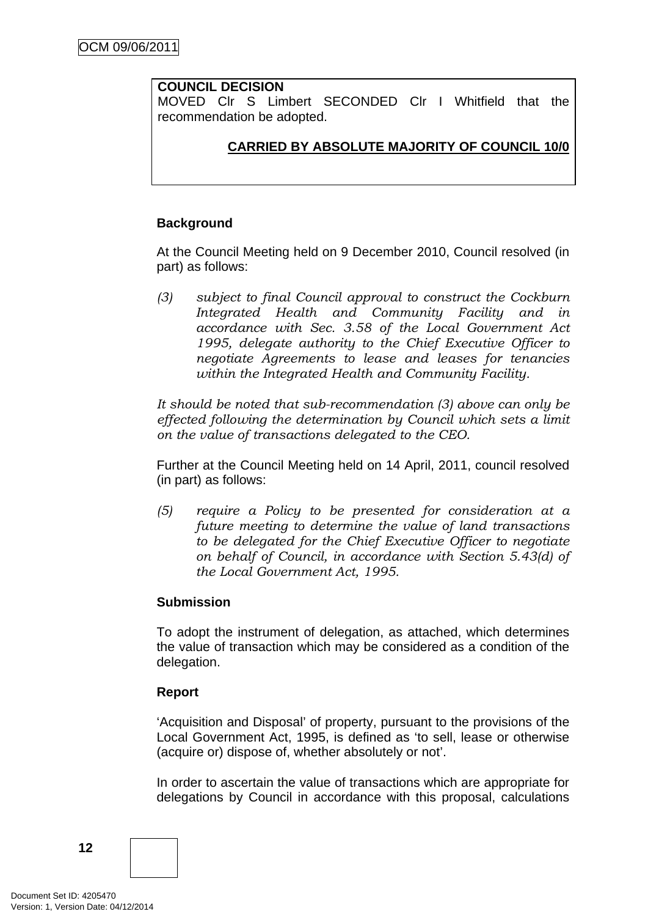### **COUNCIL DECISION**

MOVED Clr S Limbert SECONDED Clr I Whitfield that the recommendation be adopted.

### **CARRIED BY ABSOLUTE MAJORITY OF COUNCIL 10/0**

### **Background**

At the Council Meeting held on 9 December 2010, Council resolved (in part) as follows:

*(3) subject to final Council approval to construct the Cockburn Integrated Health and Community Facility and in accordance with Sec. 3.58 of the Local Government Act 1995, delegate authority to the Chief Executive Officer to negotiate Agreements to lease and leases for tenancies within the Integrated Health and Community Facility.* 

*It should be noted that sub-recommendation (3) above can only be effected following the determination by Council which sets a limit on the value of transactions delegated to the CEO.* 

Further at the Council Meeting held on 14 April, 2011, council resolved (in part) as follows:

*(5) require a Policy to be presented for consideration at a future meeting to determine the value of land transactions to be delegated for the Chief Executive Officer to negotiate on behalf of Council, in accordance with Section 5.43(d) of the Local Government Act, 1995.* 

### **Submission**

To adopt the instrument of delegation, as attached, which determines the value of transaction which may be considered as a condition of the delegation.

### **Report**

'Acquisition and Disposal' of property, pursuant to the provisions of the Local Government Act, 1995, is defined as 'to sell, lease or otherwise (acquire or) dispose of, whether absolutely or not'.

In order to ascertain the value of transactions which are appropriate for delegations by Council in accordance with this proposal, calculations

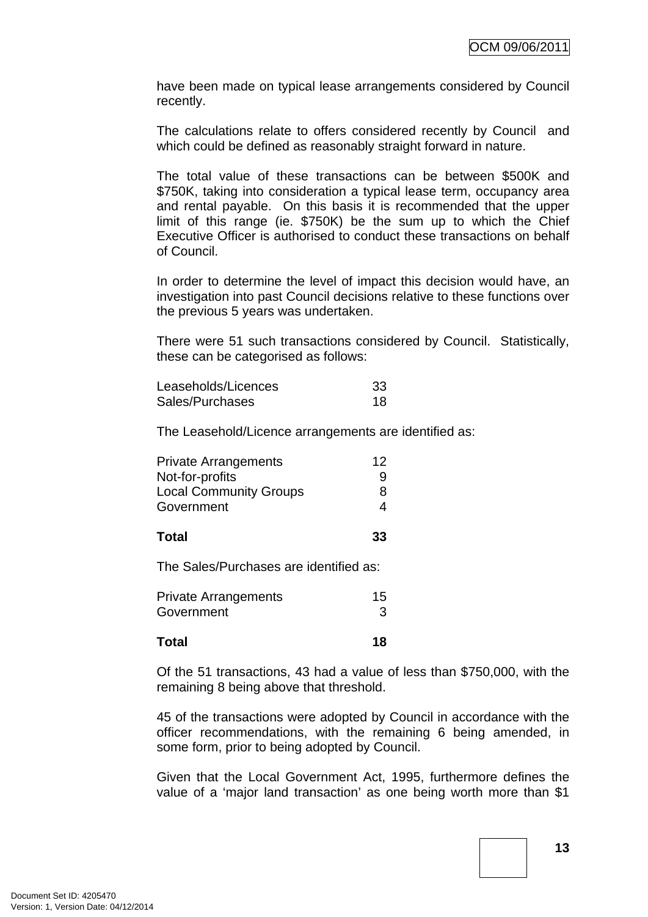have been made on typical lease arrangements considered by Council recently.

The calculations relate to offers considered recently by Council and which could be defined as reasonably straight forward in nature.

The total value of these transactions can be between \$500K and \$750K, taking into consideration a typical lease term, occupancy area and rental payable. On this basis it is recommended that the upper limit of this range (ie. \$750K) be the sum up to which the Chief Executive Officer is authorised to conduct these transactions on behalf of Council.

In order to determine the level of impact this decision would have, an investigation into past Council decisions relative to these functions over the previous 5 years was undertaken.

There were 51 such transactions considered by Council. Statistically, these can be categorised as follows:

| Leaseholds/Licences |    |
|---------------------|----|
| Sales/Purchases     | 18 |

The Leasehold/Licence arrangements are identified as:

| <b>Private Arrangements</b>   | 12 <sup>°</sup> |
|-------------------------------|-----------------|
| Not-for-profits               | 9               |
| <b>Local Community Groups</b> | 8               |
| Government                    | 4               |
|                               |                 |

**Total 33** 

The Sales/Purchases are identified as:

| <b>Private Arrangements</b> | 15 |
|-----------------------------|----|
| Government                  | З  |
|                             |    |
| Total                       | 18 |

Of the 51 transactions, 43 had a value of less than \$750,000, with the remaining 8 being above that threshold.

45 of the transactions were adopted by Council in accordance with the officer recommendations, with the remaining 6 being amended, in some form, prior to being adopted by Council.

Given that the Local Government Act, 1995, furthermore defines the value of a 'major land transaction' as one being worth more than \$1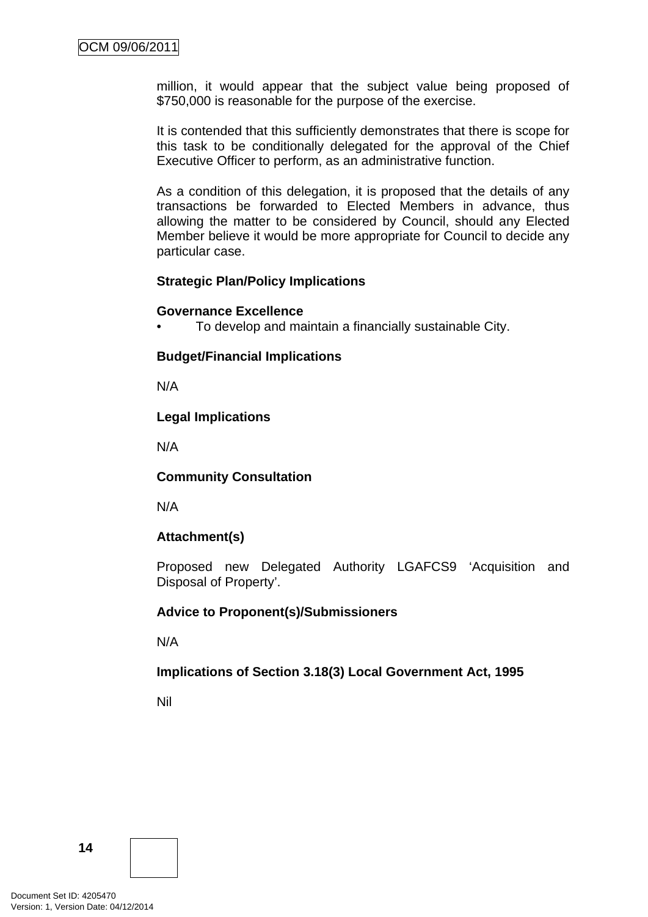million, it would appear that the subject value being proposed of \$750,000 is reasonable for the purpose of the exercise.

It is contended that this sufficiently demonstrates that there is scope for this task to be conditionally delegated for the approval of the Chief Executive Officer to perform, as an administrative function.

As a condition of this delegation, it is proposed that the details of any transactions be forwarded to Elected Members in advance, thus allowing the matter to be considered by Council, should any Elected Member believe it would be more appropriate for Council to decide any particular case.

### **Strategic Plan/Policy Implications**

#### **Governance Excellence**

• To develop and maintain a financially sustainable City.

#### **Budget/Financial Implications**

N/A

#### **Legal Implications**

N/A

### **Community Consultation**

N/A

### **Attachment(s)**

Proposed new Delegated Authority LGAFCS9 'Acquisition and Disposal of Property'.

#### **Advice to Proponent(s)/Submissioners**

N/A

### **Implications of Section 3.18(3) Local Government Act, 1995**

Nil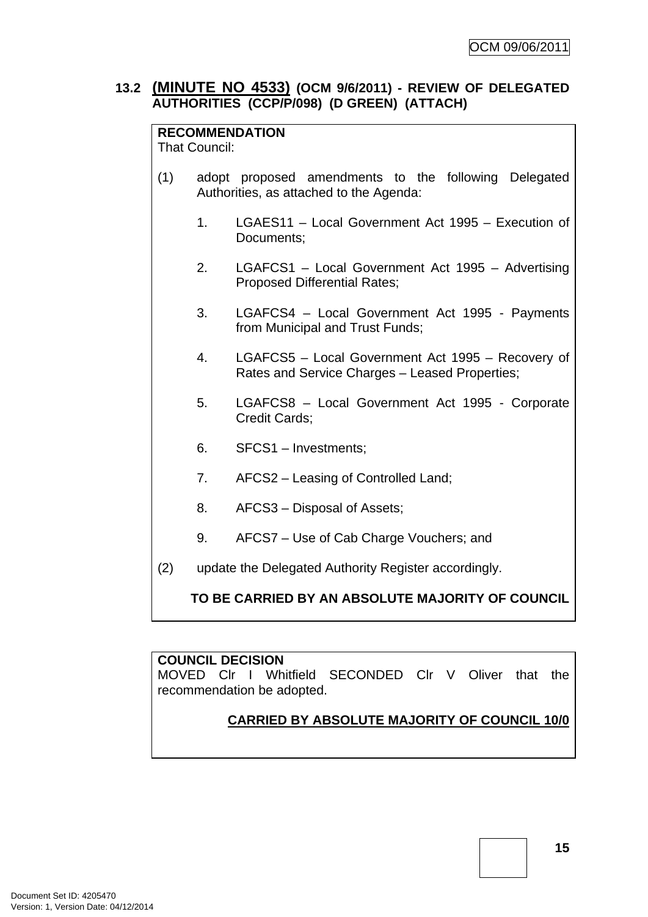### <span id="page-18-0"></span>**13.2 (MINUTE NO 4533) (OCM 9/6/2011) - REVIEW OF DELEGATED AUTHORITIES (CCP/P/098) (D GREEN) (ATTACH)**

### **RECOMMENDATION**

That Council:

- (1) adopt proposed amendments to the following Delegated Authorities, as attached to the Agenda:
	- 1. LGAES11 Local Government Act 1995 Execution of Documents;
	- 2. LGAFCS1 Local Government Act 1995 Advertising Proposed Differential Rates;
	- 3. LGAFCS4 Local Government Act 1995 Payments from Municipal and Trust Funds;
	- 4. LGAFCS5 Local Government Act 1995 Recovery of Rates and Service Charges – Leased Properties;
	- 5. LGAFCS8 Local Government Act 1995 Corporate Credit Cards;
	- 6. SFCS1 Investments;
	- 7. AFCS2 Leasing of Controlled Land;
	- 8. AFCS3 Disposal of Assets;
	- 9. AFCS7 Use of Cab Charge Vouchers; and
- (2) update the Delegated Authority Register accordingly.

### **TO BE CARRIED BY AN ABSOLUTE MAJORITY OF COUNCIL**

#### **COUNCIL DECISION**

MOVED Clr I Whitfield SECONDED Clr V Oliver that the recommendation be adopted.

### **CARRIED BY ABSOLUTE MAJORITY OF COUNCIL 10/0**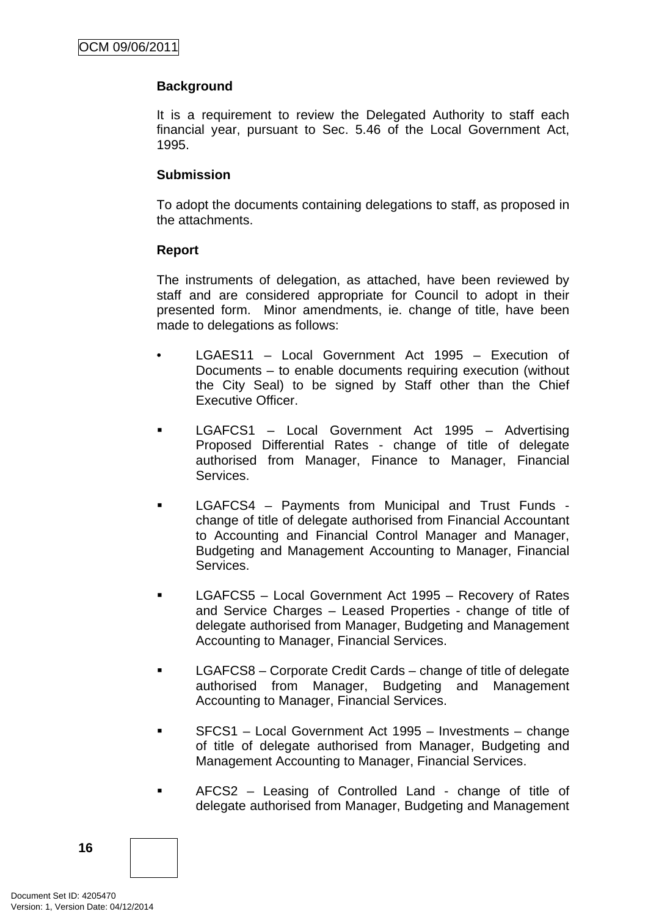### **Background**

It is a requirement to review the Delegated Authority to staff each financial year, pursuant to Sec. 5.46 of the Local Government Act, 1995.

#### **Submission**

To adopt the documents containing delegations to staff, as proposed in the attachments.

#### **Report**

The instruments of delegation, as attached, have been reviewed by staff and are considered appropriate for Council to adopt in their presented form. Minor amendments, ie. change of title, have been made to delegations as follows:

- LGAES11 Local Government Act 1995 Execution of Documents – to enable documents requiring execution (without the City Seal) to be signed by Staff other than the Chief Executive Officer.
- **EXECCS Local Government Act 1995 Advertising** Proposed Differential Rates - change of title of delegate authorised from Manager, Finance to Manager, Financial Services.
- LGAFCS4 Payments from Municipal and Trust Funds change of title of delegate authorised from Financial Accountant to Accounting and Financial Control Manager and Manager, Budgeting and Management Accounting to Manager, Financial Services.
- LGAFCS5 Local Government Act 1995 Recovery of Rates and Service Charges – Leased Properties - change of title of delegate authorised from Manager, Budgeting and Management Accounting to Manager, Financial Services.
- **LGAFCS8** Corporate Credit Cards change of title of delegate authorised from Manager, Budgeting and Management Accounting to Manager, Financial Services.
- SFCS1 Local Government Act 1995 Investments change of title of delegate authorised from Manager, Budgeting and Management Accounting to Manager, Financial Services.
- AFCS2 Leasing of Controlled Land change of title of delegate authorised from Manager, Budgeting and Management

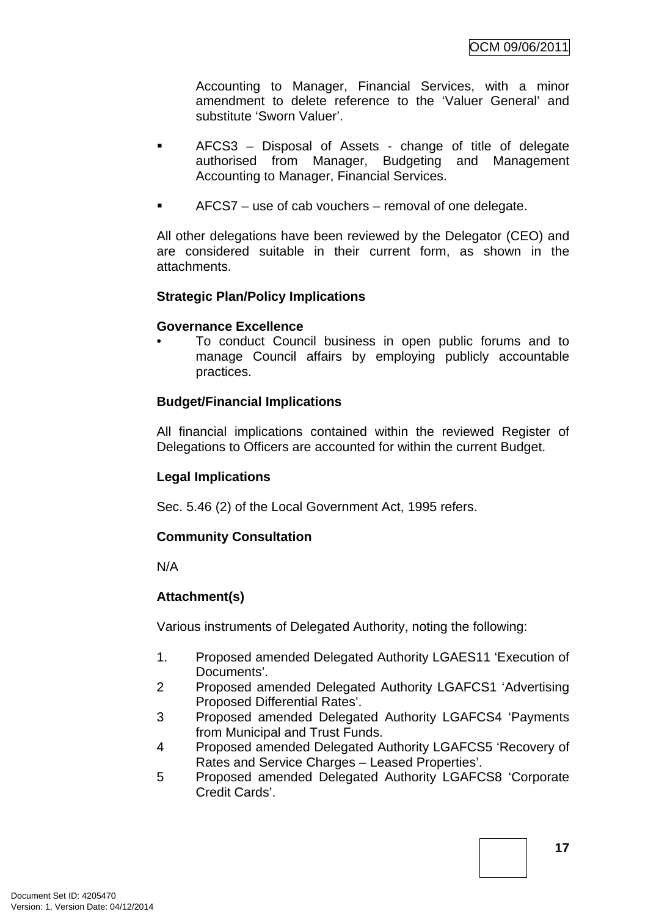Accounting to Manager, Financial Services, with a minor amendment to delete reference to the 'Valuer General' and substitute 'Sworn Valuer'.

- AFCS3 Disposal of Assets change of title of delegate authorised from Manager, Budgeting and Management Accounting to Manager, Financial Services.
- AFCS7 use of cab vouchers removal of one delegate.

All other delegations have been reviewed by the Delegator (CEO) and are considered suitable in their current form, as shown in the attachments.

### **Strategic Plan/Policy Implications**

#### **Governance Excellence**

• To conduct Council business in open public forums and to manage Council affairs by employing publicly accountable practices.

### **Budget/Financial Implications**

All financial implications contained within the reviewed Register of Delegations to Officers are accounted for within the current Budget.

### **Legal Implications**

Sec. 5.46 (2) of the Local Government Act, 1995 refers.

### **Community Consultation**

N/A

### **Attachment(s)**

Various instruments of Delegated Authority, noting the following:

- 1. Proposed amended Delegated Authority LGAES11 'Execution of Documents'.
- 2 Proposed amended Delegated Authority LGAFCS1 'Advertising Proposed Differential Rates'.
- 3 Proposed amended Delegated Authority LGAFCS4 'Payments from Municipal and Trust Funds.
- 4 Proposed amended Delegated Authority LGAFCS5 'Recovery of Rates and Service Charges – Leased Properties'.
- 5 Proposed amended Delegated Authority LGAFCS8 'Corporate Credit Cards'.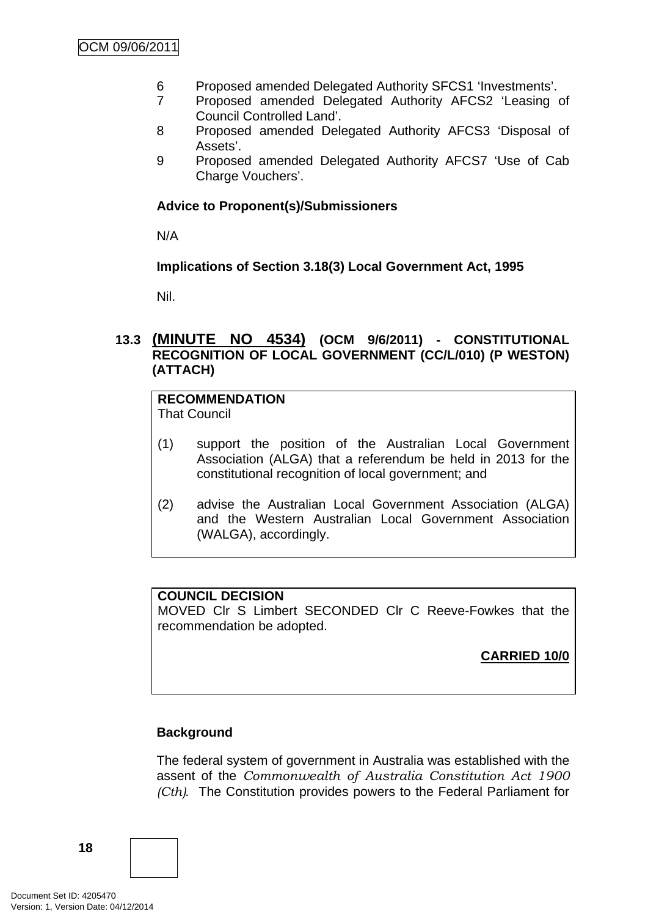- <span id="page-21-0"></span>6 Proposed amended Delegated Authority SFCS1 'Investments'.
- 7 Proposed amended Delegated Authority AFCS2 'Leasing of Council Controlled Land'.
- 8 Proposed amended Delegated Authority AFCS3 'Disposal of Assets'.
- 9 Proposed amended Delegated Authority AFCS7 'Use of Cab Charge Vouchers'.

### **Advice to Proponent(s)/Submissioners**

N/A

### **Implications of Section 3.18(3) Local Government Act, 1995**

Nil.

### **13.3 (MINUTE NO 4534) (OCM 9/6/2011) - CONSTITUTIONAL RECOGNITION OF LOCAL GOVERNMENT (CC/L/010) (P WESTON) (ATTACH)**

### **RECOMMENDATION**

That Council

- (1) support the position of the Australian Local Government Association (ALGA) that a referendum be held in 2013 for the constitutional recognition of local government; and
- (2) advise the Australian Local Government Association (ALGA) and the Western Australian Local Government Association (WALGA), accordingly.

### **COUNCIL DECISION**

MOVED Clr S Limbert SECONDED Clr C Reeve-Fowkes that the recommendation be adopted.

**CARRIED 10/0**

### **Background**

The federal system of government in Australia was established with the assent of the *Commonwealth of Australia Constitution Act 1900 (Cth).* The Constitution provides powers to the Federal Parliament for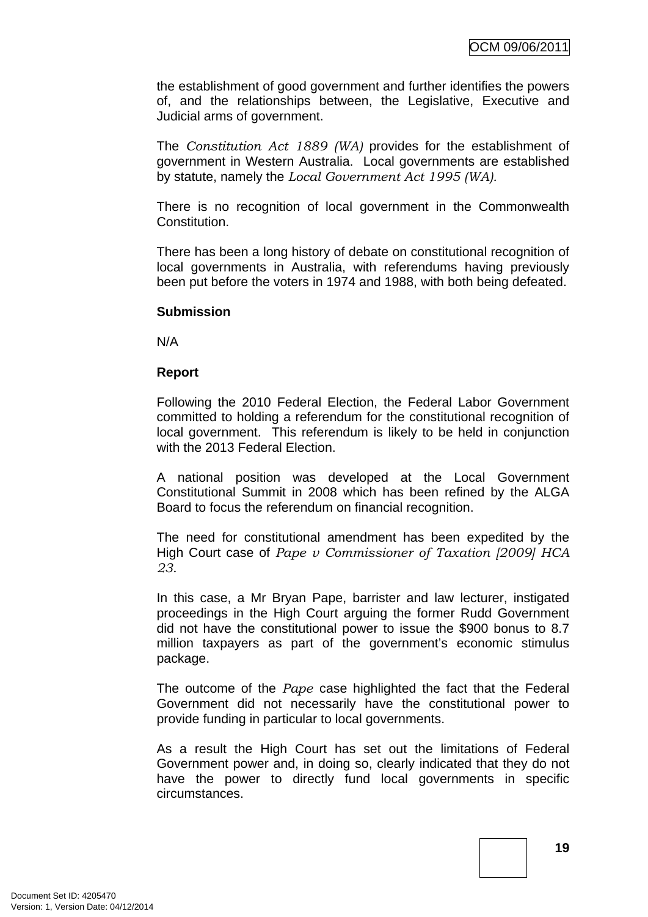the establishment of good government and further identifies the powers of, and the relationships between, the Legislative, Executive and Judicial arms of government.

The *Constitution Act 1889 (WA)* provides for the establishment of government in Western Australia. Local governments are established by statute, namely the *Local Government Act 1995 (WA).*

There is no recognition of local government in the Commonwealth Constitution.

There has been a long history of debate on constitutional recognition of local governments in Australia, with referendums having previously been put before the voters in 1974 and 1988, with both being defeated.

#### **Submission**

N/A

#### **Report**

Following the 2010 Federal Election, the Federal Labor Government committed to holding a referendum for the constitutional recognition of local government. This referendum is likely to be held in conjunction with the 2013 Federal Election.

A national position was developed at the Local Government Constitutional Summit in 2008 which has been refined by the ALGA Board to focus the referendum on financial recognition.

The need for constitutional amendment has been expedited by the High Court case of *Pape v Commissioner of Taxation [2009] HCA 23*.

In this case, a Mr Bryan Pape, barrister and law lecturer, instigated proceedings in the High Court arguing the former Rudd Government did not have the constitutional power to issue the \$900 bonus to 8.7 million taxpayers as part of the government's economic stimulus package.

The outcome of the *Pape* case highlighted the fact that the Federal Government did not necessarily have the constitutional power to provide funding in particular to local governments.

As a result the High Court has set out the limitations of Federal Government power and, in doing so, clearly indicated that they do not have the power to directly fund local governments in specific circumstances.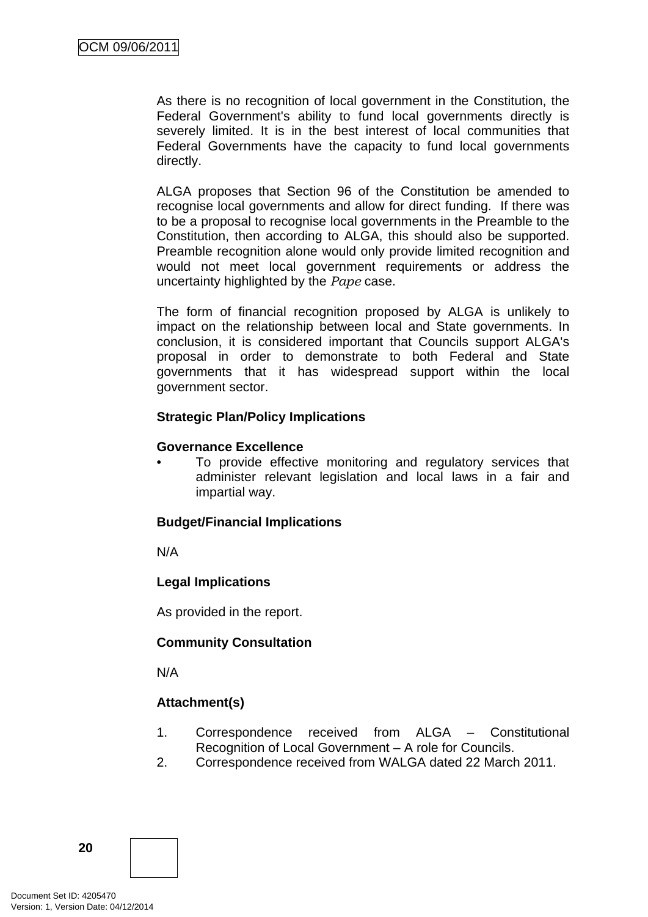As there is no recognition of local government in the Constitution, the Federal Government's ability to fund local governments directly is severely limited. It is in the best interest of local communities that Federal Governments have the capacity to fund local governments directly.

ALGA proposes that Section 96 of the Constitution be amended to recognise local governments and allow for direct funding. If there was to be a proposal to recognise local governments in the Preamble to the Constitution, then according to ALGA, this should also be supported. Preamble recognition alone would only provide limited recognition and would not meet local government requirements or address the uncertainty highlighted by the *Pape* case.

The form of financial recognition proposed by ALGA is unlikely to impact on the relationship between local and State governments. In conclusion, it is considered important that Councils support ALGA's proposal in order to demonstrate to both Federal and State governments that it has widespread support within the local government sector.

### **Strategic Plan/Policy Implications**

#### **Governance Excellence**

To provide effective monitoring and regulatory services that administer relevant legislation and local laws in a fair and impartial way.

### **Budget/Financial Implications**

N/A

### **Legal Implications**

As provided in the report.

### **Community Consultation**

N/A

### **Attachment(s)**

- 1. Correspondence received from ALGA Constitutional Recognition of Local Government – A role for Councils.
- 2. Correspondence received from WALGA dated 22 March 2011.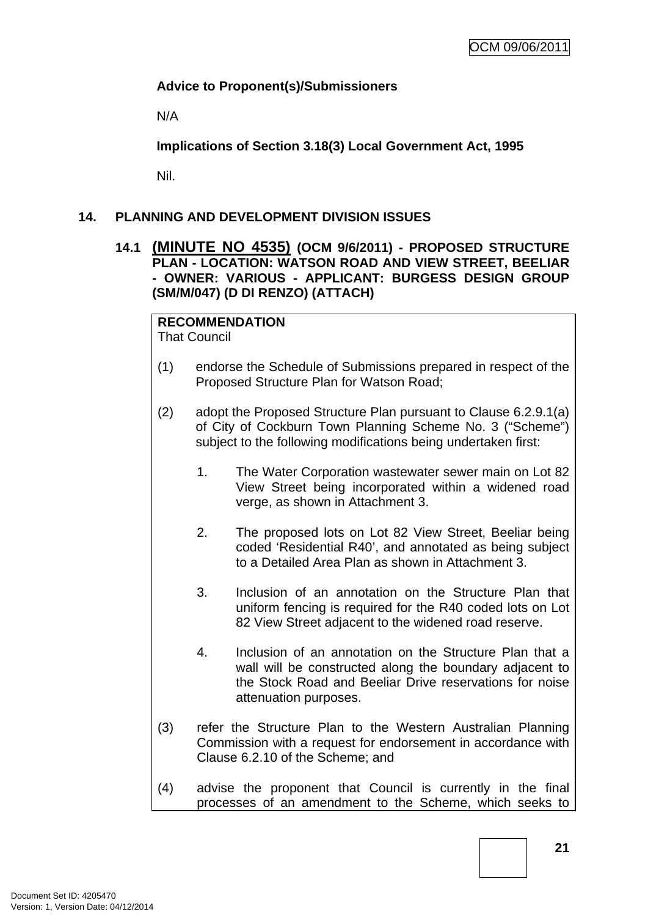### <span id="page-24-0"></span>**Advice to Proponent(s)/Submissioners**

N/A

**Implications of Section 3.18(3) Local Government Act, 1995**

Nil.

### **14. PLANNING AND DEVELOPMENT DIVISION ISSUES**

### **14.1 (MINUTE NO 4535) (OCM 9/6/2011) - PROPOSED STRUCTURE PLAN - LOCATION: WATSON ROAD AND VIEW STREET, BEELIAR - OWNER: VARIOUS - APPLICANT: BURGESS DESIGN GROUP (SM/M/047) (D DI RENZO) (ATTACH)**

# **RECOMMENDATION**

That Council

- (1) endorse the Schedule of Submissions prepared in respect of the Proposed Structure Plan for Watson Road;
- (2) adopt the Proposed Structure Plan pursuant to Clause 6.2.9.1(a) of City of Cockburn Town Planning Scheme No. 3 ("Scheme") subject to the following modifications being undertaken first:
	- 1. The Water Corporation wastewater sewer main on Lot 82 View Street being incorporated within a widened road verge, as shown in Attachment 3.
	- 2. The proposed lots on Lot 82 View Street, Beeliar being coded 'Residential R40', and annotated as being subject to a Detailed Area Plan as shown in Attachment 3.
	- 3. Inclusion of an annotation on the Structure Plan that uniform fencing is required for the R40 coded lots on Lot 82 View Street adjacent to the widened road reserve.
	- 4. Inclusion of an annotation on the Structure Plan that a wall will be constructed along the boundary adjacent to the Stock Road and Beeliar Drive reservations for noise attenuation purposes.
- (3) refer the Structure Plan to the Western Australian Planning Commission with a request for endorsement in accordance with Clause 6.2.10 of the Scheme; and
- (4) advise the proponent that Council is currently in the final processes of an amendment to the Scheme, which seeks to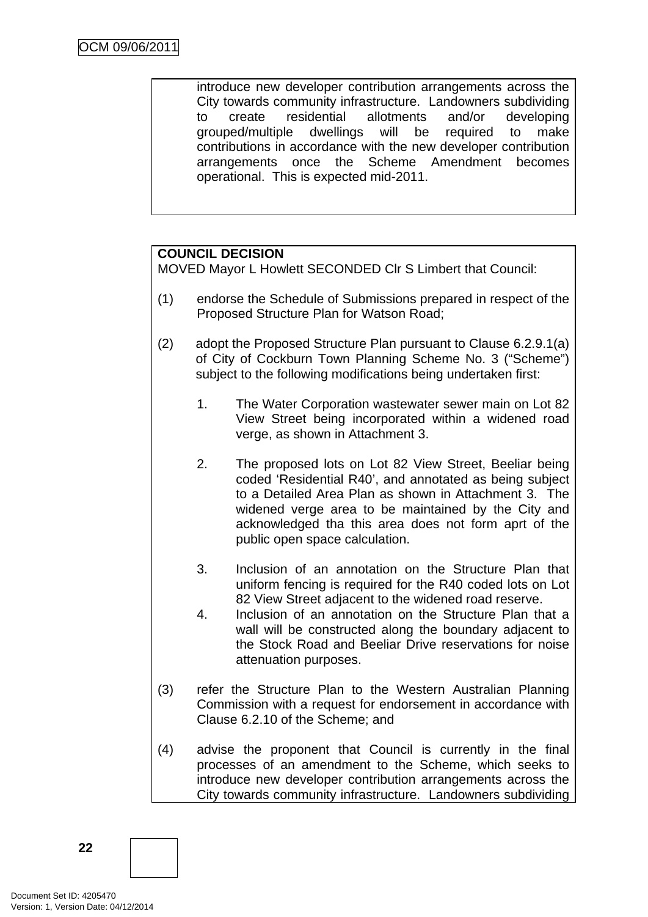introduce new developer contribution arrangements across the City towards community infrastructure. Landowners subdividing to create residential allotments and/or developing grouped/multiple dwellings will be required to make contributions in accordance with the new developer contribution arrangements once the Scheme Amendment becomes operational. This is expected mid-2011.

### **COUNCIL DECISION**

MOVED Mayor L Howlett SECONDED Clr S Limbert that Council:

- (1) endorse the Schedule of Submissions prepared in respect of the Proposed Structure Plan for Watson Road;
- (2) adopt the Proposed Structure Plan pursuant to Clause 6.2.9.1(a) of City of Cockburn Town Planning Scheme No. 3 ("Scheme") subject to the following modifications being undertaken first:
	- 1. The Water Corporation wastewater sewer main on Lot 82 View Street being incorporated within a widened road verge, as shown in Attachment 3.
	- 2. The proposed lots on Lot 82 View Street, Beeliar being coded 'Residential R40', and annotated as being subject to a Detailed Area Plan as shown in Attachment 3. The widened verge area to be maintained by the City and acknowledged tha this area does not form aprt of the public open space calculation.
	- 3. Inclusion of an annotation on the Structure Plan that uniform fencing is required for the R40 coded lots on Lot 82 View Street adjacent to the widened road reserve.
	- 4. Inclusion of an annotation on the Structure Plan that a wall will be constructed along the boundary adjacent to the Stock Road and Beeliar Drive reservations for noise attenuation purposes.
- (3) refer the Structure Plan to the Western Australian Planning Commission with a request for endorsement in accordance with Clause 6.2.10 of the Scheme; and
- (4) advise the proponent that Council is currently in the final processes of an amendment to the Scheme, which seeks to introduce new developer contribution arrangements across the City towards community infrastructure. Landowners subdividing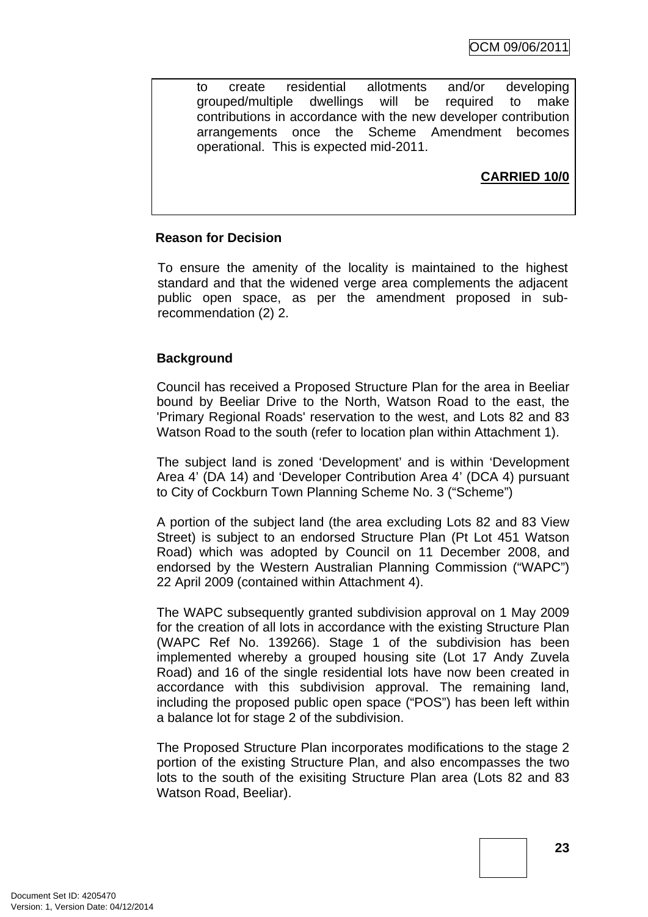to create residential allotments and/or developing grouped/multiple dwellings will be required to make contributions in accordance with the new developer contribution arrangements once the Scheme Amendment becomes operational. This is expected mid-2011.

**CARRIED 10/0**

### **Reason for Decision**

To ensure the amenity of the locality is maintained to the highest standard and that the widened verge area complements the adjacent public open space, as per the amendment proposed in subrecommendation (2) 2.

### **Background**

Council has received a Proposed Structure Plan for the area in Beeliar bound by Beeliar Drive to the North, Watson Road to the east, the 'Primary Regional Roads' reservation to the west, and Lots 82 and 83 Watson Road to the south (refer to location plan within Attachment 1).

The subject land is zoned 'Development' and is within 'Development Area 4' (DA 14) and 'Developer Contribution Area 4' (DCA 4) pursuant to City of Cockburn Town Planning Scheme No. 3 ("Scheme")

A portion of the subject land (the area excluding Lots 82 and 83 View Street) is subject to an endorsed Structure Plan (Pt Lot 451 Watson Road) which was adopted by Council on 11 December 2008, and endorsed by the Western Australian Planning Commission ("WAPC") 22 April 2009 (contained within Attachment 4).

The WAPC subsequently granted subdivision approval on 1 May 2009 for the creation of all lots in accordance with the existing Structure Plan (WAPC Ref No. 139266). Stage 1 of the subdivision has been implemented whereby a grouped housing site (Lot 17 Andy Zuvela Road) and 16 of the single residential lots have now been created in accordance with this subdivision approval. The remaining land, including the proposed public open space ("POS") has been left within a balance lot for stage 2 of the subdivision.

The Proposed Structure Plan incorporates modifications to the stage 2 portion of the existing Structure Plan, and also encompasses the two lots to the south of the exisiting Structure Plan area (Lots 82 and 83 Watson Road, Beeliar).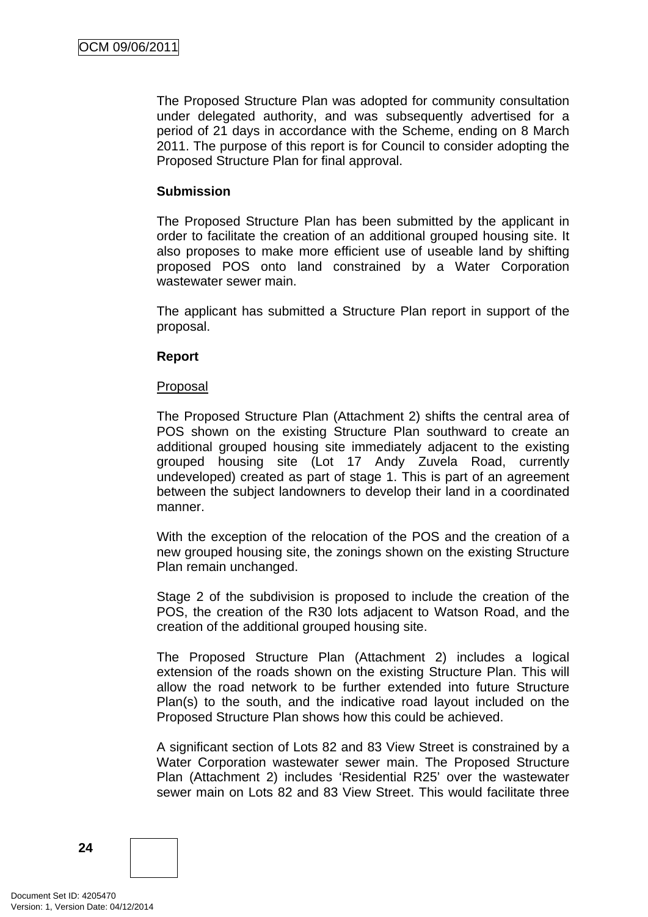The Proposed Structure Plan was adopted for community consultation under delegated authority, and was subsequently advertised for a period of 21 days in accordance with the Scheme, ending on 8 March 2011. The purpose of this report is for Council to consider adopting the Proposed Structure Plan for final approval.

### **Submission**

The Proposed Structure Plan has been submitted by the applicant in order to facilitate the creation of an additional grouped housing site. It also proposes to make more efficient use of useable land by shifting proposed POS onto land constrained by a Water Corporation wastewater sewer main.

The applicant has submitted a Structure Plan report in support of the proposal.

#### **Report**

#### Proposal

The Proposed Structure Plan (Attachment 2) shifts the central area of POS shown on the existing Structure Plan southward to create an additional grouped housing site immediately adjacent to the existing grouped housing site (Lot 17 Andy Zuvela Road, currently undeveloped) created as part of stage 1. This is part of an agreement between the subject landowners to develop their land in a coordinated manner.

With the exception of the relocation of the POS and the creation of a new grouped housing site, the zonings shown on the existing Structure Plan remain unchanged.

Stage 2 of the subdivision is proposed to include the creation of the POS, the creation of the R30 lots adjacent to Watson Road, and the creation of the additional grouped housing site.

The Proposed Structure Plan (Attachment 2) includes a logical extension of the roads shown on the existing Structure Plan. This will allow the road network to be further extended into future Structure Plan(s) to the south, and the indicative road layout included on the Proposed Structure Plan shows how this could be achieved.

A significant section of Lots 82 and 83 View Street is constrained by a Water Corporation wastewater sewer main. The Proposed Structure Plan (Attachment 2) includes 'Residential R25' over the wastewater sewer main on Lots 82 and 83 View Street. This would facilitate three

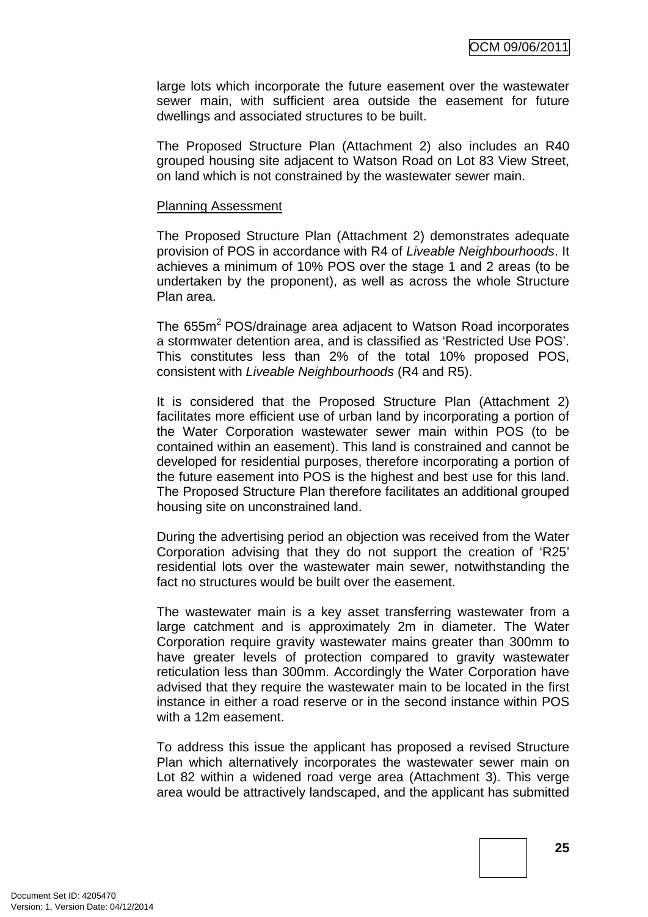large lots which incorporate the future easement over the wastewater sewer main, with sufficient area outside the easement for future dwellings and associated structures to be built.

The Proposed Structure Plan (Attachment 2) also includes an R40 grouped housing site adjacent to Watson Road on Lot 83 View Street, on land which is not constrained by the wastewater sewer main.

#### Planning Assessment

The Proposed Structure Plan (Attachment 2) demonstrates adequate provision of POS in accordance with R4 of *Liveable Neighbourhoods*. It achieves a minimum of 10% POS over the stage 1 and 2 areas (to be undertaken by the proponent), as well as across the whole Structure Plan area.

The 655m<sup>2</sup> POS/drainage area adjacent to Watson Road incorporates a stormwater detention area, and is classified as 'Restricted Use POS'. This constitutes less than 2% of the total 10% proposed POS, consistent with *Liveable Neighbourhoods* (R4 and R5).

It is considered that the Proposed Structure Plan (Attachment 2) facilitates more efficient use of urban land by incorporating a portion of the Water Corporation wastewater sewer main within POS (to be contained within an easement). This land is constrained and cannot be developed for residential purposes, therefore incorporating a portion of the future easement into POS is the highest and best use for this land. The Proposed Structure Plan therefore facilitates an additional grouped housing site on unconstrained land.

During the advertising period an objection was received from the Water Corporation advising that they do not support the creation of 'R25' residential lots over the wastewater main sewer, notwithstanding the fact no structures would be built over the easement.

The wastewater main is a key asset transferring wastewater from a large catchment and is approximately 2m in diameter. The Water Corporation require gravity wastewater mains greater than 300mm to have greater levels of protection compared to gravity wastewater reticulation less than 300mm. Accordingly the Water Corporation have advised that they require the wastewater main to be located in the first instance in either a road reserve or in the second instance within POS with a 12m easement.

To address this issue the applicant has proposed a revised Structure Plan which alternatively incorporates the wastewater sewer main on Lot 82 within a widened road verge area (Attachment 3). This verge area would be attractively landscaped, and the applicant has submitted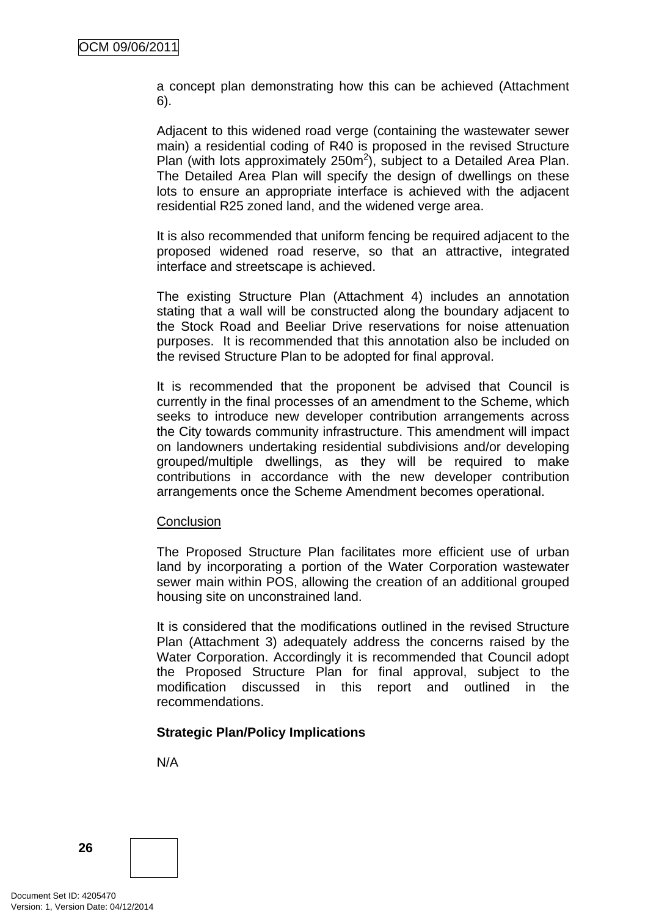a concept plan demonstrating how this can be achieved (Attachment 6).

Adjacent to this widened road verge (containing the wastewater sewer main) a residential coding of R40 is proposed in the revised Structure Plan (with lots approximately  $250m^2$ ), subject to a Detailed Area Plan. The Detailed Area Plan will specify the design of dwellings on these lots to ensure an appropriate interface is achieved with the adjacent residential R25 zoned land, and the widened verge area.

It is also recommended that uniform fencing be required adjacent to the proposed widened road reserve, so that an attractive, integrated interface and streetscape is achieved.

The existing Structure Plan (Attachment 4) includes an annotation stating that a wall will be constructed along the boundary adjacent to the Stock Road and Beeliar Drive reservations for noise attenuation purposes. It is recommended that this annotation also be included on the revised Structure Plan to be adopted for final approval.

It is recommended that the proponent be advised that Council is currently in the final processes of an amendment to the Scheme, which seeks to introduce new developer contribution arrangements across the City towards community infrastructure. This amendment will impact on landowners undertaking residential subdivisions and/or developing grouped/multiple dwellings, as they will be required to make contributions in accordance with the new developer contribution arrangements once the Scheme Amendment becomes operational.

### **Conclusion**

The Proposed Structure Plan facilitates more efficient use of urban land by incorporating a portion of the Water Corporation wastewater sewer main within POS, allowing the creation of an additional grouped housing site on unconstrained land.

It is considered that the modifications outlined in the revised Structure Plan (Attachment 3) adequately address the concerns raised by the Water Corporation. Accordingly it is recommended that Council adopt the Proposed Structure Plan for final approval, subject to the modification discussed in this report and outlined in the recommendations.

### **Strategic Plan/Policy Implications**

N/A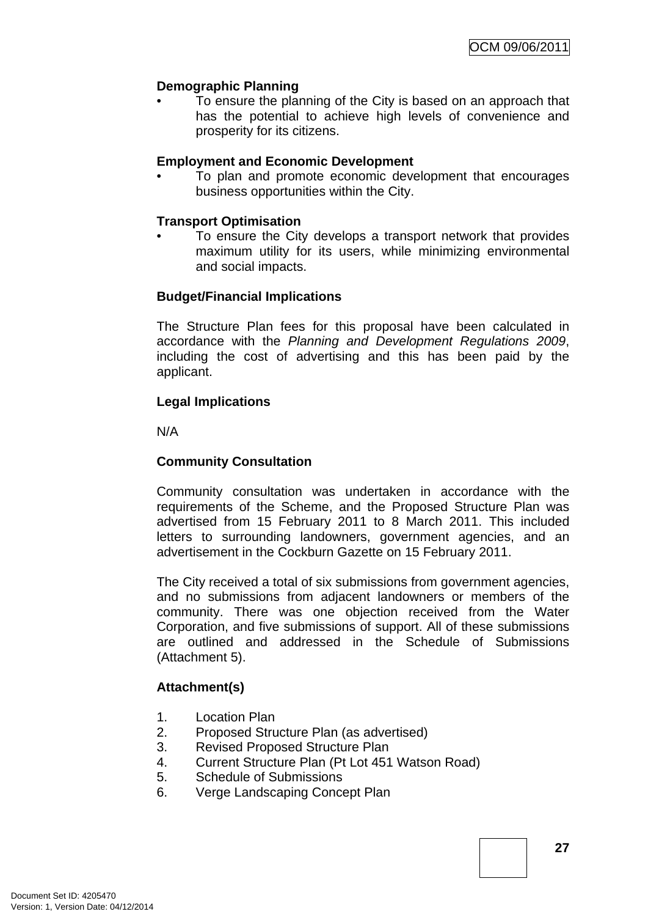### **Demographic Planning**

• To ensure the planning of the City is based on an approach that has the potential to achieve high levels of convenience and prosperity for its citizens.

#### **Employment and Economic Development**

• To plan and promote economic development that encourages business opportunities within the City.

#### **Transport Optimisation**

To ensure the City develops a transport network that provides maximum utility for its users, while minimizing environmental and social impacts.

#### **Budget/Financial Implications**

The Structure Plan fees for this proposal have been calculated in accordance with the *Planning and Development Regulations 2009*, including the cost of advertising and this has been paid by the applicant.

#### **Legal Implications**

N/A

### **Community Consultation**

Community consultation was undertaken in accordance with the requirements of the Scheme, and the Proposed Structure Plan was advertised from 15 February 2011 to 8 March 2011. This included letters to surrounding landowners, government agencies, and an advertisement in the Cockburn Gazette on 15 February 2011.

The City received a total of six submissions from government agencies, and no submissions from adjacent landowners or members of the community. There was one objection received from the Water Corporation, and five submissions of support. All of these submissions are outlined and addressed in the Schedule of Submissions (Attachment 5).

### **Attachment(s)**

- 1. Location Plan
- 2. Proposed Structure Plan (as advertised)
- 3. Revised Proposed Structure Plan
- 4. Current Structure Plan (Pt Lot 451 Watson Road)
- 5. Schedule of Submissions
- 6. Verge Landscaping Concept Plan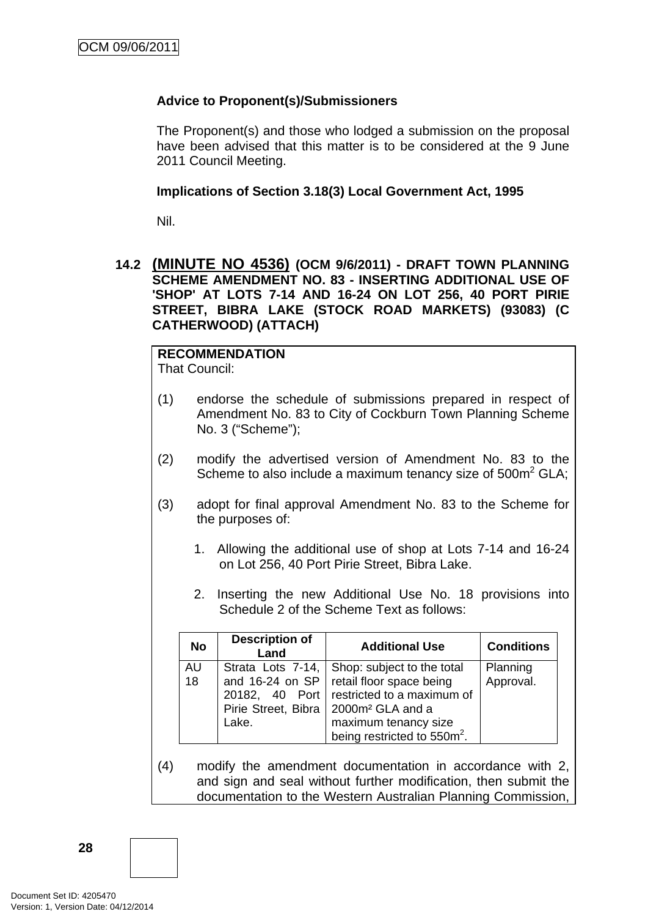### <span id="page-31-0"></span>**Advice to Proponent(s)/Submissioners**

The Proponent(s) and those who lodged a submission on the proposal have been advised that this matter is to be considered at the 9 June 2011 Council Meeting.

### **Implications of Section 3.18(3) Local Government Act, 1995**

Nil.

### **14.2 (MINUTE NO 4536) (OCM 9/6/2011) - DRAFT TOWN PLANNING SCHEME AMENDMENT NO. 83 - INSERTING ADDITIONAL USE OF 'SHOP' AT LOTS 7-14 AND 16-24 ON LOT 256, 40 PORT PIRIE STREET, BIBRA LAKE (STOCK ROAD MARKETS) (93083) (C CATHERWOOD) (ATTACH)**

# **RECOMMENDATION**

That Council:

- (1) endorse the schedule of submissions prepared in respect of Amendment No. 83 to City of Cockburn Town Planning Scheme No. 3 ("Scheme");
- (2) modify the advertised version of Amendment No. 83 to the Scheme to also include a maximum tenancy size of 500m<sup>2</sup> GLA;
- (3) adopt for final approval Amendment No. 83 to the Scheme for the purposes of:
	- 1. Allowing the additional use of shop at Lots 7-14 and 16-24 on Lot 256, 40 Port Pirie Street, Bibra Lake.
	- 2. Inserting the new Additional Use No. 18 provisions into Schedule 2 of the Scheme Text as follows:

| <b>No</b> | <b>Description of</b><br>Land | <b>Additional Use</b>                            | <b>Conditions</b> |
|-----------|-------------------------------|--------------------------------------------------|-------------------|
| AU        | Strata Lots 7-14,             | Shop: subject to the total                       | Planning          |
| 18        |                               | and 16-24 on SP $\vert$ retail floor space being | Approval.         |
|           |                               | 20182, 40 Port restricted to a maximum of        |                   |
|           | Pirie Street, Bibra           | $\vert$ 2000m <sup>2</sup> GLA and a             |                   |
|           | Lake.                         | maximum tenancy size                             |                   |
|           |                               | being restricted to 550m <sup>2</sup> .          |                   |

(4) modify the amendment documentation in accordance with 2, and sign and seal without further modification, then submit the documentation to the Western Australian Planning Commission,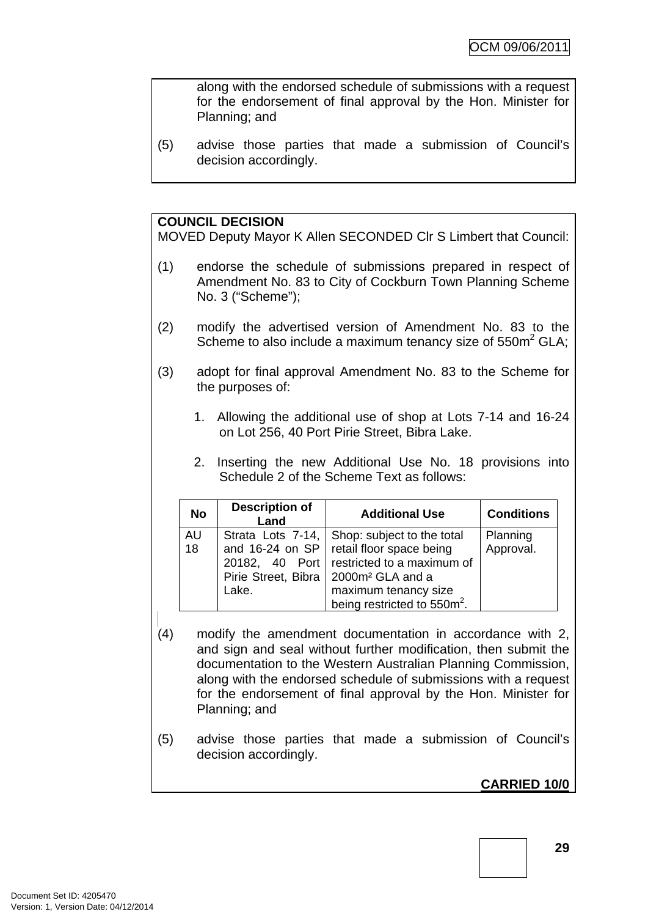along with the endorsed schedule of submissions with a request for the endorsement of final approval by the Hon. Minister for Planning; and

(5) advise those parties that made a submission of Council's decision accordingly.

### **COUNCIL DECISION**

MOVED Deputy Mayor K Allen SECONDED Clr S Limbert that Council:

- (1) endorse the schedule of submissions prepared in respect of Amendment No. 83 to City of Cockburn Town Planning Scheme No. 3 ("Scheme");
- (2) modify the advertised version of Amendment No. 83 to the Scheme to also include a maximum tenancy size of  $550m^2$  GLA;
- (3) adopt for final approval Amendment No. 83 to the Scheme for the purposes of:
	- 1. Allowing the additional use of shop at Lots 7-14 and 16-24 on Lot 256, 40 Port Pirie Street, Bibra Lake.
	- 2. Inserting the new Additional Use No. 18 provisions into Schedule 2 of the Scheme Text as follows:

| <b>No</b> | <b>Description of</b><br>Land | <b>Additional Use</b>                              | <b>Conditions</b> |
|-----------|-------------------------------|----------------------------------------------------|-------------------|
| AU        | Strata Lots 7-14,             | Shop: subject to the total                         | Planning          |
| 18        |                               | and 16-24 on SP   retail floor space being         | Approval.         |
|           |                               | 20182, 40 Port restricted to a maximum of          |                   |
|           |                               | Pirie Street, Bibra   2000m <sup>2</sup> GLA and a |                   |
|           | Lake.                         | maximum tenancy size                               |                   |
|           |                               | being restricted to 550m <sup>2</sup> .            |                   |

- (4) modify the amendment documentation in accordance with 2, and sign and seal without further modification, then submit the documentation to the Western Australian Planning Commission, along with the endorsed schedule of submissions with a request for the endorsement of final approval by the Hon. Minister for Planning; and
- (5) advise those parties that made a submission of Council's decision accordingly.

## **CARRIED 10/0**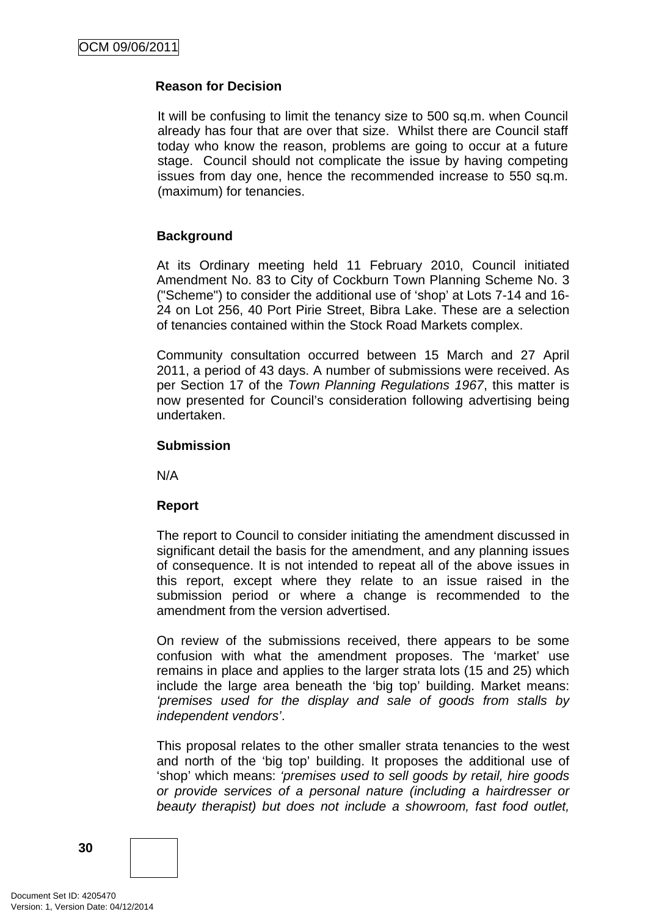### **Reason for Decision**

It will be confusing to limit the tenancy size to 500 sq.m. when Council already has four that are over that size. Whilst there are Council staff today who know the reason, problems are going to occur at a future stage. Council should not complicate the issue by having competing issues from day one, hence the recommended increase to 550 sq.m. (maximum) for tenancies.

### **Background**

At its Ordinary meeting held 11 February 2010, Council initiated Amendment No. 83 to City of Cockburn Town Planning Scheme No. 3 ("Scheme") to consider the additional use of 'shop' at Lots 7-14 and 16- 24 on Lot 256, 40 Port Pirie Street, Bibra Lake. These are a selection of tenancies contained within the Stock Road Markets complex.

Community consultation occurred between 15 March and 27 April 2011, a period of 43 days. A number of submissions were received. As per Section 17 of the *Town Planning Regulations 1967*, this matter is now presented for Council's consideration following advertising being undertaken.

### **Submission**

N/A

### **Report**

The report to Council to consider initiating the amendment discussed in significant detail the basis for the amendment, and any planning issues of consequence. It is not intended to repeat all of the above issues in this report, except where they relate to an issue raised in the submission period or where a change is recommended to the amendment from the version advertised.

On review of the submissions received, there appears to be some confusion with what the amendment proposes. The 'market' use remains in place and applies to the larger strata lots (15 and 25) which include the large area beneath the 'big top' building. Market means: *'premises used for the display and sale of goods from stalls by independent vendors'*.

This proposal relates to the other smaller strata tenancies to the west and north of the 'big top' building. It proposes the additional use of 'shop' which means: *'premises used to sell goods by retail, hire goods or provide services of a personal nature (including a hairdresser or beauty therapist) but does not include a showroom, fast food outlet,*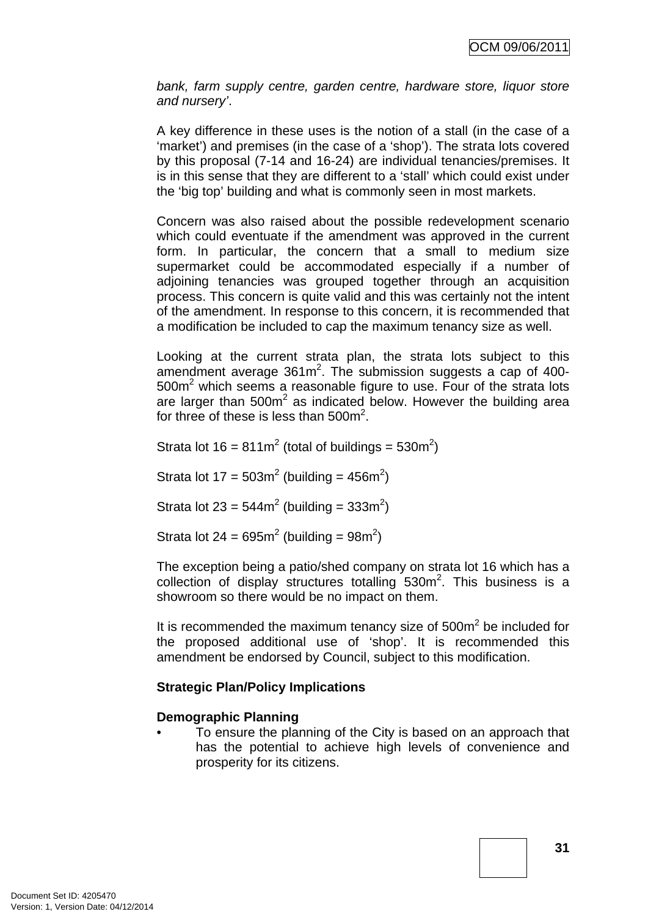*bank, farm supply centre, garden centre, hardware store, liquor store and nursery'*.

A key difference in these uses is the notion of a stall (in the case of a 'market') and premises (in the case of a 'shop'). The strata lots covered by this proposal (7-14 and 16-24) are individual tenancies/premises. It is in this sense that they are different to a 'stall' which could exist under the 'big top' building and what is commonly seen in most markets.

Concern was also raised about the possible redevelopment scenario which could eventuate if the amendment was approved in the current form. In particular, the concern that a small to medium size supermarket could be accommodated especially if a number of adjoining tenancies was grouped together through an acquisition process. This concern is quite valid and this was certainly not the intent of the amendment. In response to this concern, it is recommended that a modification be included to cap the maximum tenancy size as well.

Looking at the current strata plan, the strata lots subject to this amendment average  $361m^2$ . The submission suggests a cap of 400-500m<sup>2</sup> which seems a reasonable figure to use. Four of the strata lots are larger than  $500m^2$  as indicated below. However the building area for three of these is less than  $500m^2$ .

Strata lot  $16 = 811 \text{m}^2$  (total of buildings = 530m<sup>2</sup>)

Strata lot  $17 = 503m^2$  (building = 456m<sup>2</sup>)

Strata lot 23 =  $544m^2$  (building =  $333m^2$ )

Strata lot 24 =  $695m^2$  (building =  $98m^2$ )

The exception being a patio/shed company on strata lot 16 which has a  $collection$  of display structures totalling  $530m^2$ . This business is a showroom so there would be no impact on them.

It is recommended the maximum tenancy size of  $500m<sup>2</sup>$  be included for the proposed additional use of 'shop'. It is recommended this amendment be endorsed by Council, subject to this modification.

### **Strategic Plan/Policy Implications**

#### **Demographic Planning**

• To ensure the planning of the City is based on an approach that has the potential to achieve high levels of convenience and prosperity for its citizens.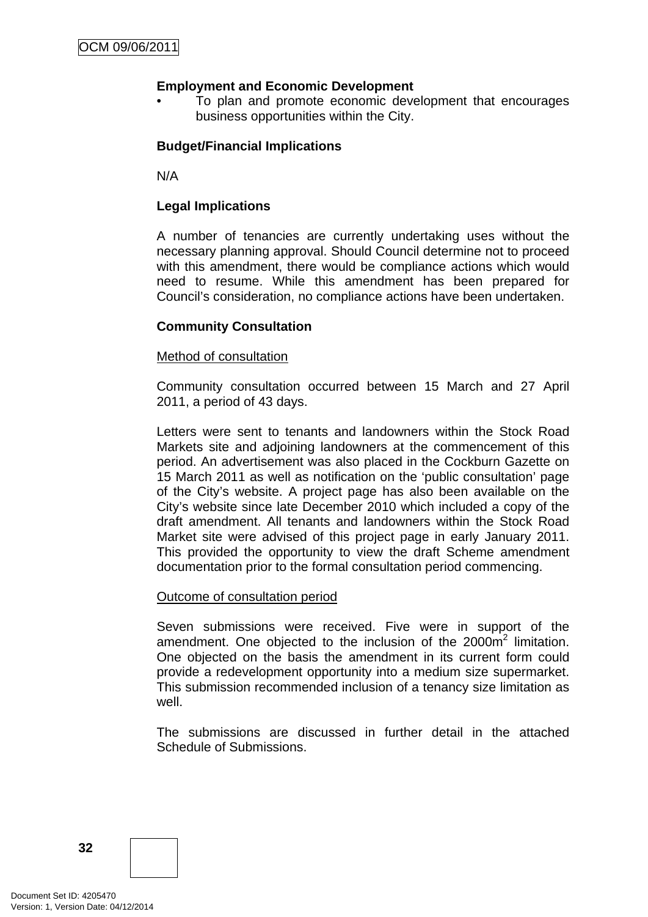### **Employment and Economic Development**

• To plan and promote economic development that encourages business opportunities within the City.

### **Budget/Financial Implications**

N/A

### **Legal Implications**

A number of tenancies are currently undertaking uses without the necessary planning approval. Should Council determine not to proceed with this amendment, there would be compliance actions which would need to resume. While this amendment has been prepared for Council's consideration, no compliance actions have been undertaken.

### **Community Consultation**

#### Method of consultation

Community consultation occurred between 15 March and 27 April 2011, a period of 43 days.

Letters were sent to tenants and landowners within the Stock Road Markets site and adjoining landowners at the commencement of this period. An advertisement was also placed in the Cockburn Gazette on 15 March 2011 as well as notification on the 'public consultation' page of the City's website. A project page has also been available on the City's website since late December 2010 which included a copy of the draft amendment. All tenants and landowners within the Stock Road Market site were advised of this project page in early January 2011. This provided the opportunity to view the draft Scheme amendment documentation prior to the formal consultation period commencing.

### Outcome of consultation period

Seven submissions were received. Five were in support of the amendment. One objected to the inclusion of the  $2000m^2$  limitation. One objected on the basis the amendment in its current form could provide a redevelopment opportunity into a medium size supermarket. This submission recommended inclusion of a tenancy size limitation as well.

The submissions are discussed in further detail in the attached Schedule of Submissions.

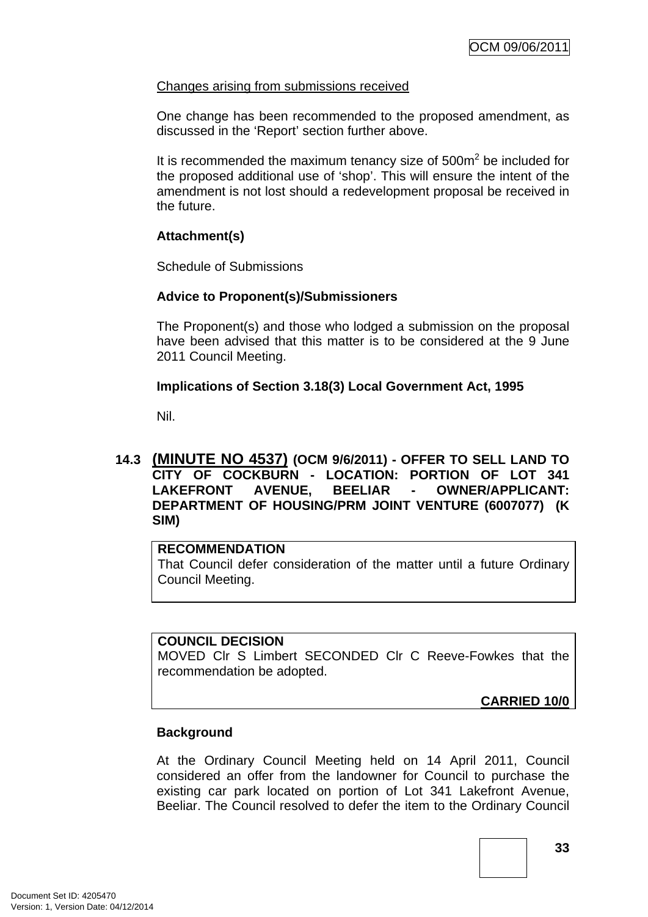### Changes arising from submissions received

One change has been recommended to the proposed amendment, as discussed in the 'Report' section further above.

It is recommended the maximum tenancy size of  $500m<sup>2</sup>$  be included for the proposed additional use of 'shop'. This will ensure the intent of the amendment is not lost should a redevelopment proposal be received in the future.

# **Attachment(s)**

Schedule of Submissions

## **Advice to Proponent(s)/Submissioners**

The Proponent(s) and those who lodged a submission on the proposal have been advised that this matter is to be considered at the 9 June 2011 Council Meeting.

## **Implications of Section 3.18(3) Local Government Act, 1995**

Nil.

## **14.3 (MINUTE NO 4537) (OCM 9/6/2011) - OFFER TO SELL LAND TO CITY OF COCKBURN - LOCATION: PORTION OF LOT 341 LAKEFRONT AVENUE, BEELIAR - OWNER/APPLICANT: DEPARTMENT OF HOUSING/PRM JOINT VENTURE (6007077) (K SIM)**

### **RECOMMENDATION**

That Council defer consideration of the matter until a future Ordinary Council Meeting.

### **COUNCIL DECISION**

MOVED Clr S Limbert SECONDED Clr C Reeve-Fowkes that the recommendation be adopted.

**CARRIED 10/0**

### **Background**

At the Ordinary Council Meeting held on 14 April 2011, Council considered an offer from the landowner for Council to purchase the existing car park located on portion of Lot 341 Lakefront Avenue, Beeliar. The Council resolved to defer the item to the Ordinary Council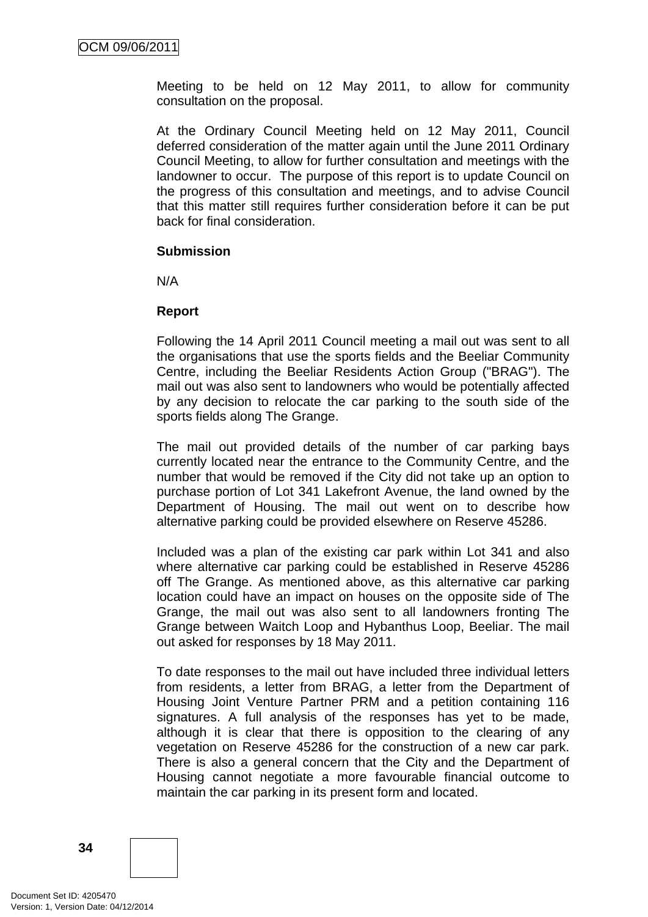Meeting to be held on 12 May 2011, to allow for community consultation on the proposal.

At the Ordinary Council Meeting held on 12 May 2011, Council deferred consideration of the matter again until the June 2011 Ordinary Council Meeting, to allow for further consultation and meetings with the landowner to occur. The purpose of this report is to update Council on the progress of this consultation and meetings, and to advise Council that this matter still requires further consideration before it can be put back for final consideration.

#### **Submission**

N/A

#### **Report**

Following the 14 April 2011 Council meeting a mail out was sent to all the organisations that use the sports fields and the Beeliar Community Centre, including the Beeliar Residents Action Group ("BRAG"). The mail out was also sent to landowners who would be potentially affected by any decision to relocate the car parking to the south side of the sports fields along The Grange.

The mail out provided details of the number of car parking bays currently located near the entrance to the Community Centre, and the number that would be removed if the City did not take up an option to purchase portion of Lot 341 Lakefront Avenue, the land owned by the Department of Housing. The mail out went on to describe how alternative parking could be provided elsewhere on Reserve 45286.

Included was a plan of the existing car park within Lot 341 and also where alternative car parking could be established in Reserve 45286 off The Grange. As mentioned above, as this alternative car parking location could have an impact on houses on the opposite side of The Grange, the mail out was also sent to all landowners fronting The Grange between Waitch Loop and Hybanthus Loop, Beeliar. The mail out asked for responses by 18 May 2011.

To date responses to the mail out have included three individual letters from residents, a letter from BRAG, a letter from the Department of Housing Joint Venture Partner PRM and a petition containing 116 signatures. A full analysis of the responses has yet to be made, although it is clear that there is opposition to the clearing of any vegetation on Reserve 45286 for the construction of a new car park. There is also a general concern that the City and the Department of Housing cannot negotiate a more favourable financial outcome to maintain the car parking in its present form and located.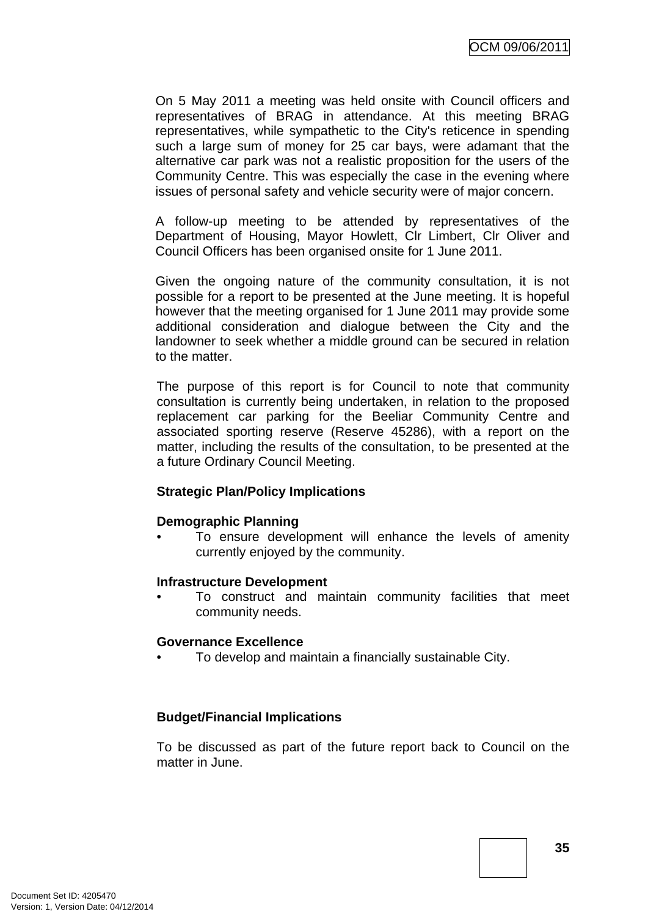On 5 May 2011 a meeting was held onsite with Council officers and representatives of BRAG in attendance. At this meeting BRAG representatives, while sympathetic to the City's reticence in spending such a large sum of money for 25 car bays, were adamant that the alternative car park was not a realistic proposition for the users of the Community Centre. This was especially the case in the evening where issues of personal safety and vehicle security were of major concern.

A follow-up meeting to be attended by representatives of the Department of Housing, Mayor Howlett, Clr Limbert, Clr Oliver and Council Officers has been organised onsite for 1 June 2011.

Given the ongoing nature of the community consultation, it is not possible for a report to be presented at the June meeting. It is hopeful however that the meeting organised for 1 June 2011 may provide some additional consideration and dialogue between the City and the landowner to seek whether a middle ground can be secured in relation to the matter.

The purpose of this report is for Council to note that community consultation is currently being undertaken, in relation to the proposed replacement car parking for the Beeliar Community Centre and associated sporting reserve (Reserve 45286), with a report on the matter, including the results of the consultation, to be presented at the a future Ordinary Council Meeting.

### **Strategic Plan/Policy Implications**

### **Demographic Planning**

To ensure development will enhance the levels of amenity currently enjoyed by the community.

#### **Infrastructure Development**

• To construct and maintain community facilities that meet community needs.

### **Governance Excellence**

• To develop and maintain a financially sustainable City.

### **Budget/Financial Implications**

To be discussed as part of the future report back to Council on the matter in June.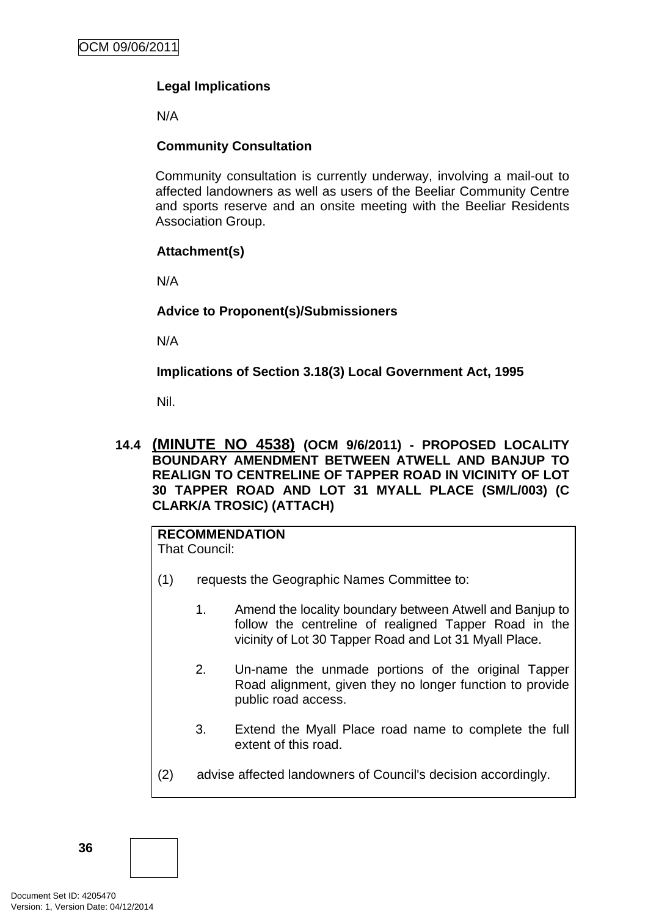# **Legal Implications**

N/A

## **Community Consultation**

Community consultation is currently underway, involving a mail-out to affected landowners as well as users of the Beeliar Community Centre and sports reserve and an onsite meeting with the Beeliar Residents Association Group.

## **Attachment(s)**

N/A

## **Advice to Proponent(s)/Submissioners**

N/A

**Implications of Section 3.18(3) Local Government Act, 1995**

Nil.

**14.4 (MINUTE NO 4538) (OCM 9/6/2011) - PROPOSED LOCALITY BOUNDARY AMENDMENT BETWEEN ATWELL AND BANJUP TO REALIGN TO CENTRELINE OF TAPPER ROAD IN VICINITY OF LOT 30 TAPPER ROAD AND LOT 31 MYALL PLACE (SM/L/003) (C CLARK/A TROSIC) (ATTACH)** 

**RECOMMENDATION**

That Council:

- (1) requests the Geographic Names Committee to:
	- 1. Amend the locality boundary between Atwell and Banjup to follow the centreline of realigned Tapper Road in the vicinity of Lot 30 Tapper Road and Lot 31 Myall Place.
	- 2. Un-name the unmade portions of the original Tapper Road alignment, given they no longer function to provide public road access.
	- 3. Extend the Myall Place road name to complete the full extent of this road.
- (2) advise affected landowners of Council's decision accordingly.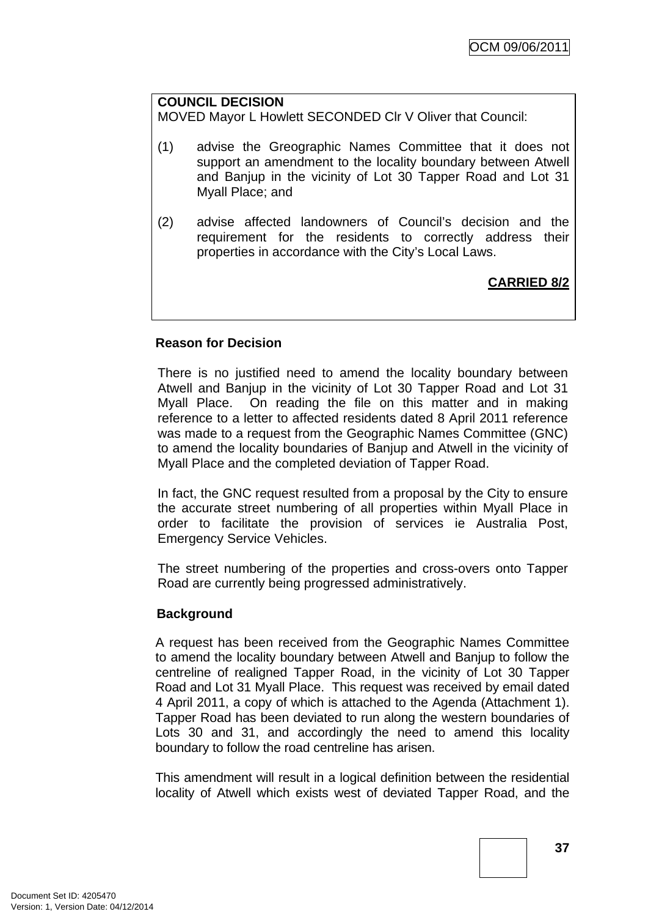### **COUNCIL DECISION**

MOVED Mayor L Howlett SECONDED Clr V Oliver that Council:

- (1) advise the Greographic Names Committee that it does not support an amendment to the locality boundary between Atwell and Banjup in the vicinity of Lot 30 Tapper Road and Lot 31 Myall Place; and
- (2) advise affected landowners of Council's decision and the requirement for the residents to correctly address their properties in accordance with the City's Local Laws.

# **CARRIED 8/2**

### **Reason for Decision**

There is no justified need to amend the locality boundary between Atwell and Banjup in the vicinity of Lot 30 Tapper Road and Lot 31 Myall Place. On reading the file on this matter and in making reference to a letter to affected residents dated 8 April 2011 reference was made to a request from the Geographic Names Committee (GNC) to amend the locality boundaries of Banjup and Atwell in the vicinity of Myall Place and the completed deviation of Tapper Road.

In fact, the GNC request resulted from a proposal by the City to ensure the accurate street numbering of all properties within Myall Place in order to facilitate the provision of services ie Australia Post, Emergency Service Vehicles.

The street numbering of the properties and cross-overs onto Tapper Road are currently being progressed administratively.

#### **Background**

A request has been received from the Geographic Names Committee to amend the locality boundary between Atwell and Banjup to follow the centreline of realigned Tapper Road, in the vicinity of Lot 30 Tapper Road and Lot 31 Myall Place. This request was received by email dated 4 April 2011, a copy of which is attached to the Agenda (Attachment 1). Tapper Road has been deviated to run along the western boundaries of Lots 30 and 31, and accordingly the need to amend this locality boundary to follow the road centreline has arisen.

This amendment will result in a logical definition between the residential locality of Atwell which exists west of deviated Tapper Road, and the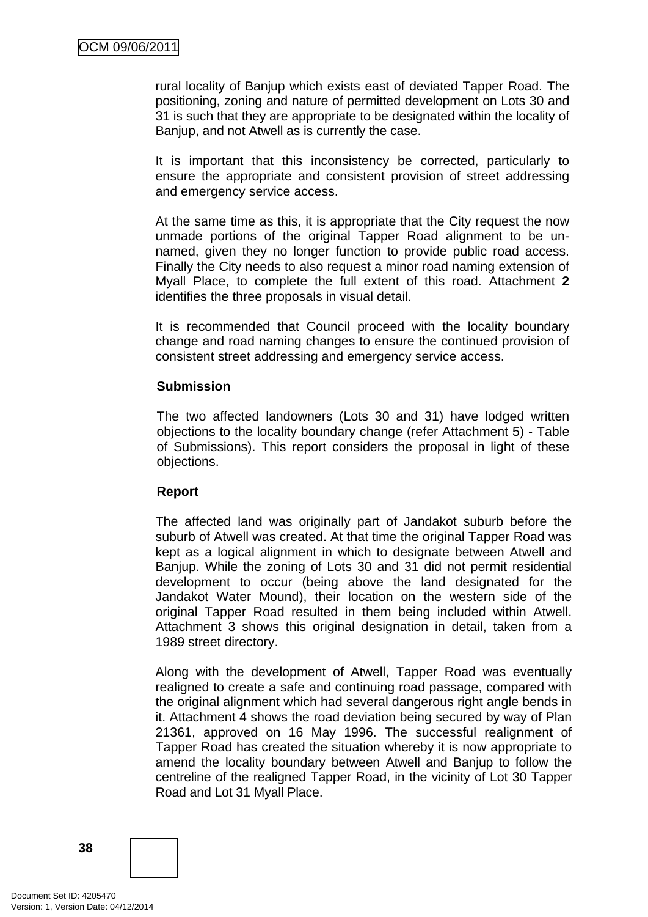rural locality of Banjup which exists east of deviated Tapper Road. The positioning, zoning and nature of permitted development on Lots 30 and 31 is such that they are appropriate to be designated within the locality of Banjup, and not Atwell as is currently the case.

It is important that this inconsistency be corrected, particularly to ensure the appropriate and consistent provision of street addressing and emergency service access.

At the same time as this, it is appropriate that the City request the now unmade portions of the original Tapper Road alignment to be unnamed, given they no longer function to provide public road access. Finally the City needs to also request a minor road naming extension of Myall Place, to complete the full extent of this road. Attachment **2** identifies the three proposals in visual detail.

It is recommended that Council proceed with the locality boundary change and road naming changes to ensure the continued provision of consistent street addressing and emergency service access.

### **Submission**

The two affected landowners (Lots 30 and 31) have lodged written objections to the locality boundary change (refer Attachment 5) - Table of Submissions). This report considers the proposal in light of these objections.

### **Report**

The affected land was originally part of Jandakot suburb before the suburb of Atwell was created. At that time the original Tapper Road was kept as a logical alignment in which to designate between Atwell and Banjup. While the zoning of Lots 30 and 31 did not permit residential development to occur (being above the land designated for the Jandakot Water Mound), their location on the western side of the original Tapper Road resulted in them being included within Atwell. Attachment 3 shows this original designation in detail, taken from a 1989 street directory.

Along with the development of Atwell, Tapper Road was eventually realigned to create a safe and continuing road passage, compared with the original alignment which had several dangerous right angle bends in it. Attachment 4 shows the road deviation being secured by way of Plan 21361, approved on 16 May 1996. The successful realignment of Tapper Road has created the situation whereby it is now appropriate to amend the locality boundary between Atwell and Banjup to follow the centreline of the realigned Tapper Road, in the vicinity of Lot 30 Tapper Road and Lot 31 Myall Place.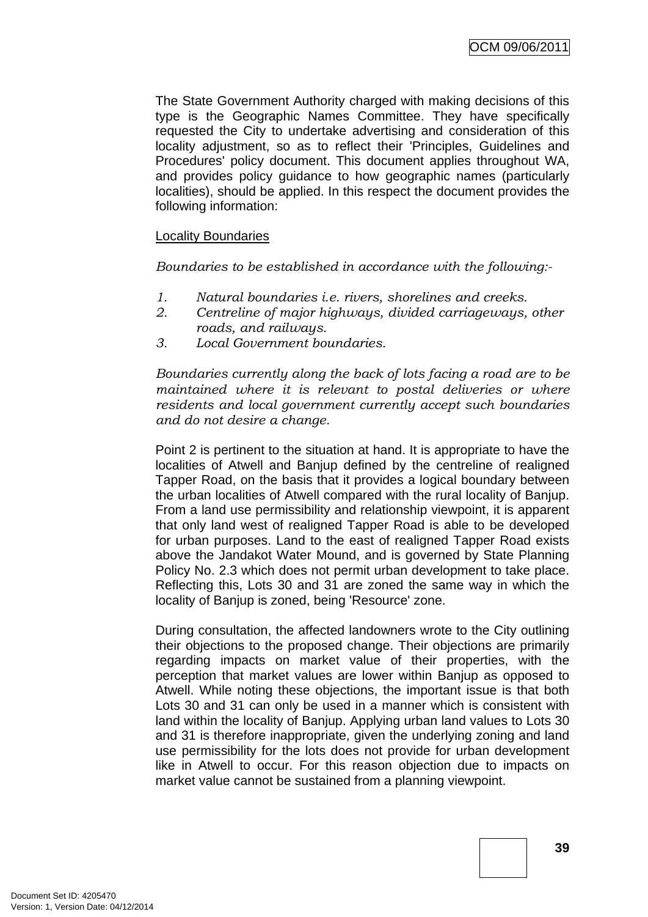The State Government Authority charged with making decisions of this type is the Geographic Names Committee. They have specifically requested the City to undertake advertising and consideration of this locality adjustment, so as to reflect their 'Principles, Guidelines and Procedures' policy document. This document applies throughout WA, and provides policy guidance to how geographic names (particularly localities), should be applied. In this respect the document provides the following information:

### Locality Boundaries

*Boundaries to be established in accordance with the following:-* 

- *1. Natural boundaries i.e. rivers, shorelines and creeks.*
- *2. Centreline of major highways, divided carriageways, other roads, and railways.*
- *3. Local Government boundaries.*

*Boundaries currently along the back of lots facing a road are to be maintained where it is relevant to postal deliveries or where residents and local government currently accept such boundaries and do not desire a change.* 

Point 2 is pertinent to the situation at hand. It is appropriate to have the localities of Atwell and Banjup defined by the centreline of realigned Tapper Road, on the basis that it provides a logical boundary between the urban localities of Atwell compared with the rural locality of Banjup. From a land use permissibility and relationship viewpoint, it is apparent that only land west of realigned Tapper Road is able to be developed for urban purposes. Land to the east of realigned Tapper Road exists above the Jandakot Water Mound, and is governed by State Planning Policy No. 2.3 which does not permit urban development to take place. Reflecting this, Lots 30 and 31 are zoned the same way in which the locality of Banjup is zoned, being 'Resource' zone.

During consultation, the affected landowners wrote to the City outlining their objections to the proposed change. Their objections are primarily regarding impacts on market value of their properties, with the perception that market values are lower within Banjup as opposed to Atwell. While noting these objections, the important issue is that both Lots 30 and 31 can only be used in a manner which is consistent with land within the locality of Banjup. Applying urban land values to Lots 30 and 31 is therefore inappropriate, given the underlying zoning and land use permissibility for the lots does not provide for urban development like in Atwell to occur. For this reason objection due to impacts on market value cannot be sustained from a planning viewpoint.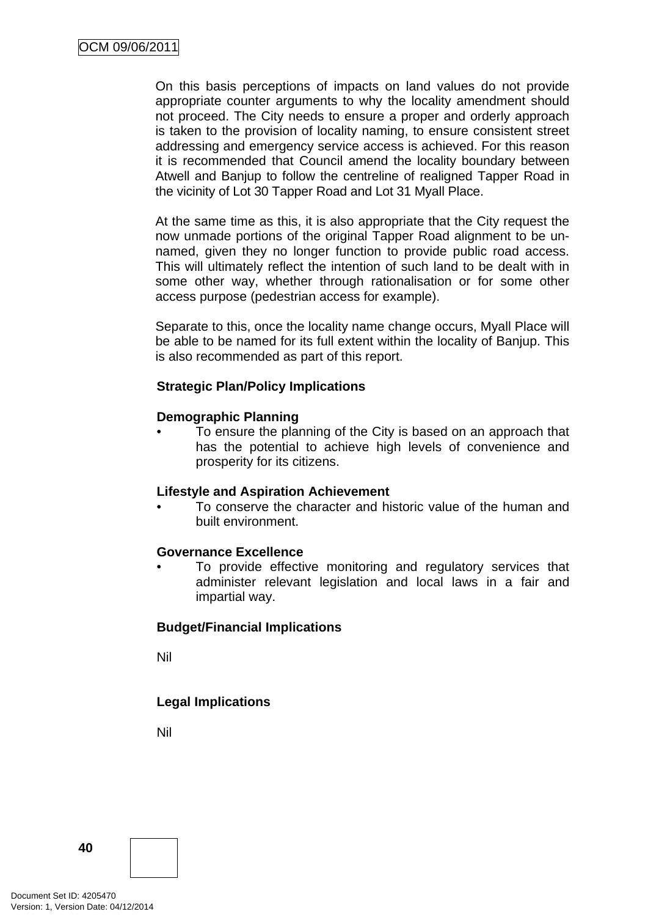On this basis perceptions of impacts on land values do not provide appropriate counter arguments to why the locality amendment should not proceed. The City needs to ensure a proper and orderly approach is taken to the provision of locality naming, to ensure consistent street addressing and emergency service access is achieved. For this reason it is recommended that Council amend the locality boundary between Atwell and Banjup to follow the centreline of realigned Tapper Road in the vicinity of Lot 30 Tapper Road and Lot 31 Myall Place.

At the same time as this, it is also appropriate that the City request the now unmade portions of the original Tapper Road alignment to be unnamed, given they no longer function to provide public road access. This will ultimately reflect the intention of such land to be dealt with in some other way, whether through rationalisation or for some other access purpose (pedestrian access for example).

Separate to this, once the locality name change occurs, Myall Place will be able to be named for its full extent within the locality of Banjup. This is also recommended as part of this report.

## **Strategic Plan/Policy Implications**

### **Demographic Planning**

• To ensure the planning of the City is based on an approach that has the potential to achieve high levels of convenience and prosperity for its citizens.

### **Lifestyle and Aspiration Achievement**

• To conserve the character and historic value of the human and built environment.

### **Governance Excellence**

To provide effective monitoring and regulatory services that administer relevant legislation and local laws in a fair and impartial way.

### **Budget/Financial Implications**

Nil

# **Legal Implications**

Nil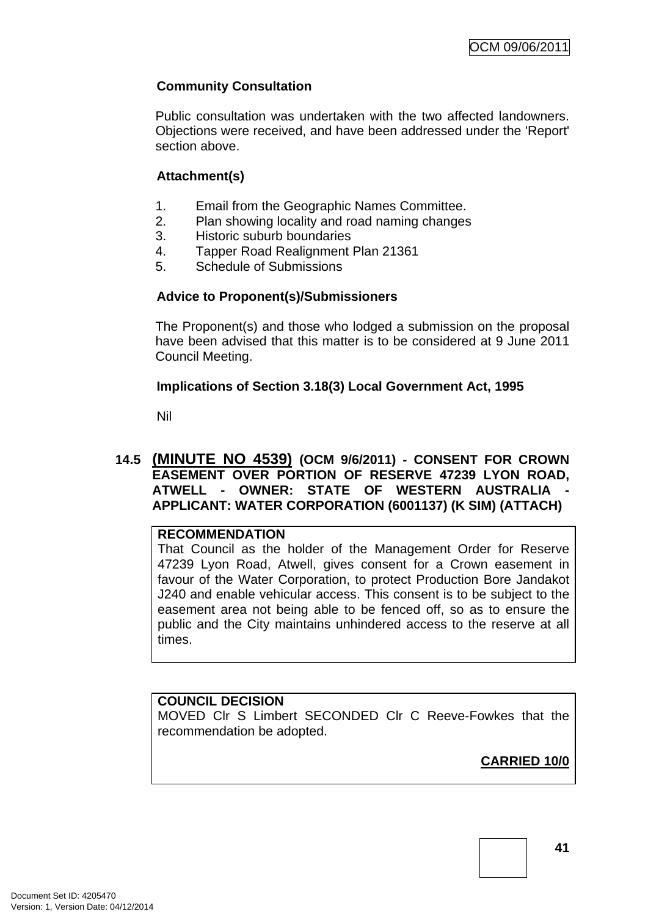## **Community Consultation**

Public consultation was undertaken with the two affected landowners. Objections were received, and have been addressed under the 'Report' section above.

### **Attachment(s)**

- 1. Email from the Geographic Names Committee.
- 2. Plan showing locality and road naming changes
- 3. Historic suburb boundaries
- 4. Tapper Road Realignment Plan 21361
- 5. Schedule of Submissions

## **Advice to Proponent(s)/Submissioners**

The Proponent(s) and those who lodged a submission on the proposal have been advised that this matter is to be considered at 9 June 2011 Council Meeting.

## **Implications of Section 3.18(3) Local Government Act, 1995**

Nil

## **14.5 (MINUTE NO 4539) (OCM 9/6/2011) - CONSENT FOR CROWN EASEMENT OVER PORTION OF RESERVE 47239 LYON ROAD, ATWELL - OWNER: STATE OF WESTERN AUSTRALIA - APPLICANT: WATER CORPORATION (6001137) (K SIM) (ATTACH)**

### **RECOMMENDATION**

That Council as the holder of the Management Order for Reserve 47239 Lyon Road, Atwell, gives consent for a Crown easement in favour of the Water Corporation, to protect Production Bore Jandakot J240 and enable vehicular access. This consent is to be subject to the easement area not being able to be fenced off, so as to ensure the public and the City maintains unhindered access to the reserve at all times.

# **COUNCIL DECISION**

MOVED Clr S Limbert SECONDED Clr C Reeve-Fowkes that the recommendation be adopted.

**CARRIED 10/0**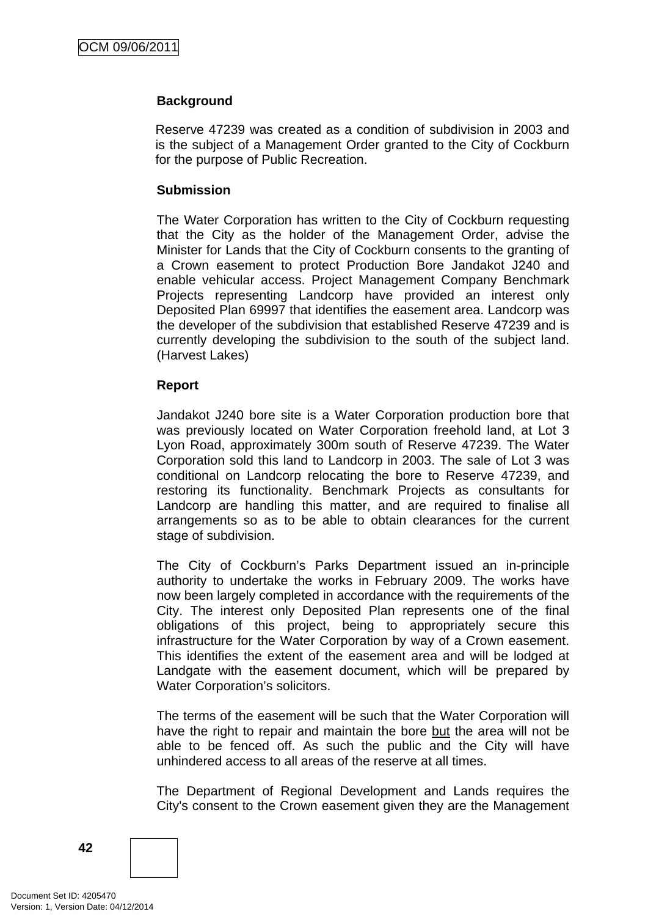### **Background**

Reserve 47239 was created as a condition of subdivision in 2003 and is the subject of a Management Order granted to the City of Cockburn for the purpose of Public Recreation.

### **Submission**

The Water Corporation has written to the City of Cockburn requesting that the City as the holder of the Management Order, advise the Minister for Lands that the City of Cockburn consents to the granting of a Crown easement to protect Production Bore Jandakot J240 and enable vehicular access. Project Management Company Benchmark Projects representing Landcorp have provided an interest only Deposited Plan 69997 that identifies the easement area. Landcorp was the developer of the subdivision that established Reserve 47239 and is currently developing the subdivision to the south of the subject land. (Harvest Lakes)

#### **Report**

Jandakot J240 bore site is a Water Corporation production bore that was previously located on Water Corporation freehold land, at Lot 3 Lyon Road, approximately 300m south of Reserve 47239. The Water Corporation sold this land to Landcorp in 2003. The sale of Lot 3 was conditional on Landcorp relocating the bore to Reserve 47239, and restoring its functionality. Benchmark Projects as consultants for Landcorp are handling this matter, and are required to finalise all arrangements so as to be able to obtain clearances for the current stage of subdivision.

The City of Cockburn's Parks Department issued an in-principle authority to undertake the works in February 2009. The works have now been largely completed in accordance with the requirements of the City. The interest only Deposited Plan represents one of the final obligations of this project, being to appropriately secure this infrastructure for the Water Corporation by way of a Crown easement. This identifies the extent of the easement area and will be lodged at Landgate with the easement document, which will be prepared by Water Corporation's solicitors.

The terms of the easement will be such that the Water Corporation will have the right to repair and maintain the bore but the area will not be able to be fenced off. As such the public and the City will have unhindered access to all areas of the reserve at all times.

The Department of Regional Development and Lands requires the City's consent to the Crown easement given they are the Management

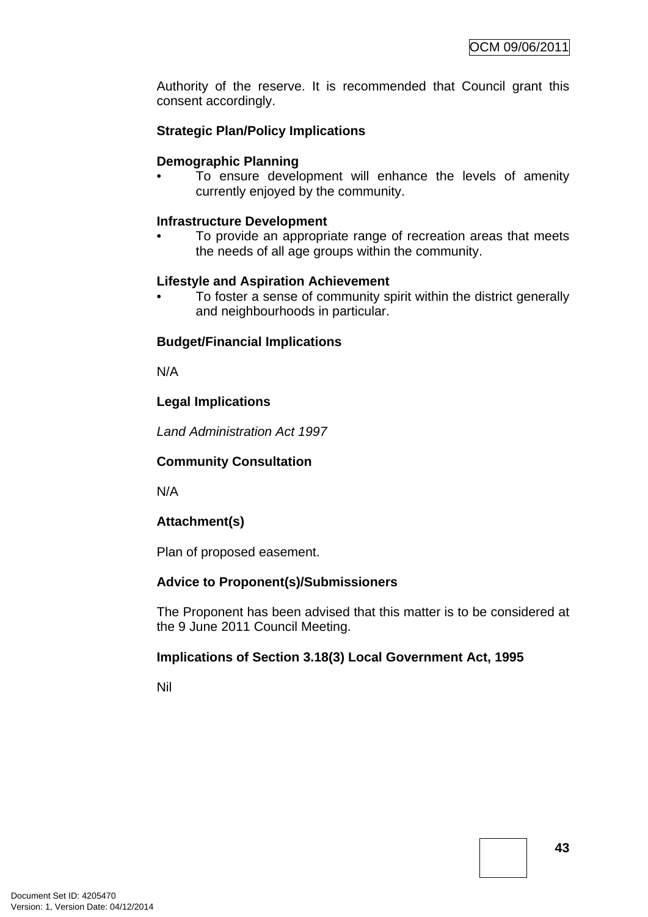Authority of the reserve. It is recommended that Council grant this consent accordingly.

## **Strategic Plan/Policy Implications**

#### **Demographic Planning**

To ensure development will enhance the levels of amenity currently enjoyed by the community.

#### **Infrastructure Development**

• To provide an appropriate range of recreation areas that meets the needs of all age groups within the community.

#### **Lifestyle and Aspiration Achievement**

• To foster a sense of community spirit within the district generally and neighbourhoods in particular.

#### **Budget/Financial Implications**

N/A

#### **Legal Implications**

*Land Administration Act 1997* 

#### **Community Consultation**

N/A

### **Attachment(s)**

Plan of proposed easement.

### **Advice to Proponent(s)/Submissioners**

The Proponent has been advised that this matter is to be considered at the 9 June 2011 Council Meeting.

### **Implications of Section 3.18(3) Local Government Act, 1995**

Nil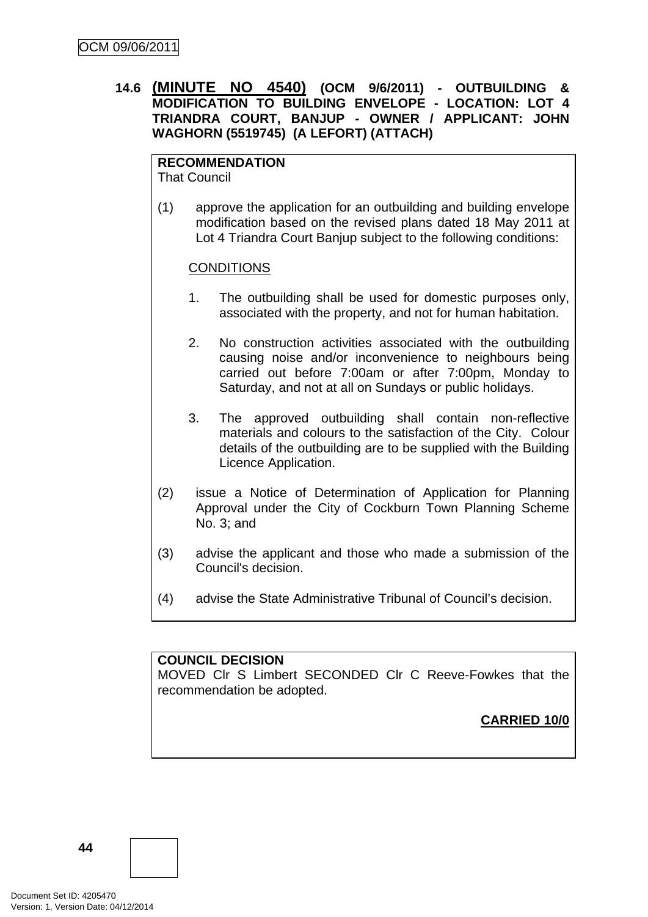# **14.6 (MINUTE NO 4540) (OCM 9/6/2011) - OUTBUILDING & MODIFICATION TO BUILDING ENVELOPE - LOCATION: LOT 4 TRIANDRA COURT, BANJUP - OWNER / APPLICANT: JOHN WAGHORN (5519745) (A LEFORT) (ATTACH)**

# **RECOMMENDATION**

That Council

(1) approve the application for an outbuilding and building envelope modification based on the revised plans dated 18 May 2011 at Lot 4 Triandra Court Banjup subject to the following conditions:

# **CONDITIONS**

- 1. The outbuilding shall be used for domestic purposes only, associated with the property, and not for human habitation.
- 2. No construction activities associated with the outbuilding causing noise and/or inconvenience to neighbours being carried out before 7:00am or after 7:00pm, Monday to Saturday, and not at all on Sundays or public holidays.
- 3. The approved outbuilding shall contain non-reflective materials and colours to the satisfaction of the City. Colour details of the outbuilding are to be supplied with the Building Licence Application.
- (2) issue a Notice of Determination of Application for Planning Approval under the City of Cockburn Town Planning Scheme No. 3; and
- (3) advise the applicant and those who made a submission of the Council's decision.
- (4) advise the State Administrative Tribunal of Council's decision.

# **COUNCIL DECISION**

MOVED Clr S Limbert SECONDED Clr C Reeve-Fowkes that the recommendation be adopted.

# **CARRIED 10/0**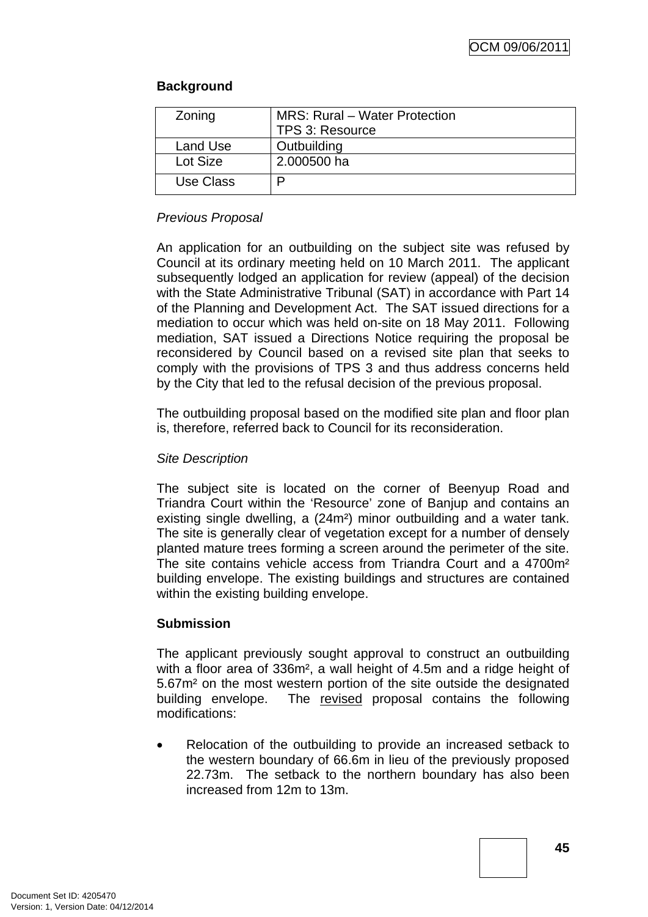# **Background**

| Zoning    | <b>MRS: Rural – Water Protection</b><br>TPS 3: Resource |
|-----------|---------------------------------------------------------|
| Land Use  | Outbuilding                                             |
| Lot Size  | 2,000500 ha                                             |
| Use Class | D                                                       |

# *Previous Proposal*

An application for an outbuilding on the subject site was refused by Council at its ordinary meeting held on 10 March 2011. The applicant subsequently lodged an application for review (appeal) of the decision with the State Administrative Tribunal (SAT) in accordance with Part 14 of the Planning and Development Act. The SAT issued directions for a mediation to occur which was held on-site on 18 May 2011. Following mediation, SAT issued a Directions Notice requiring the proposal be reconsidered by Council based on a revised site plan that seeks to comply with the provisions of TPS 3 and thus address concerns held by the City that led to the refusal decision of the previous proposal.

The outbuilding proposal based on the modified site plan and floor plan is, therefore, referred back to Council for its reconsideration.

## *Site Description*

The subject site is located on the corner of Beenyup Road and Triandra Court within the 'Resource' zone of Banjup and contains an existing single dwelling, a (24m²) minor outbuilding and a water tank. The site is generally clear of vegetation except for a number of densely planted mature trees forming a screen around the perimeter of the site. The site contains vehicle access from Triandra Court and a 4700m² building envelope. The existing buildings and structures are contained within the existing building envelope.

### **Submission**

The applicant previously sought approval to construct an outbuilding with a floor area of 336m², a wall height of 4.5m and a ridge height of 5.67m² on the most western portion of the site outside the designated building envelope. The revised proposal contains the following modifications:

• Relocation of the outbuilding to provide an increased setback to the western boundary of 66.6m in lieu of the previously proposed 22.73m. The setback to the northern boundary has also been increased from 12m to 13m.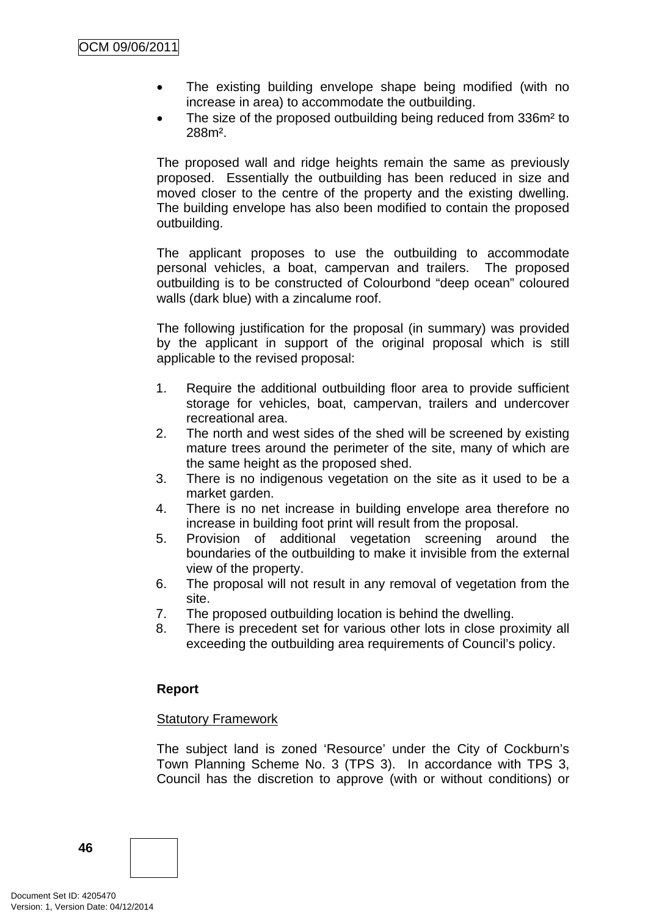- The existing building envelope shape being modified (with no increase in area) to accommodate the outbuilding.
- The size of the proposed outbuilding being reduced from 336m<sup>2</sup> to 288m².

The proposed wall and ridge heights remain the same as previously proposed. Essentially the outbuilding has been reduced in size and moved closer to the centre of the property and the existing dwelling. The building envelope has also been modified to contain the proposed outbuilding.

The applicant proposes to use the outbuilding to accommodate personal vehicles, a boat, campervan and trailers. The proposed outbuilding is to be constructed of Colourbond "deep ocean" coloured walls (dark blue) with a zincalume roof.

The following justification for the proposal (in summary) was provided by the applicant in support of the original proposal which is still applicable to the revised proposal:

- 1. Require the additional outbuilding floor area to provide sufficient storage for vehicles, boat, campervan, trailers and undercover recreational area.
- 2. The north and west sides of the shed will be screened by existing mature trees around the perimeter of the site, many of which are the same height as the proposed shed.
- 3. There is no indigenous vegetation on the site as it used to be a market garden.
- 4. There is no net increase in building envelope area therefore no increase in building foot print will result from the proposal.
- 5. Provision of additional vegetation screening around the boundaries of the outbuilding to make it invisible from the external view of the property.
- 6. The proposal will not result in any removal of vegetation from the site.
- 7. The proposed outbuilding location is behind the dwelling.
- 8. There is precedent set for various other lots in close proximity all exceeding the outbuilding area requirements of Council's policy.

# **Report**

### Statutory Framework

The subject land is zoned 'Resource' under the City of Cockburn's Town Planning Scheme No. 3 (TPS 3). In accordance with TPS 3, Council has the discretion to approve (with or without conditions) or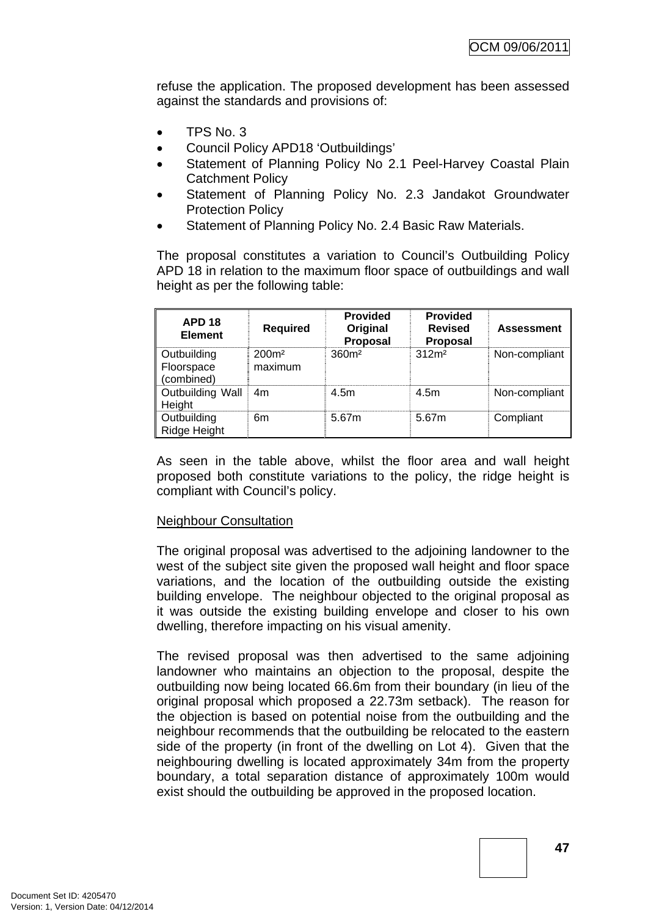refuse the application. The proposed development has been assessed against the standards and provisions of:

- $\bullet$  TPS No. 3
- Council Policy APD18 'Outbuildings'
- Statement of Planning Policy No 2.1 Peel-Harvey Coastal Plain Catchment Policy
- Statement of Planning Policy No. 2.3 Jandakot Groundwater Protection Policy
- Statement of Planning Policy No. 2.4 Basic Raw Materials.

The proposal constitutes a variation to Council's Outbuilding Policy APD 18 in relation to the maximum floor space of outbuildings and wall height as per the following table:

| APD <sub>18</sub><br><b>Element</b>     | <b>Required</b>              | <b>Provided</b><br>Original<br><b>Proposal</b> | <b>Provided</b><br><b>Revised</b><br><b>Proposal</b> | <b>Assessment</b> |
|-----------------------------------------|------------------------------|------------------------------------------------|------------------------------------------------------|-------------------|
| Outbuilding<br>Floorspace<br>(combined) | 200 <sup>m²</sup><br>maximum | 360 <sup>m²</sup>                              | 312 <sup>m²</sup>                                    | Non-compliant     |
| Outbuilding Wall<br>Height              | 4m                           | 4.5m                                           | 4.5m                                                 | Non-compliant     |
| Outbuilding<br>Ridge Height             | 6m                           | 5.67m                                          | 5.67m                                                | Compliant         |

As seen in the table above, whilst the floor area and wall height proposed both constitute variations to the policy, the ridge height is compliant with Council's policy.

#### Neighbour Consultation

The original proposal was advertised to the adjoining landowner to the west of the subject site given the proposed wall height and floor space variations, and the location of the outbuilding outside the existing building envelope. The neighbour objected to the original proposal as it was outside the existing building envelope and closer to his own dwelling, therefore impacting on his visual amenity.

The revised proposal was then advertised to the same adjoining landowner who maintains an objection to the proposal, despite the outbuilding now being located 66.6m from their boundary (in lieu of the original proposal which proposed a 22.73m setback). The reason for the objection is based on potential noise from the outbuilding and the neighbour recommends that the outbuilding be relocated to the eastern side of the property (in front of the dwelling on Lot 4). Given that the neighbouring dwelling is located approximately 34m from the property boundary, a total separation distance of approximately 100m would exist should the outbuilding be approved in the proposed location.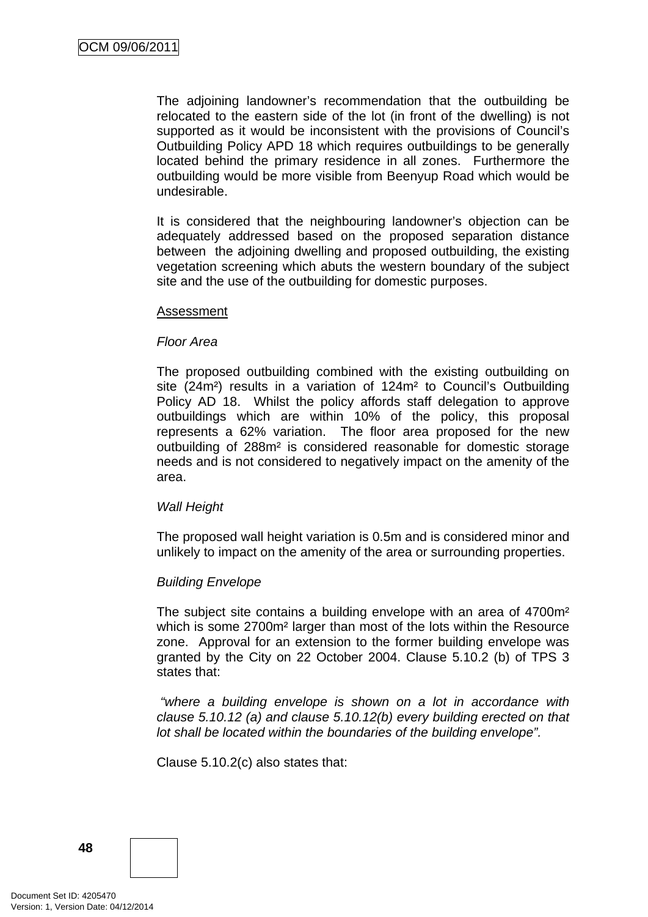The adjoining landowner's recommendation that the outbuilding be relocated to the eastern side of the lot (in front of the dwelling) is not supported as it would be inconsistent with the provisions of Council's Outbuilding Policy APD 18 which requires outbuildings to be generally located behind the primary residence in all zones. Furthermore the outbuilding would be more visible from Beenyup Road which would be undesirable.

It is considered that the neighbouring landowner's objection can be adequately addressed based on the proposed separation distance between the adjoining dwelling and proposed outbuilding, the existing vegetation screening which abuts the western boundary of the subject site and the use of the outbuilding for domestic purposes.

#### Assessment

#### *Floor Area*

The proposed outbuilding combined with the existing outbuilding on site (24m<sup>2</sup>) results in a variation of 124m<sup>2</sup> to Council's Outbuilding Policy AD 18. Whilst the policy affords staff delegation to approve outbuildings which are within 10% of the policy, this proposal represents a 62% variation. The floor area proposed for the new outbuilding of 288m² is considered reasonable for domestic storage needs and is not considered to negatively impact on the amenity of the area.

#### *Wall Height*

The proposed wall height variation is 0.5m and is considered minor and unlikely to impact on the amenity of the area or surrounding properties.

### *Building Envelope*

The subject site contains a building envelope with an area of 4700m² which is some 2700m<sup>2</sup> larger than most of the lots within the Resource zone. Approval for an extension to the former building envelope was granted by the City on 22 October 2004. Clause 5.10.2 (b) of TPS 3 states that:

*"where a building envelope is shown on a lot in accordance with clause 5.10.12 (a) and clause 5.10.12(b) every building erected on that lot shall be located within the boundaries of the building envelope".* 

Clause 5.10.2(c) also states that:

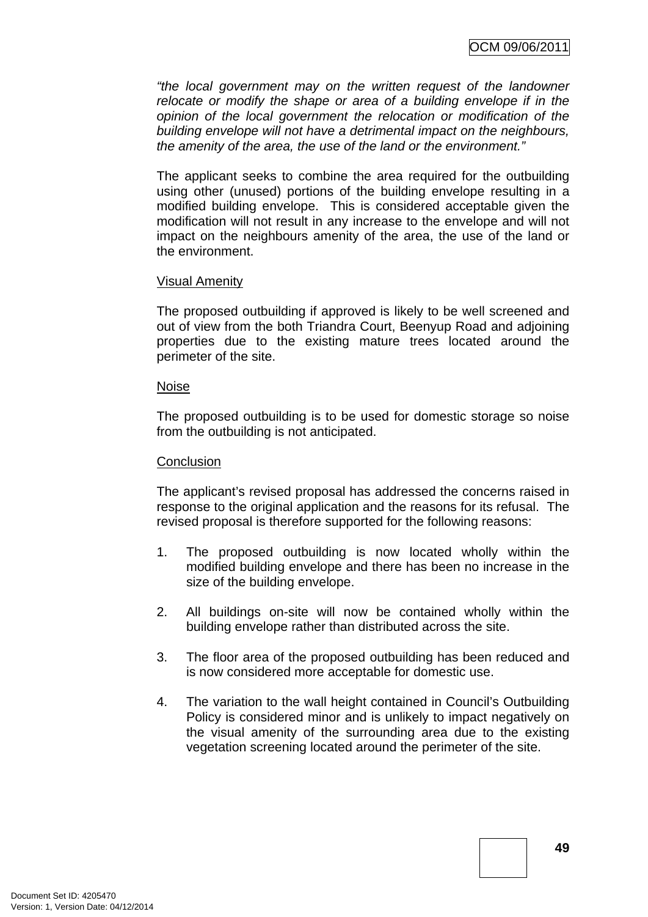*"the local government may on the written request of the landowner relocate or modify the shape or area of a building envelope if in the opinion of the local government the relocation or modification of the building envelope will not have a detrimental impact on the neighbours, the amenity of the area, the use of the land or the environment."* 

The applicant seeks to combine the area required for the outbuilding using other (unused) portions of the building envelope resulting in a modified building envelope. This is considered acceptable given the modification will not result in any increase to the envelope and will not impact on the neighbours amenity of the area, the use of the land or the environment.

#### Visual Amenity

The proposed outbuilding if approved is likely to be well screened and out of view from the both Triandra Court, Beenyup Road and adjoining properties due to the existing mature trees located around the perimeter of the site.

#### Noise

The proposed outbuilding is to be used for domestic storage so noise from the outbuilding is not anticipated.

### **Conclusion**

The applicant's revised proposal has addressed the concerns raised in response to the original application and the reasons for its refusal. The revised proposal is therefore supported for the following reasons:

- 1. The proposed outbuilding is now located wholly within the modified building envelope and there has been no increase in the size of the building envelope.
- 2. All buildings on-site will now be contained wholly within the building envelope rather than distributed across the site.
- 3. The floor area of the proposed outbuilding has been reduced and is now considered more acceptable for domestic use.
- 4. The variation to the wall height contained in Council's Outbuilding Policy is considered minor and is unlikely to impact negatively on the visual amenity of the surrounding area due to the existing vegetation screening located around the perimeter of the site.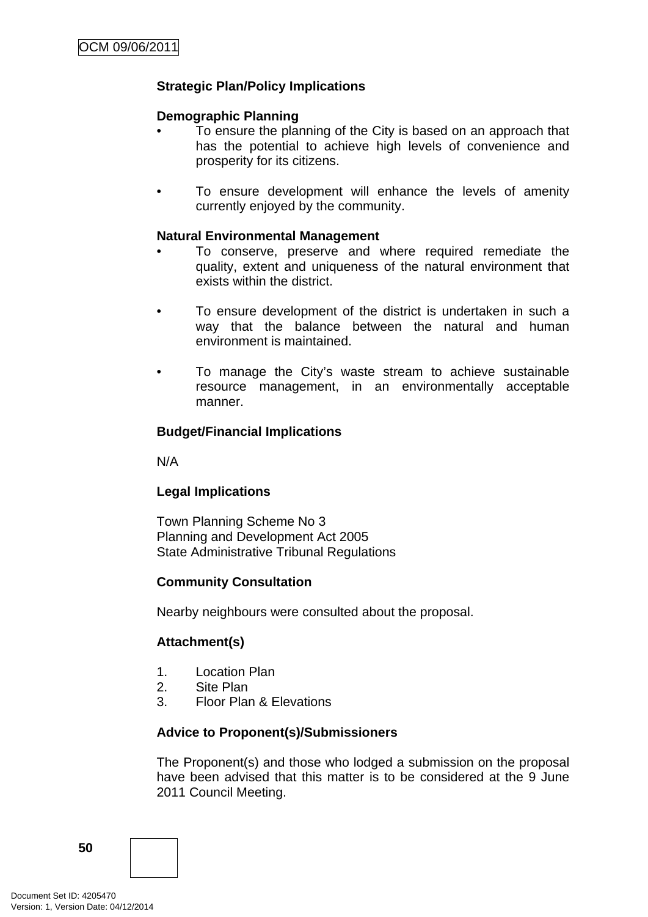# **Strategic Plan/Policy Implications**

## **Demographic Planning**

- To ensure the planning of the City is based on an approach that has the potential to achieve high levels of convenience and prosperity for its citizens.
- To ensure development will enhance the levels of amenity currently enjoyed by the community.

## **Natural Environmental Management**

- To conserve, preserve and where required remediate the quality, extent and uniqueness of the natural environment that exists within the district.
- To ensure development of the district is undertaken in such a way that the balance between the natural and human environment is maintained.
- To manage the City's waste stream to achieve sustainable resource management, in an environmentally acceptable manner.

## **Budget/Financial Implications**

N/A

# **Legal Implications**

Town Planning Scheme No 3 Planning and Development Act 2005 State Administrative Tribunal Regulations

# **Community Consultation**

Nearby neighbours were consulted about the proposal.

# **Attachment(s)**

- 1. Location Plan
- 2. Site Plan
- 3. Floor Plan & Elevations

### **Advice to Proponent(s)/Submissioners**

The Proponent(s) and those who lodged a submission on the proposal have been advised that this matter is to be considered at the 9 June 2011 Council Meeting.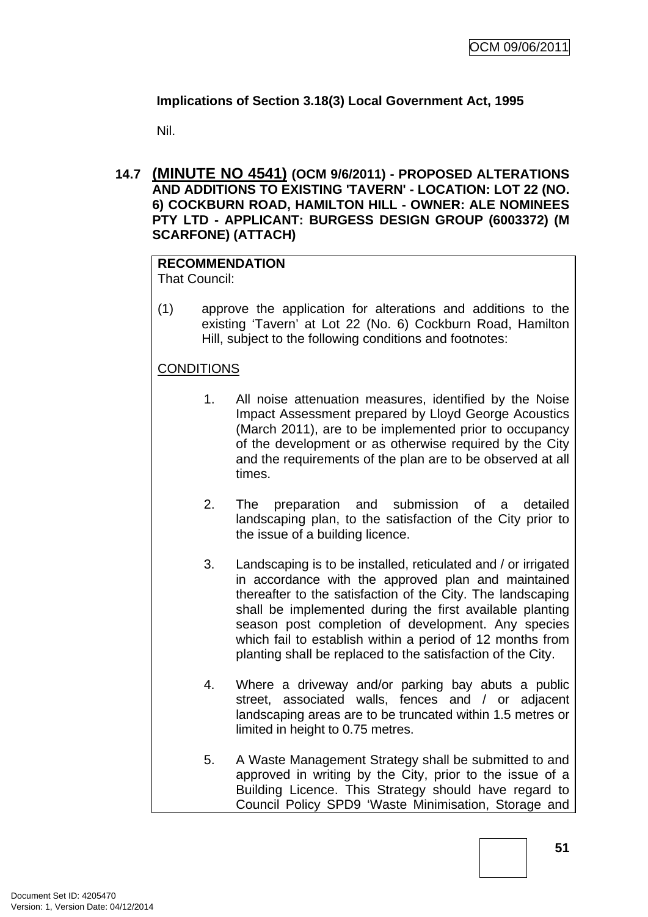# **Implications of Section 3.18(3) Local Government Act, 1995**

Nil.

**14.7 (MINUTE NO 4541) (OCM 9/6/2011) - PROPOSED ALTERATIONS AND ADDITIONS TO EXISTING 'TAVERN' - LOCATION: LOT 22 (NO. 6) COCKBURN ROAD, HAMILTON HILL - OWNER: ALE NOMINEES PTY LTD - APPLICANT: BURGESS DESIGN GROUP (6003372) (M SCARFONE) (ATTACH)** 

# **RECOMMENDATION**

That Council:

(1) approve the application for alterations and additions to the existing 'Tavern' at Lot 22 (No. 6) Cockburn Road, Hamilton Hill, subject to the following conditions and footnotes:

# **CONDITIONS**

- 1. All noise attenuation measures, identified by the Noise Impact Assessment prepared by Lloyd George Acoustics (March 2011), are to be implemented prior to occupancy of the development or as otherwise required by the City and the requirements of the plan are to be observed at all times.
- 2. The preparation and submission of a detailed landscaping plan, to the satisfaction of the City prior to the issue of a building licence.
- 3. Landscaping is to be installed, reticulated and / or irrigated in accordance with the approved plan and maintained thereafter to the satisfaction of the City. The landscaping shall be implemented during the first available planting season post completion of development. Any species which fail to establish within a period of 12 months from planting shall be replaced to the satisfaction of the City.
- 4. Where a driveway and/or parking bay abuts a public street, associated walls, fences and / or adjacent landscaping areas are to be truncated within 1.5 metres or limited in height to 0.75 metres.
- 5. A Waste Management Strategy shall be submitted to and approved in writing by the City, prior to the issue of a Building Licence. This Strategy should have regard to Council Policy SPD9 'Waste Minimisation, Storage and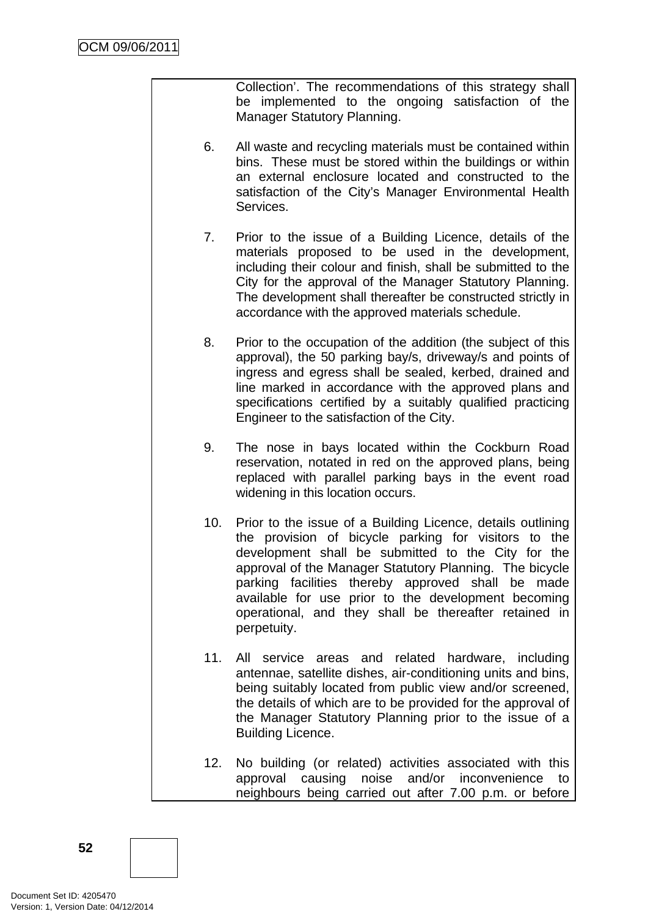Collection'. The recommendations of this strategy shall be implemented to the ongoing satisfaction of the Manager Statutory Planning.

- 6. All waste and recycling materials must be contained within bins. These must be stored within the buildings or within an external enclosure located and constructed to the satisfaction of the City's Manager Environmental Health Services.
- 7. Prior to the issue of a Building Licence, details of the materials proposed to be used in the development, including their colour and finish, shall be submitted to the City for the approval of the Manager Statutory Planning. The development shall thereafter be constructed strictly in accordance with the approved materials schedule.
- 8. Prior to the occupation of the addition (the subject of this approval), the 50 parking bay/s, driveway/s and points of ingress and egress shall be sealed, kerbed, drained and line marked in accordance with the approved plans and specifications certified by a suitably qualified practicing Engineer to the satisfaction of the City.
- 9. The nose in bays located within the Cockburn Road reservation, notated in red on the approved plans, being replaced with parallel parking bays in the event road widening in this location occurs.
- 10. Prior to the issue of a Building Licence, details outlining the provision of bicycle parking for visitors to the development shall be submitted to the City for the approval of the Manager Statutory Planning. The bicycle parking facilities thereby approved shall be made available for use prior to the development becoming operational, and they shall be thereafter retained in perpetuity.
- 11. All service areas and related hardware, including antennae, satellite dishes, air-conditioning units and bins, being suitably located from public view and/or screened, the details of which are to be provided for the approval of the Manager Statutory Planning prior to the issue of a Building Licence.
- 12. No building (or related) activities associated with this approval causing noise and/or inconvenience to neighbours being carried out after 7.00 p.m. or before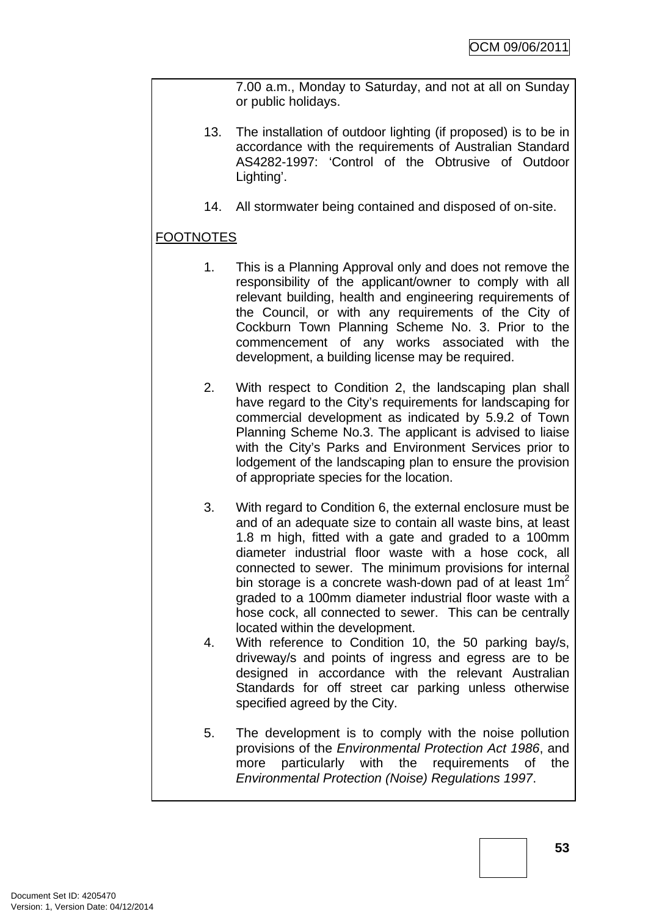7.00 a.m., Monday to Saturday, and not at all on Sunday or public holidays.

- 13. The installation of outdoor lighting (if proposed) is to be in accordance with the requirements of Australian Standard AS4282-1997: 'Control of the Obtrusive of Outdoor Lighting'.
- 14. All stormwater being contained and disposed of on-site.

# **FOOTNOTES**

- 1. This is a Planning Approval only and does not remove the responsibility of the applicant/owner to comply with all relevant building, health and engineering requirements of the Council, or with any requirements of the City of Cockburn Town Planning Scheme No. 3. Prior to the commencement of any works associated with the development, a building license may be required.
- 2. With respect to Condition 2, the landscaping plan shall have regard to the City's requirements for landscaping for commercial development as indicated by 5.9.2 of Town Planning Scheme No.3. The applicant is advised to liaise with the City's Parks and Environment Services prior to lodgement of the landscaping plan to ensure the provision of appropriate species for the location.
- 3. With regard to Condition 6, the external enclosure must be and of an adequate size to contain all waste bins, at least 1.8 m high, fitted with a gate and graded to a 100mm diameter industrial floor waste with a hose cock, all connected to sewer. The minimum provisions for internal bin storage is a concrete wash-down pad of at least  $1m<sup>2</sup>$ graded to a 100mm diameter industrial floor waste with a hose cock, all connected to sewer. This can be centrally located within the development.
- 4. With reference to Condition 10, the 50 parking bay/s, driveway/s and points of ingress and egress are to be designed in accordance with the relevant Australian Standards for off street car parking unless otherwise specified agreed by the City.
- 5. The development is to comply with the noise pollution provisions of the *Environmental Protection Act 1986*, and more particularly with the requirements of the *Environmental Protection (Noise) Regulations 1997*.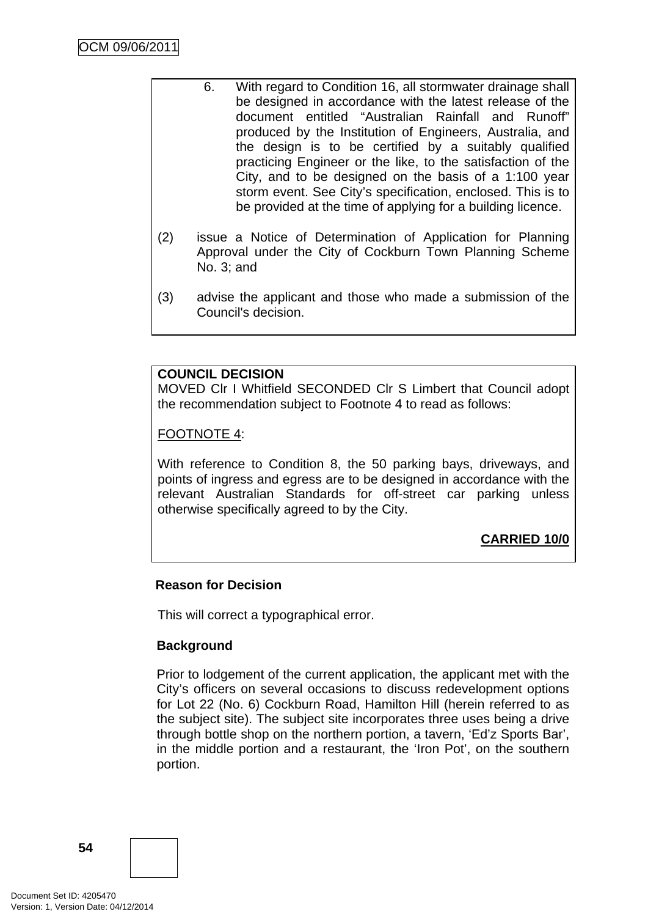- 6. With regard to Condition 16, all stormwater drainage shall be designed in accordance with the latest release of the document entitled "Australian Rainfall and Runoff" produced by the Institution of Engineers, Australia, and the design is to be certified by a suitably qualified practicing Engineer or the like, to the satisfaction of the City, and to be designed on the basis of a 1:100 year storm event. See City's specification, enclosed. This is to be provided at the time of applying for a building licence.
- (2) issue a Notice of Determination of Application for Planning Approval under the City of Cockburn Town Planning Scheme No. 3; and
- (3) advise the applicant and those who made a submission of the Council's decision.

## **COUNCIL DECISION**

MOVED Clr I Whitfield SECONDED Clr S Limbert that Council adopt the recommendation subject to Footnote 4 to read as follows:

FOOTNOTE 4:

With reference to Condition 8, the 50 parking bays, driveways, and points of ingress and egress are to be designed in accordance with the relevant Australian Standards for off-street car parking unless otherwise specifically agreed to by the City.

# **CARRIED 10/0**

### **Reason for Decision**

This will correct a typographical error.

### **Background**

Prior to lodgement of the current application, the applicant met with the City's officers on several occasions to discuss redevelopment options for Lot 22 (No. 6) Cockburn Road, Hamilton Hill (herein referred to as the subject site). The subject site incorporates three uses being a drive through bottle shop on the northern portion, a tavern, 'Ed'z Sports Bar', in the middle portion and a restaurant, the 'Iron Pot', on the southern portion.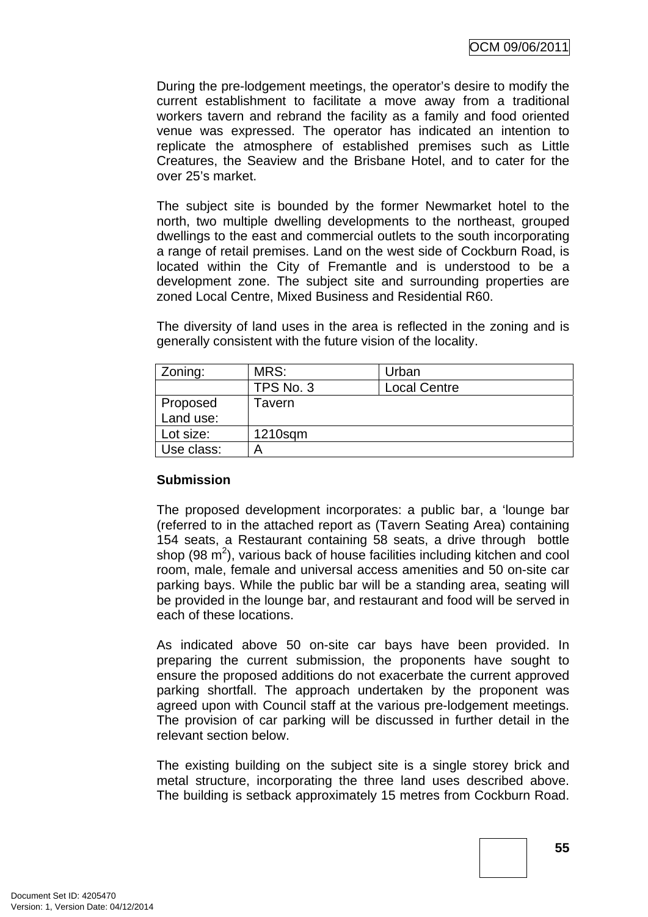During the pre-lodgement meetings, the operator's desire to modify the current establishment to facilitate a move away from a traditional workers tavern and rebrand the facility as a family and food oriented venue was expressed. The operator has indicated an intention to replicate the atmosphere of established premises such as Little Creatures, the Seaview and the Brisbane Hotel, and to cater for the over 25's market.

The subject site is bounded by the former Newmarket hotel to the north, two multiple dwelling developments to the northeast, grouped dwellings to the east and commercial outlets to the south incorporating a range of retail premises. Land on the west side of Cockburn Road, is located within the City of Fremantle and is understood to be a development zone. The subject site and surrounding properties are zoned Local Centre, Mixed Business and Residential R60.

The diversity of land uses in the area is reflected in the zoning and is generally consistent with the future vision of the locality.

| Zoning:    | MRS:       | Urban               |
|------------|------------|---------------------|
|            | TPS No. 3  | <b>Local Centre</b> |
| Proposed   | Tavern     |                     |
| Land use:  |            |                     |
| Lot size:  | $1210$ sqm |                     |
| Use class: | А          |                     |

### **Submission**

The proposed development incorporates: a public bar, a 'lounge bar (referred to in the attached report as (Tavern Seating Area) containing 154 seats, a Restaurant containing 58 seats, a drive through bottle shop (98  $m^2$ ), various back of house facilities including kitchen and cool room, male, female and universal access amenities and 50 on-site car parking bays. While the public bar will be a standing area, seating will be provided in the lounge bar, and restaurant and food will be served in each of these locations.

As indicated above 50 on-site car bays have been provided. In preparing the current submission, the proponents have sought to ensure the proposed additions do not exacerbate the current approved parking shortfall. The approach undertaken by the proponent was agreed upon with Council staff at the various pre-lodgement meetings. The provision of car parking will be discussed in further detail in the relevant section below.

The existing building on the subject site is a single storey brick and metal structure, incorporating the three land uses described above. The building is setback approximately 15 metres from Cockburn Road.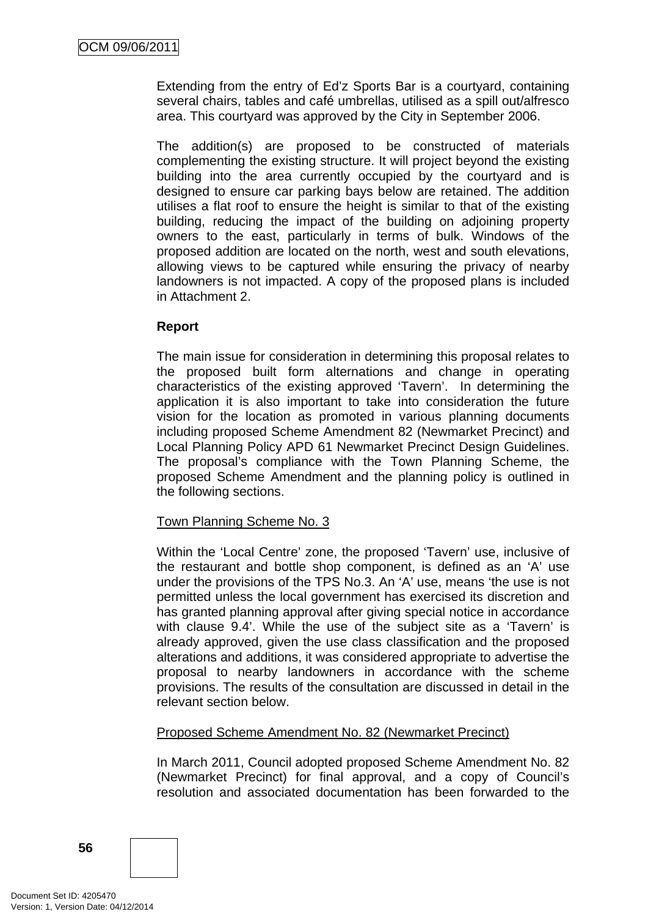Extending from the entry of Ed'z Sports Bar is a courtyard, containing several chairs, tables and café umbrellas, utilised as a spill out/alfresco area. This courtyard was approved by the City in September 2006.

The addition(s) are proposed to be constructed of materials complementing the existing structure. It will project beyond the existing building into the area currently occupied by the courtyard and is designed to ensure car parking bays below are retained. The addition utilises a flat roof to ensure the height is similar to that of the existing building, reducing the impact of the building on adjoining property owners to the east, particularly in terms of bulk. Windows of the proposed addition are located on the north, west and south elevations, allowing views to be captured while ensuring the privacy of nearby landowners is not impacted. A copy of the proposed plans is included in Attachment 2.

#### **Report**

The main issue for consideration in determining this proposal relates to the proposed built form alternations and change in operating characteristics of the existing approved 'Tavern'. In determining the application it is also important to take into consideration the future vision for the location as promoted in various planning documents including proposed Scheme Amendment 82 (Newmarket Precinct) and Local Planning Policy APD 61 Newmarket Precinct Design Guidelines. The proposal's compliance with the Town Planning Scheme, the proposed Scheme Amendment and the planning policy is outlined in the following sections.

### Town Planning Scheme No. 3

Within the 'Local Centre' zone, the proposed 'Tavern' use, inclusive of the restaurant and bottle shop component, is defined as an 'A' use under the provisions of the TPS No.3. An 'A' use, means 'the use is not permitted unless the local government has exercised its discretion and has granted planning approval after giving special notice in accordance with clause 9.4'. While the use of the subject site as a 'Tavern' is already approved, given the use class classification and the proposed alterations and additions, it was considered appropriate to advertise the proposal to nearby landowners in accordance with the scheme provisions. The results of the consultation are discussed in detail in the relevant section below.

#### Proposed Scheme Amendment No. 82 (Newmarket Precinct)

In March 2011, Council adopted proposed Scheme Amendment No. 82 (Newmarket Precinct) for final approval, and a copy of Council's resolution and associated documentation has been forwarded to the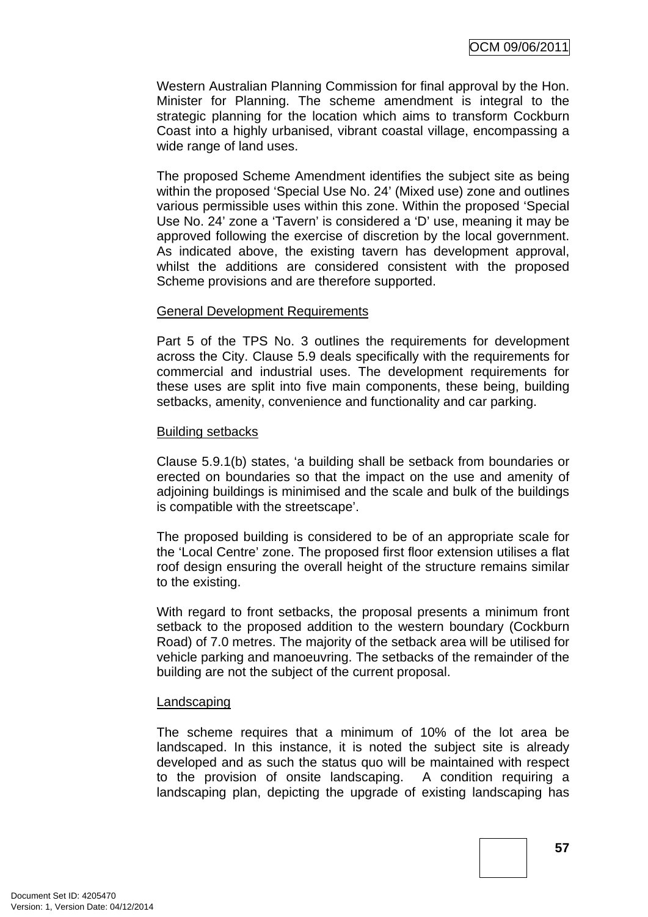Western Australian Planning Commission for final approval by the Hon. Minister for Planning. The scheme amendment is integral to the strategic planning for the location which aims to transform Cockburn Coast into a highly urbanised, vibrant coastal village, encompassing a wide range of land uses.

The proposed Scheme Amendment identifies the subject site as being within the proposed 'Special Use No. 24' (Mixed use) zone and outlines various permissible uses within this zone. Within the proposed 'Special Use No. 24' zone a 'Tavern' is considered a 'D' use, meaning it may be approved following the exercise of discretion by the local government. As indicated above, the existing tavern has development approval, whilst the additions are considered consistent with the proposed Scheme provisions and are therefore supported.

#### General Development Requirements

Part 5 of the TPS No. 3 outlines the requirements for development across the City. Clause 5.9 deals specifically with the requirements for commercial and industrial uses. The development requirements for these uses are split into five main components, these being, building setbacks, amenity, convenience and functionality and car parking.

#### Building setbacks

Clause 5.9.1(b) states, 'a building shall be setback from boundaries or erected on boundaries so that the impact on the use and amenity of adjoining buildings is minimised and the scale and bulk of the buildings is compatible with the streetscape'.

The proposed building is considered to be of an appropriate scale for the 'Local Centre' zone. The proposed first floor extension utilises a flat roof design ensuring the overall height of the structure remains similar to the existing.

With regard to front setbacks, the proposal presents a minimum front setback to the proposed addition to the western boundary (Cockburn Road) of 7.0 metres. The majority of the setback area will be utilised for vehicle parking and manoeuvring. The setbacks of the remainder of the building are not the subject of the current proposal.

### Landscaping

The scheme requires that a minimum of 10% of the lot area be landscaped. In this instance, it is noted the subject site is already developed and as such the status quo will be maintained with respect to the provision of onsite landscaping. A condition requiring a landscaping plan, depicting the upgrade of existing landscaping has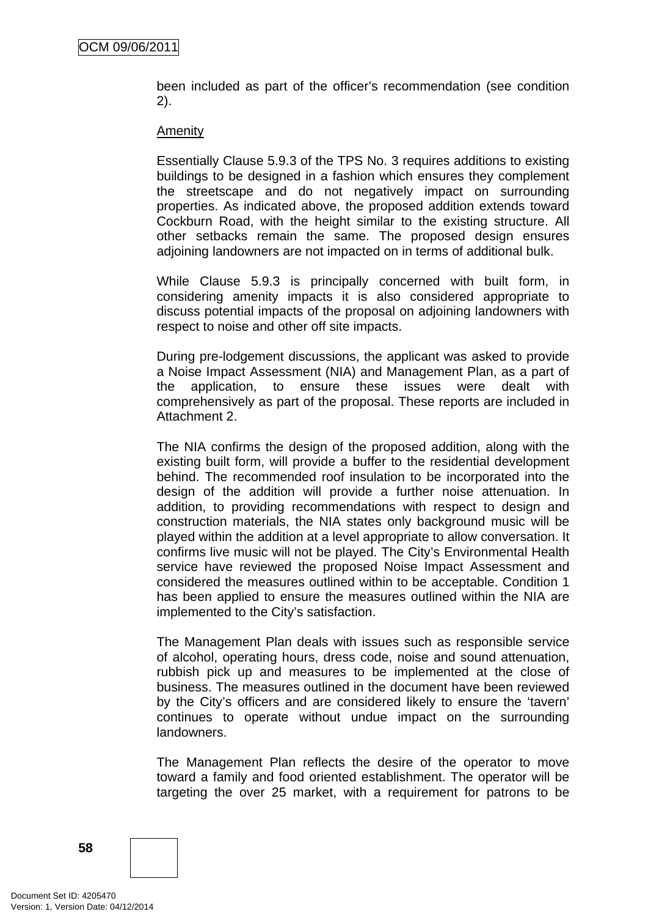been included as part of the officer's recommendation (see condition 2).

#### **Amenity**

Essentially Clause 5.9.3 of the TPS No. 3 requires additions to existing buildings to be designed in a fashion which ensures they complement the streetscape and do not negatively impact on surrounding properties. As indicated above, the proposed addition extends toward Cockburn Road, with the height similar to the existing structure. All other setbacks remain the same. The proposed design ensures adjoining landowners are not impacted on in terms of additional bulk.

While Clause 5.9.3 is principally concerned with built form, in considering amenity impacts it is also considered appropriate to discuss potential impacts of the proposal on adjoining landowners with respect to noise and other off site impacts.

During pre-lodgement discussions, the applicant was asked to provide a Noise Impact Assessment (NIA) and Management Plan, as a part of the application, to ensure these issues were dealt with comprehensively as part of the proposal. These reports are included in Attachment 2.

The NIA confirms the design of the proposed addition, along with the existing built form, will provide a buffer to the residential development behind. The recommended roof insulation to be incorporated into the design of the addition will provide a further noise attenuation. In addition, to providing recommendations with respect to design and construction materials, the NIA states only background music will be played within the addition at a level appropriate to allow conversation. It confirms live music will not be played. The City's Environmental Health service have reviewed the proposed Noise Impact Assessment and considered the measures outlined within to be acceptable. Condition 1 has been applied to ensure the measures outlined within the NIA are implemented to the City's satisfaction.

The Management Plan deals with issues such as responsible service of alcohol, operating hours, dress code, noise and sound attenuation, rubbish pick up and measures to be implemented at the close of business. The measures outlined in the document have been reviewed by the City's officers and are considered likely to ensure the 'tavern' continues to operate without undue impact on the surrounding landowners.

The Management Plan reflects the desire of the operator to move toward a family and food oriented establishment. The operator will be targeting the over 25 market, with a requirement for patrons to be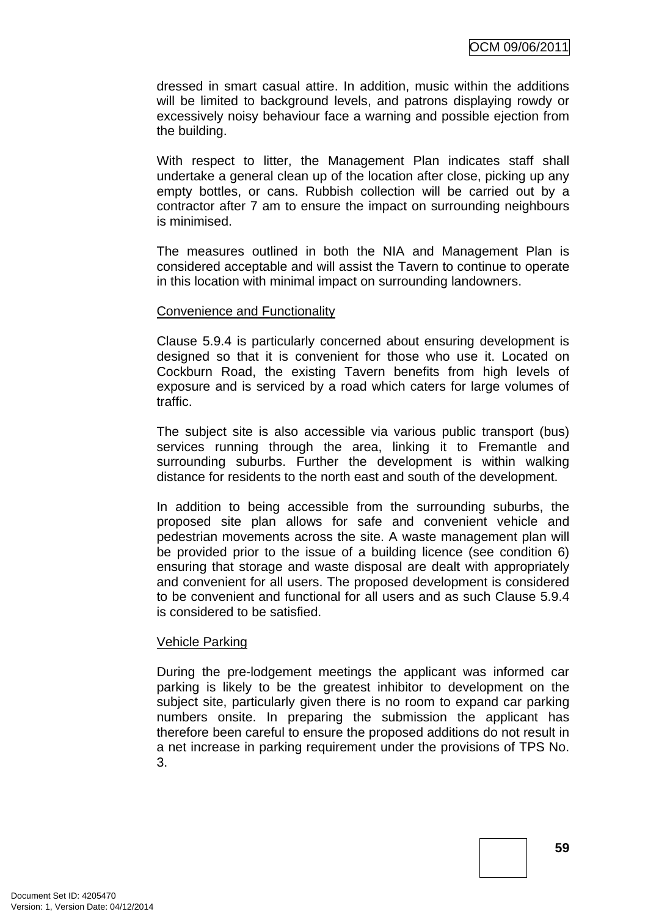dressed in smart casual attire. In addition, music within the additions will be limited to background levels, and patrons displaying rowdy or excessively noisy behaviour face a warning and possible ejection from the building.

With respect to litter, the Management Plan indicates staff shall undertake a general clean up of the location after close, picking up any empty bottles, or cans. Rubbish collection will be carried out by a contractor after 7 am to ensure the impact on surrounding neighbours is minimised.

The measures outlined in both the NIA and Management Plan is considered acceptable and will assist the Tavern to continue to operate in this location with minimal impact on surrounding landowners.

#### Convenience and Functionality

Clause 5.9.4 is particularly concerned about ensuring development is designed so that it is convenient for those who use it. Located on Cockburn Road, the existing Tavern benefits from high levels of exposure and is serviced by a road which caters for large volumes of traffic.

The subject site is also accessible via various public transport (bus) services running through the area, linking it to Fremantle and surrounding suburbs. Further the development is within walking distance for residents to the north east and south of the development.

In addition to being accessible from the surrounding suburbs, the proposed site plan allows for safe and convenient vehicle and pedestrian movements across the site. A waste management plan will be provided prior to the issue of a building licence (see condition 6) ensuring that storage and waste disposal are dealt with appropriately and convenient for all users. The proposed development is considered to be convenient and functional for all users and as such Clause 5.9.4 is considered to be satisfied.

#### Vehicle Parking

During the pre-lodgement meetings the applicant was informed car parking is likely to be the greatest inhibitor to development on the subject site, particularly given there is no room to expand car parking numbers onsite. In preparing the submission the applicant has therefore been careful to ensure the proposed additions do not result in a net increase in parking requirement under the provisions of TPS No. 3.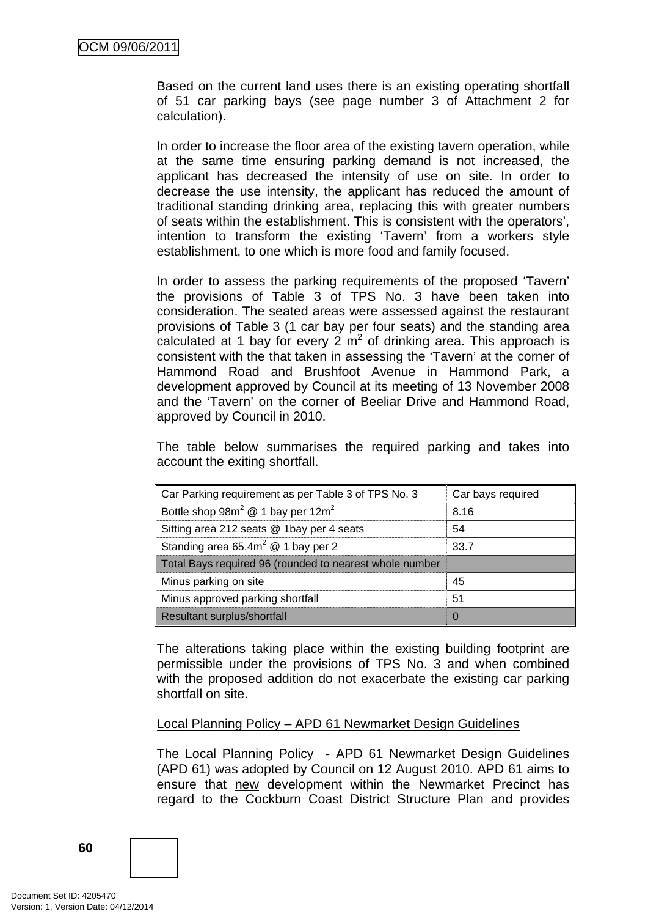Based on the current land uses there is an existing operating shortfall of 51 car parking bays (see page number 3 of Attachment 2 for calculation).

In order to increase the floor area of the existing tavern operation, while at the same time ensuring parking demand is not increased, the applicant has decreased the intensity of use on site. In order to decrease the use intensity, the applicant has reduced the amount of traditional standing drinking area, replacing this with greater numbers of seats within the establishment. This is consistent with the operators', intention to transform the existing 'Tavern' from a workers style establishment, to one which is more food and family focused.

In order to assess the parking requirements of the proposed 'Tavern' the provisions of Table 3 of TPS No. 3 have been taken into consideration. The seated areas were assessed against the restaurant provisions of Table 3 (1 car bay per four seats) and the standing area calculated at 1 bay for every 2  $m^2$  of drinking area. This approach is consistent with the that taken in assessing the 'Tavern' at the corner of Hammond Road and Brushfoot Avenue in Hammond Park, a development approved by Council at its meeting of 13 November 2008 and the 'Tavern' on the corner of Beeliar Drive and Hammond Road, approved by Council in 2010.

The table below summarises the required parking and takes into account the exiting shortfall.

| Car Parking requirement as per Table 3 of TPS No. 3       | Car bays required |
|-----------------------------------------------------------|-------------------|
| Bottle shop $98m^2 \text{ } @$ 1 bay per 12m <sup>2</sup> | 8.16              |
| Sitting area 212 seats @ 1bay per 4 seats                 | 54                |
| Standing area 65.4 $m^2 \otimes 1$ bay per 2              | 33.7              |
| Total Bays required 96 (rounded to nearest whole number   |                   |
| Minus parking on site                                     | 45                |
| Minus approved parking shortfall                          | 51                |
| Resultant surplus/shortfall                               |                   |

The alterations taking place within the existing building footprint are permissible under the provisions of TPS No. 3 and when combined with the proposed addition do not exacerbate the existing car parking shortfall on site.

#### Local Planning Policy – APD 61 Newmarket Design Guidelines

The Local Planning Policy - APD 61 Newmarket Design Guidelines (APD 61) was adopted by Council on 12 August 2010. APD 61 aims to ensure that new development within the Newmarket Precinct has regard to the Cockburn Coast District Structure Plan and provides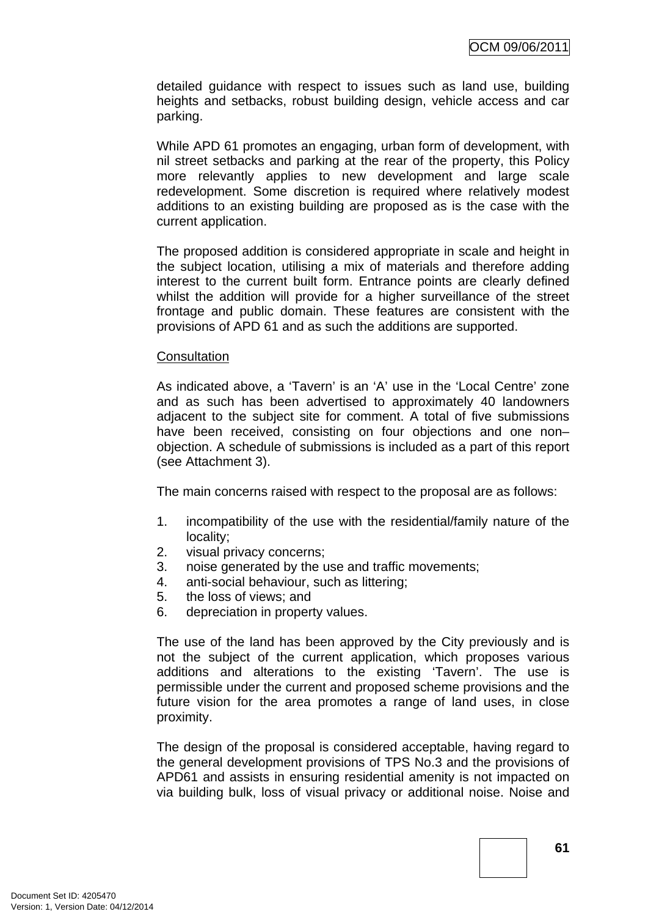detailed guidance with respect to issues such as land use, building heights and setbacks, robust building design, vehicle access and car parking.

While APD 61 promotes an engaging, urban form of development, with nil street setbacks and parking at the rear of the property, this Policy more relevantly applies to new development and large scale redevelopment. Some discretion is required where relatively modest additions to an existing building are proposed as is the case with the current application.

The proposed addition is considered appropriate in scale and height in the subject location, utilising a mix of materials and therefore adding interest to the current built form. Entrance points are clearly defined whilst the addition will provide for a higher surveillance of the street frontage and public domain. These features are consistent with the provisions of APD 61 and as such the additions are supported.

#### **Consultation**

As indicated above, a 'Tavern' is an 'A' use in the 'Local Centre' zone and as such has been advertised to approximately 40 landowners adjacent to the subject site for comment. A total of five submissions have been received, consisting on four objections and one nonobjection. A schedule of submissions is included as a part of this report (see Attachment 3).

The main concerns raised with respect to the proposal are as follows:

- 1. incompatibility of the use with the residential/family nature of the locality;
- 2. visual privacy concerns;
- 3. noise generated by the use and traffic movements;
- 4. anti-social behaviour, such as littering;
- 5. the loss of views; and
- 6. depreciation in property values.

The use of the land has been approved by the City previously and is not the subject of the current application, which proposes various additions and alterations to the existing 'Tavern'. The use is permissible under the current and proposed scheme provisions and the future vision for the area promotes a range of land uses, in close proximity.

The design of the proposal is considered acceptable, having regard to the general development provisions of TPS No.3 and the provisions of APD61 and assists in ensuring residential amenity is not impacted on via building bulk, loss of visual privacy or additional noise. Noise and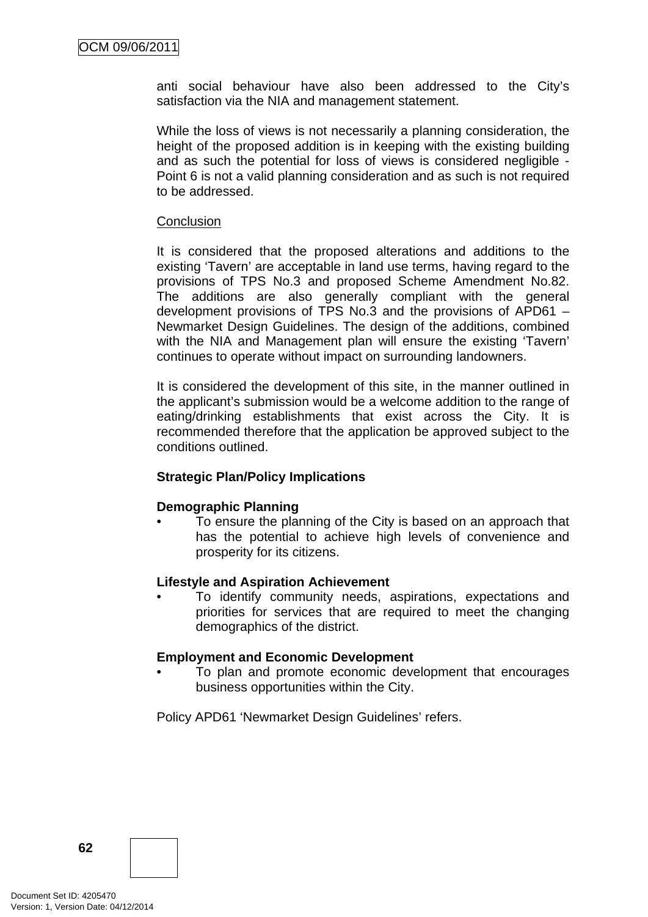anti social behaviour have also been addressed to the City's satisfaction via the NIA and management statement.

While the loss of views is not necessarily a planning consideration, the height of the proposed addition is in keeping with the existing building and as such the potential for loss of views is considered negligible - Point 6 is not a valid planning consideration and as such is not required to be addressed.

#### **Conclusion**

It is considered that the proposed alterations and additions to the existing 'Tavern' are acceptable in land use terms, having regard to the provisions of TPS No.3 and proposed Scheme Amendment No.82. The additions are also generally compliant with the general development provisions of TPS No.3 and the provisions of APD61 – Newmarket Design Guidelines. The design of the additions, combined with the NIA and Management plan will ensure the existing 'Tavern' continues to operate without impact on surrounding landowners.

It is considered the development of this site, in the manner outlined in the applicant's submission would be a welcome addition to the range of eating/drinking establishments that exist across the City. It is recommended therefore that the application be approved subject to the conditions outlined.

### **Strategic Plan/Policy Implications**

### **Demographic Planning**

• To ensure the planning of the City is based on an approach that has the potential to achieve high levels of convenience and prosperity for its citizens.

#### **Lifestyle and Aspiration Achievement**

• To identify community needs, aspirations, expectations and priorities for services that are required to meet the changing demographics of the district.

#### **Employment and Economic Development**

• To plan and promote economic development that encourages business opportunities within the City.

Policy APD61 'Newmarket Design Guidelines' refers.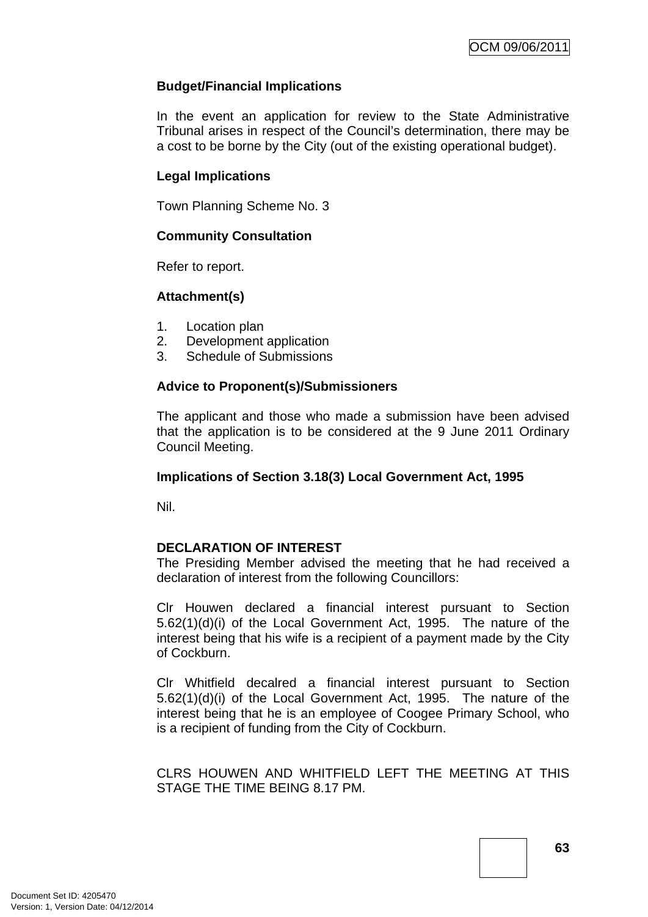### **Budget/Financial Implications**

In the event an application for review to the State Administrative Tribunal arises in respect of the Council's determination, there may be a cost to be borne by the City (out of the existing operational budget).

#### **Legal Implications**

Town Planning Scheme No. 3

#### **Community Consultation**

Refer to report.

### **Attachment(s)**

- 1. Location plan
- 2. Development application
- 3. Schedule of Submissions

### **Advice to Proponent(s)/Submissioners**

The applicant and those who made a submission have been advised that the application is to be considered at the 9 June 2011 Ordinary Council Meeting.

### **Implications of Section 3.18(3) Local Government Act, 1995**

Nil.

### **DECLARATION OF INTEREST**

The Presiding Member advised the meeting that he had received a declaration of interest from the following Councillors:

Clr Houwen declared a financial interest pursuant to Section 5.62(1)(d)(i) of the Local Government Act, 1995. The nature of the interest being that his wife is a recipient of a payment made by the City of Cockburn.

Clr Whitfield decalred a financial interest pursuant to Section 5.62(1)(d)(i) of the Local Government Act, 1995. The nature of the interest being that he is an employee of Coogee Primary School, who is a recipient of funding from the City of Cockburn.

CLRS HOUWEN AND WHITFIELD LEFT THE MEETING AT THIS STAGE THE TIME BEING 8.17 PM.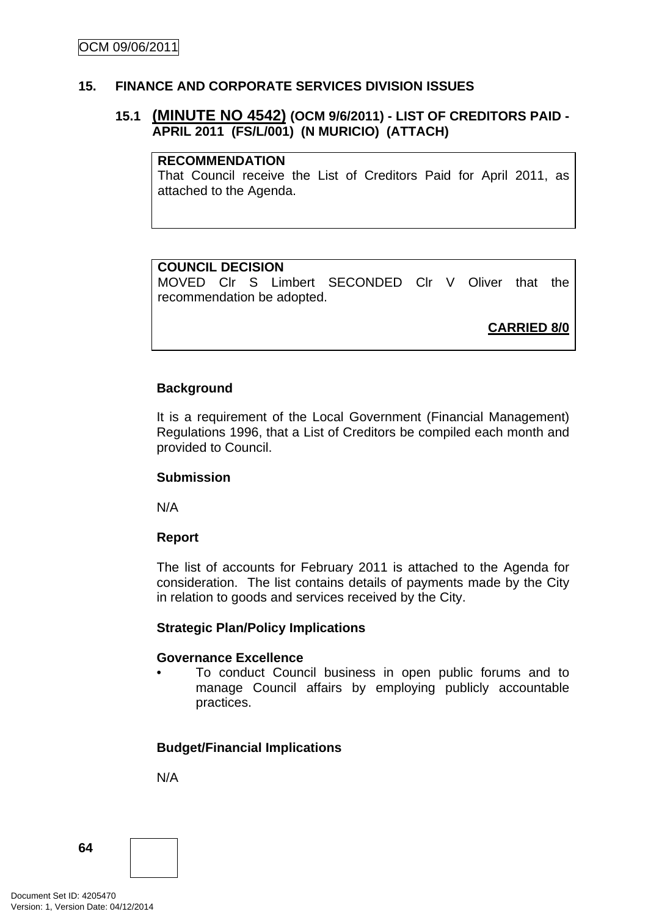#### **15. FINANCE AND CORPORATE SERVICES DIVISION ISSUES**

### **15.1 (MINUTE NO 4542) (OCM 9/6/2011) - LIST OF CREDITORS PAID - APRIL 2011 (FS/L/001) (N MURICIO) (ATTACH)**

#### **RECOMMENDATION**

That Council receive the List of Creditors Paid for April 2011, as attached to the Agenda.

## **COUNCIL DECISION**

MOVED Clr S Limbert SECONDED Clr V Oliver that the recommendation be adopted.

**CARRIED 8/0**

### **Background**

It is a requirement of the Local Government (Financial Management) Regulations 1996, that a List of Creditors be compiled each month and provided to Council.

### **Submission**

N/A

### **Report**

The list of accounts for February 2011 is attached to the Agenda for consideration. The list contains details of payments made by the City in relation to goods and services received by the City.

### **Strategic Plan/Policy Implications**

### **Governance Excellence**

• To conduct Council business in open public forums and to manage Council affairs by employing publicly accountable practices.

### **Budget/Financial Implications**

N/A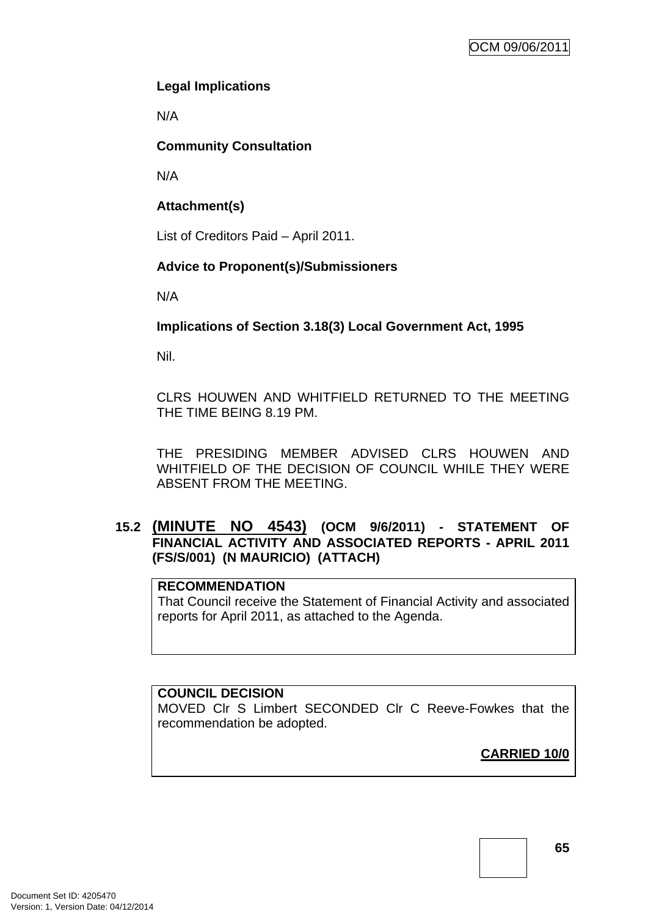# **Legal Implications**

N/A

# **Community Consultation**

N/A

# **Attachment(s)**

List of Creditors Paid – April 2011.

# **Advice to Proponent(s)/Submissioners**

N/A

# **Implications of Section 3.18(3) Local Government Act, 1995**

Nil.

CLRS HOUWEN AND WHITFIELD RETURNED TO THE MEETING THE TIME BEING 8.19 PM.

THE PRESIDING MEMBER ADVISED CLRS HOUWEN AND WHITFIELD OF THE DECISION OF COUNCIL WHILE THEY WERE ABSENT FROM THE MEETING.

# **15.2 (MINUTE NO 4543) (OCM 9/6/2011) - STATEMENT OF FINANCIAL ACTIVITY AND ASSOCIATED REPORTS - APRIL 2011 (FS/S/001) (N MAURICIO) (ATTACH)**

### **RECOMMENDATION**

That Council receive the Statement of Financial Activity and associated reports for April 2011, as attached to the Agenda.

# **COUNCIL DECISION**

MOVED Clr S Limbert SECONDED Clr C Reeve-Fowkes that the recommendation be adopted.

**CARRIED 10/0**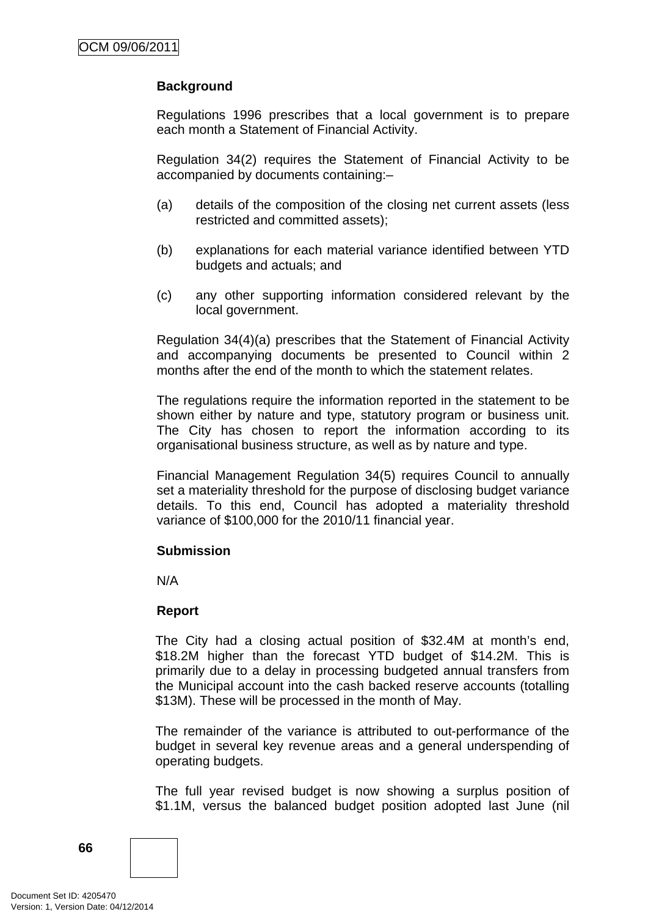# **Background**

Regulations 1996 prescribes that a local government is to prepare each month a Statement of Financial Activity.

Regulation 34(2) requires the Statement of Financial Activity to be accompanied by documents containing:–

- (a) details of the composition of the closing net current assets (less restricted and committed assets);
- (b) explanations for each material variance identified between YTD budgets and actuals; and
- (c) any other supporting information considered relevant by the local government.

Regulation 34(4)(a) prescribes that the Statement of Financial Activity and accompanying documents be presented to Council within 2 months after the end of the month to which the statement relates.

The regulations require the information reported in the statement to be shown either by nature and type, statutory program or business unit. The City has chosen to report the information according to its organisational business structure, as well as by nature and type.

Financial Management Regulation 34(5) requires Council to annually set a materiality threshold for the purpose of disclosing budget variance details. To this end, Council has adopted a materiality threshold variance of \$100,000 for the 2010/11 financial year.

### **Submission**

N/A

# **Report**

The City had a closing actual position of \$32.4M at month's end, \$18.2M higher than the forecast YTD budget of \$14.2M. This is primarily due to a delay in processing budgeted annual transfers from the Municipal account into the cash backed reserve accounts (totalling \$13M). These will be processed in the month of May.

The remainder of the variance is attributed to out-performance of the budget in several key revenue areas and a general underspending of operating budgets.

The full year revised budget is now showing a surplus position of \$1.1M, versus the balanced budget position adopted last June (nil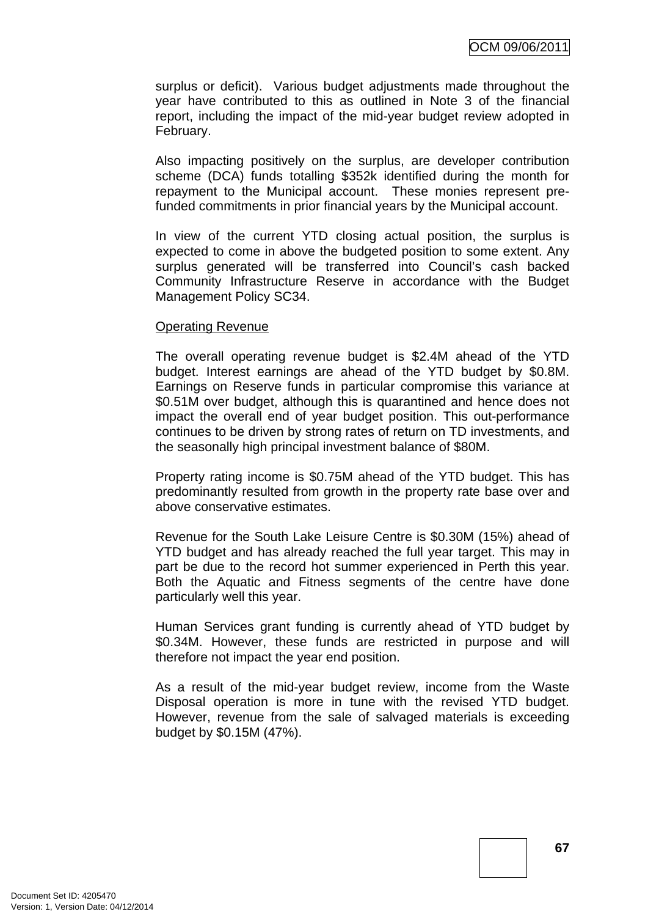surplus or deficit). Various budget adjustments made throughout the year have contributed to this as outlined in Note 3 of the financial report, including the impact of the mid-year budget review adopted in February.

Also impacting positively on the surplus, are developer contribution scheme (DCA) funds totalling \$352k identified during the month for repayment to the Municipal account. These monies represent prefunded commitments in prior financial years by the Municipal account.

In view of the current YTD closing actual position, the surplus is expected to come in above the budgeted position to some extent. Any surplus generated will be transferred into Council's cash backed Community Infrastructure Reserve in accordance with the Budget Management Policy SC34.

#### Operating Revenue

The overall operating revenue budget is \$2.4M ahead of the YTD budget. Interest earnings are ahead of the YTD budget by \$0.8M. Earnings on Reserve funds in particular compromise this variance at \$0.51M over budget, although this is quarantined and hence does not impact the overall end of year budget position. This out-performance continues to be driven by strong rates of return on TD investments, and the seasonally high principal investment balance of \$80M.

Property rating income is \$0.75M ahead of the YTD budget. This has predominantly resulted from growth in the property rate base over and above conservative estimates.

Revenue for the South Lake Leisure Centre is \$0.30M (15%) ahead of YTD budget and has already reached the full year target. This may in part be due to the record hot summer experienced in Perth this year. Both the Aquatic and Fitness segments of the centre have done particularly well this year.

Human Services grant funding is currently ahead of YTD budget by \$0.34M. However, these funds are restricted in purpose and will therefore not impact the year end position.

As a result of the mid-year budget review, income from the Waste Disposal operation is more in tune with the revised YTD budget. However, revenue from the sale of salvaged materials is exceeding budget by \$0.15M (47%).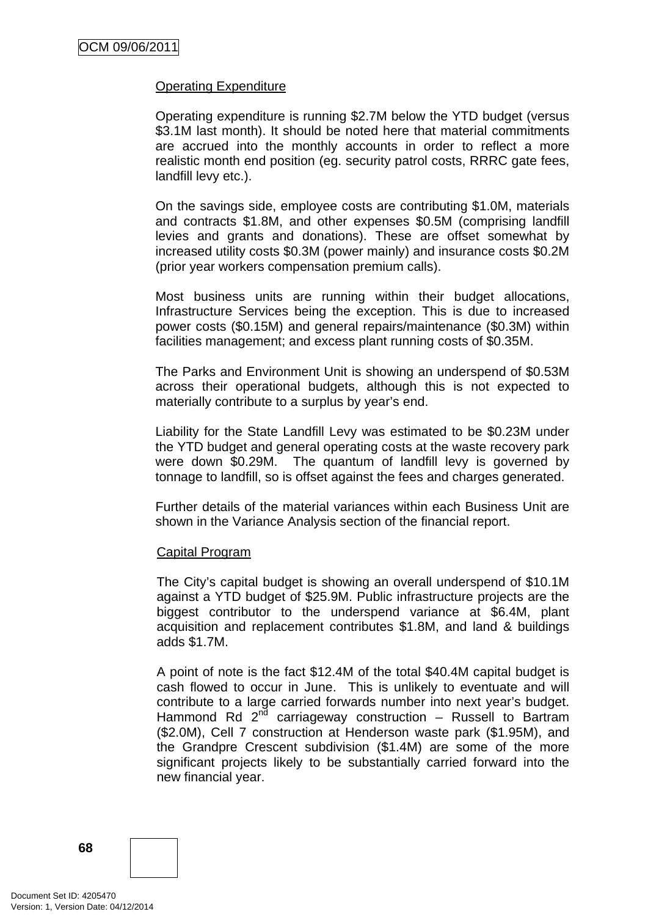#### Operating Expenditure

Operating expenditure is running \$2.7M below the YTD budget (versus \$3.1M last month). It should be noted here that material commitments are accrued into the monthly accounts in order to reflect a more realistic month end position (eg. security patrol costs, RRRC gate fees, landfill levy etc.).

On the savings side, employee costs are contributing \$1.0M, materials and contracts \$1.8M, and other expenses \$0.5M (comprising landfill levies and grants and donations). These are offset somewhat by increased utility costs \$0.3M (power mainly) and insurance costs \$0.2M (prior year workers compensation premium calls).

Most business units are running within their budget allocations, Infrastructure Services being the exception. This is due to increased power costs (\$0.15M) and general repairs/maintenance (\$0.3M) within facilities management; and excess plant running costs of \$0.35M.

The Parks and Environment Unit is showing an underspend of \$0.53M across their operational budgets, although this is not expected to materially contribute to a surplus by year's end.

Liability for the State Landfill Levy was estimated to be \$0.23M under the YTD budget and general operating costs at the waste recovery park were down \$0.29M. The quantum of landfill levy is governed by tonnage to landfill, so is offset against the fees and charges generated.

Further details of the material variances within each Business Unit are shown in the Variance Analysis section of the financial report.

#### Capital Program

The City's capital budget is showing an overall underspend of \$10.1M against a YTD budget of \$25.9M. Public infrastructure projects are the biggest contributor to the underspend variance at \$6.4M, plant acquisition and replacement contributes \$1.8M, and land & buildings adds \$1.7M.

A point of note is the fact \$12.4M of the total \$40.4M capital budget is cash flowed to occur in June. This is unlikely to eventuate and will contribute to a large carried forwards number into next year's budget. Hammond Rd  $2^{n\bar{d}}$  carriageway construction – Russell to Bartram (\$2.0M), Cell 7 construction at Henderson waste park (\$1.95M), and the Grandpre Crescent subdivision (\$1.4M) are some of the more significant projects likely to be substantially carried forward into the new financial year.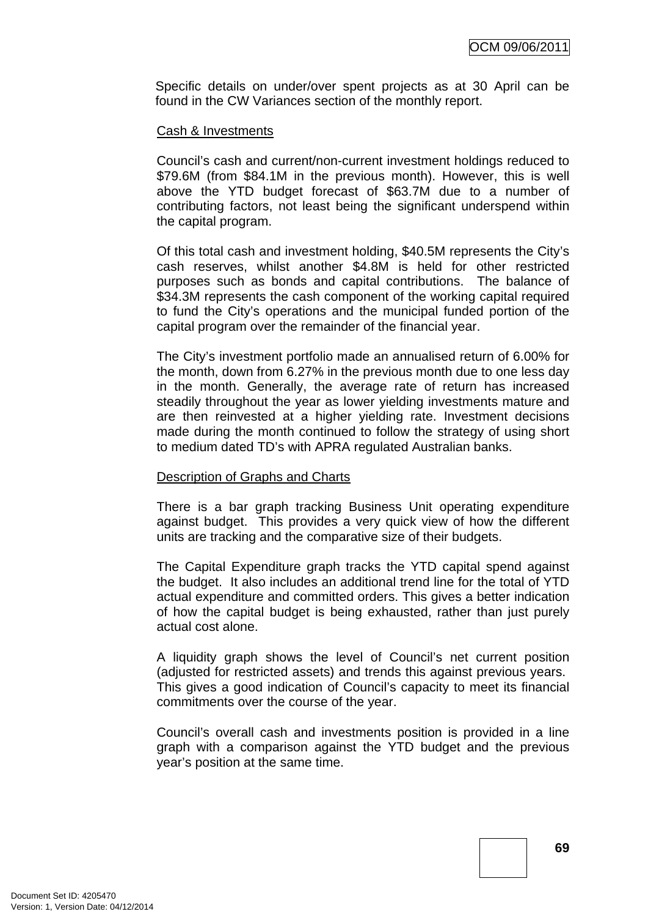Specific details on under/over spent projects as at 30 April can be found in the CW Variances section of the monthly report.

### Cash & Investments

Council's cash and current/non-current investment holdings reduced to \$79.6M (from \$84.1M in the previous month). However, this is well above the YTD budget forecast of \$63.7M due to a number of contributing factors, not least being the significant underspend within the capital program.

Of this total cash and investment holding, \$40.5M represents the City's cash reserves, whilst another \$4.8M is held for other restricted purposes such as bonds and capital contributions. The balance of \$34.3M represents the cash component of the working capital required to fund the City's operations and the municipal funded portion of the capital program over the remainder of the financial year.

The City's investment portfolio made an annualised return of 6.00% for the month, down from 6.27% in the previous month due to one less day in the month. Generally, the average rate of return has increased steadily throughout the year as lower yielding investments mature and are then reinvested at a higher yielding rate. Investment decisions made during the month continued to follow the strategy of using short to medium dated TD's with APRA regulated Australian banks.

### Description of Graphs and Charts

There is a bar graph tracking Business Unit operating expenditure against budget. This provides a very quick view of how the different units are tracking and the comparative size of their budgets.

The Capital Expenditure graph tracks the YTD capital spend against the budget. It also includes an additional trend line for the total of YTD actual expenditure and committed orders. This gives a better indication of how the capital budget is being exhausted, rather than just purely actual cost alone.

A liquidity graph shows the level of Council's net current position (adjusted for restricted assets) and trends this against previous years. This gives a good indication of Council's capacity to meet its financial commitments over the course of the year.

Council's overall cash and investments position is provided in a line graph with a comparison against the YTD budget and the previous year's position at the same time.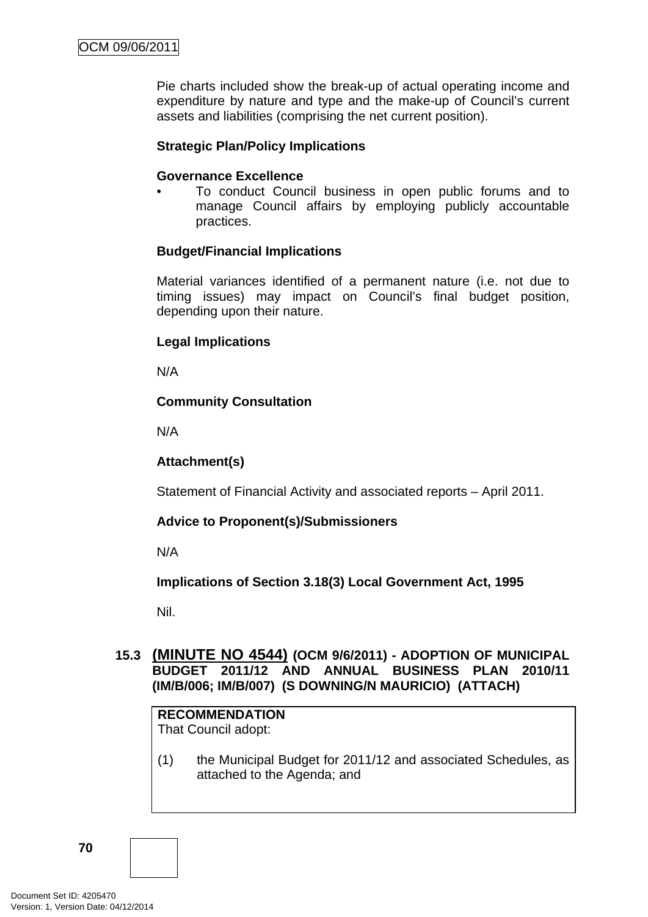Pie charts included show the break-up of actual operating income and expenditure by nature and type and the make-up of Council's current assets and liabilities (comprising the net current position).

### **Strategic Plan/Policy Implications**

#### **Governance Excellence**

• To conduct Council business in open public forums and to manage Council affairs by employing publicly accountable practices.

# **Budget/Financial Implications**

Material variances identified of a permanent nature (i.e. not due to timing issues) may impact on Council's final budget position, depending upon their nature.

# **Legal Implications**

N/A

# **Community Consultation**

N/A

### **Attachment(s)**

Statement of Financial Activity and associated reports – April 2011.

# **Advice to Proponent(s)/Submissioners**

N/A

**Implications of Section 3.18(3) Local Government Act, 1995**

Nil.

# **15.3 (MINUTE NO 4544) (OCM 9/6/2011) - ADOPTION OF MUNICIPAL BUDGET 2011/12 AND ANNUAL BUSINESS PLAN 2010/11 (IM/B/006; IM/B/007) (S DOWNING/N MAURICIO) (ATTACH)**

# **RECOMMENDATION**

That Council adopt:

(1) the Municipal Budget for 2011/12 and associated Schedules, as attached to the Agenda; and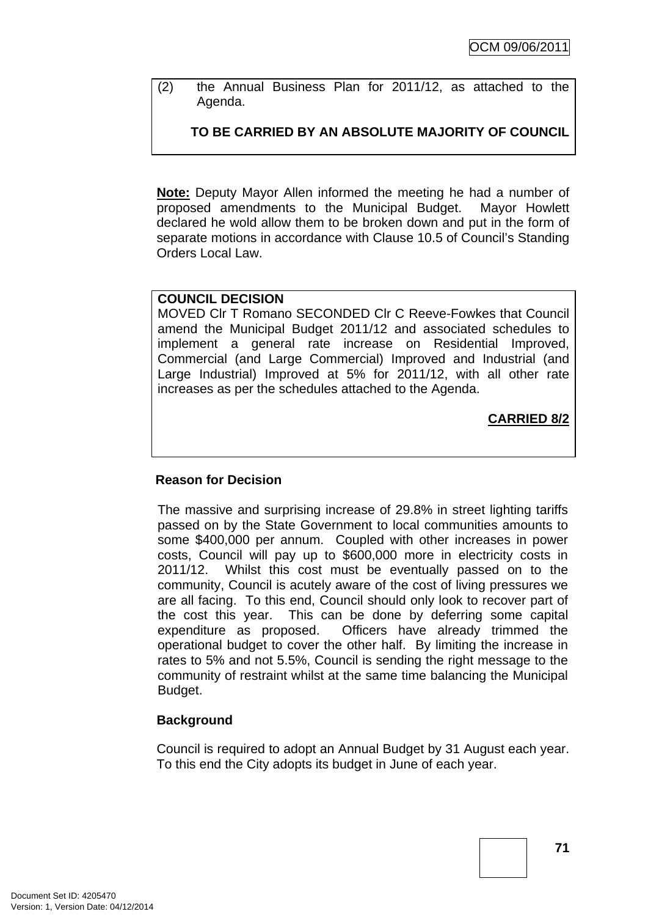(2) the Annual Business Plan for 2011/12, as attached to the Agenda.

# **TO BE CARRIED BY AN ABSOLUTE MAJORITY OF COUNCIL**

**Note:** Deputy Mayor Allen informed the meeting he had a number of proposed amendments to the Municipal Budget. Mayor Howlett declared he wold allow them to be broken down and put in the form of separate motions in accordance with Clause 10.5 of Council's Standing Orders Local Law.

# **COUNCIL DECISION**

MOVED Clr T Romano SECONDED Clr C Reeve-Fowkes that Council amend the Municipal Budget 2011/12 and associated schedules to implement a general rate increase on Residential Improved, Commercial (and Large Commercial) Improved and Industrial (and Large Industrial) Improved at 5% for 2011/12, with all other rate increases as per the schedules attached to the Agenda.

**CARRIED 8/2**

# **Reason for Decision**

The massive and surprising increase of 29.8% in street lighting tariffs passed on by the State Government to local communities amounts to some \$400,000 per annum. Coupled with other increases in power costs, Council will pay up to \$600,000 more in electricity costs in 2011/12. Whilst this cost must be eventually passed on to the community, Council is acutely aware of the cost of living pressures we are all facing. To this end, Council should only look to recover part of the cost this year. This can be done by deferring some capital expenditure as proposed. Officers have already trimmed the operational budget to cover the other half. By limiting the increase in rates to 5% and not 5.5%, Council is sending the right message to the community of restraint whilst at the same time balancing the Municipal Budget.

# **Background**

Council is required to adopt an Annual Budget by 31 August each year. To this end the City adopts its budget in June of each year.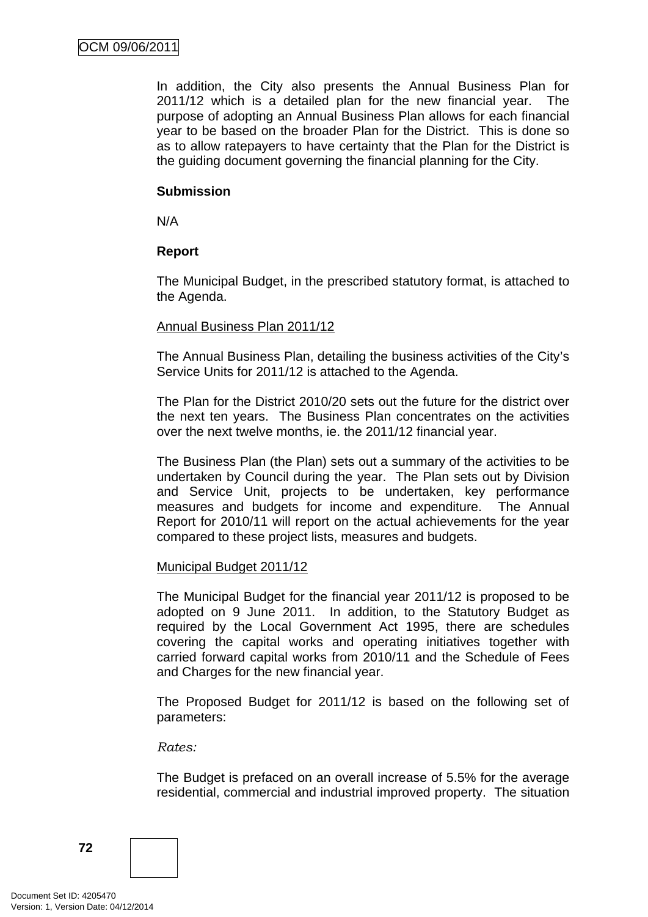In addition, the City also presents the Annual Business Plan for 2011/12 which is a detailed plan for the new financial year. The purpose of adopting an Annual Business Plan allows for each financial year to be based on the broader Plan for the District. This is done so as to allow ratepayers to have certainty that the Plan for the District is the guiding document governing the financial planning for the City.

### **Submission**

N/A

### **Report**

The Municipal Budget, in the prescribed statutory format, is attached to the Agenda.

#### Annual Business Plan 2011/12

The Annual Business Plan, detailing the business activities of the City's Service Units for 2011/12 is attached to the Agenda.

The Plan for the District 2010/20 sets out the future for the district over the next ten years. The Business Plan concentrates on the activities over the next twelve months, ie. the 2011/12 financial year.

The Business Plan (the Plan) sets out a summary of the activities to be undertaken by Council during the year. The Plan sets out by Division and Service Unit, projects to be undertaken, key performance measures and budgets for income and expenditure. The Annual Report for 2010/11 will report on the actual achievements for the year compared to these project lists, measures and budgets.

### Municipal Budget 2011/12

The Municipal Budget for the financial year 2011/12 is proposed to be adopted on 9 June 2011. In addition, to the Statutory Budget as required by the Local Government Act 1995, there are schedules covering the capital works and operating initiatives together with carried forward capital works from 2010/11 and the Schedule of Fees and Charges for the new financial year.

The Proposed Budget for 2011/12 is based on the following set of parameters:

#### *Rates:*

The Budget is prefaced on an overall increase of 5.5% for the average residential, commercial and industrial improved property. The situation

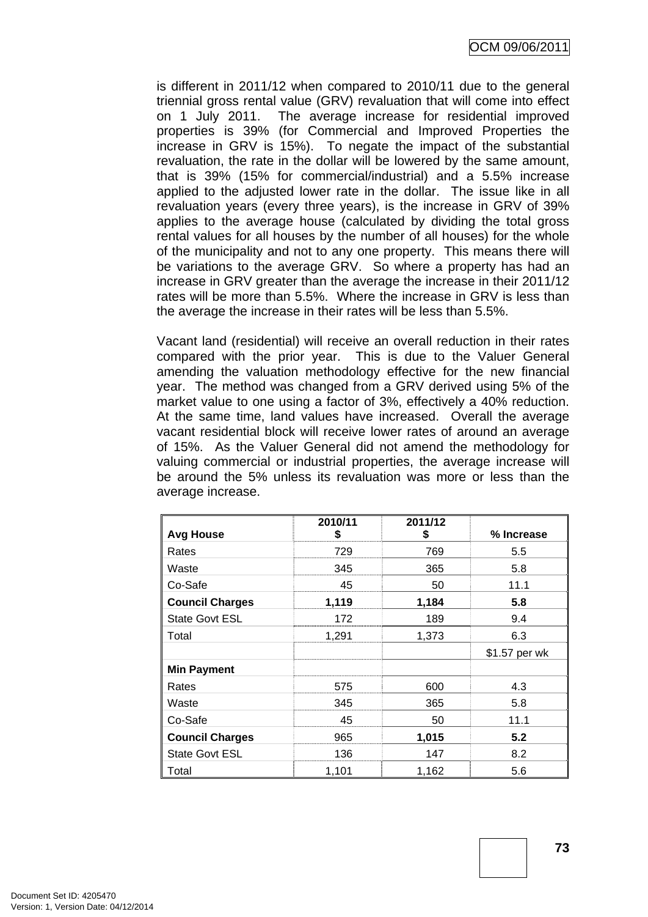is different in 2011/12 when compared to 2010/11 due to the general triennial gross rental value (GRV) revaluation that will come into effect on 1 July 2011. The average increase for residential improved properties is 39% (for Commercial and Improved Properties the increase in GRV is 15%). To negate the impact of the substantial revaluation, the rate in the dollar will be lowered by the same amount, that is 39% (15% for commercial/industrial) and a 5.5% increase applied to the adjusted lower rate in the dollar. The issue like in all revaluation years (every three years), is the increase in GRV of 39% applies to the average house (calculated by dividing the total gross rental values for all houses by the number of all houses) for the whole of the municipality and not to any one property. This means there will be variations to the average GRV. So where a property has had an increase in GRV greater than the average the increase in their 2011/12 rates will be more than 5.5%. Where the increase in GRV is less than the average the increase in their rates will be less than 5.5%.

Vacant land (residential) will receive an overall reduction in their rates compared with the prior year. This is due to the Valuer General amending the valuation methodology effective for the new financial year. The method was changed from a GRV derived using 5% of the market value to one using a factor of 3%, effectively a 40% reduction. At the same time, land values have increased. Overall the average vacant residential block will receive lower rates of around an average of 15%. As the Valuer General did not amend the methodology for valuing commercial or industrial properties, the average increase will be around the 5% unless its revaluation was more or less than the average increase.

|                        | 2010/11 | 2011/12 |               |
|------------------------|---------|---------|---------------|
| <b>Avg House</b>       | \$      | S       | % Increase    |
| Rates                  | 729     | 769     | 5.5           |
| Waste                  | 345     | 365     | 5.8           |
| Co-Safe                | 45      | 50      | 11.1          |
| <b>Council Charges</b> | 1,119   | 1,184   | 5.8           |
| <b>State Govt ESL</b>  | 172     | 189     | 9.4           |
| Total                  | 1,291   | 1,373   | 6.3           |
|                        |         |         | \$1.57 per wk |
| <b>Min Payment</b>     |         |         |               |
| Rates                  | 575     | 600     | 4.3           |
| Waste                  | 345     | 365     | 5.8           |
| Co-Safe                | 45      | 50      | 11.1          |
| <b>Council Charges</b> | 965     | 1,015   | 5.2           |
| <b>State Govt ESL</b>  | 136     | 147     | 8.2           |
| Total                  | 1,101   | 1,162   | 5.6           |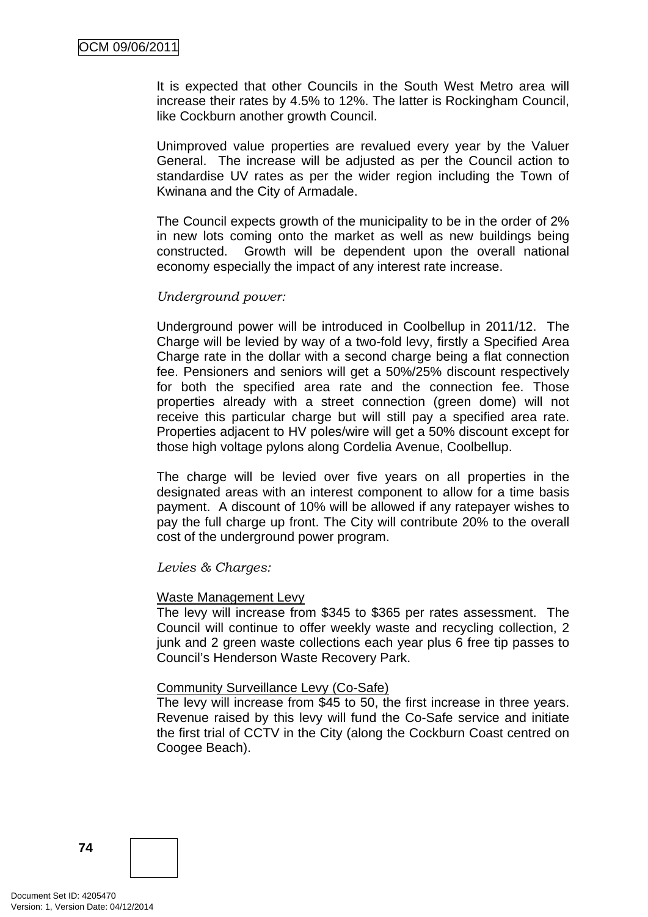It is expected that other Councils in the South West Metro area will increase their rates by 4.5% to 12%. The latter is Rockingham Council, like Cockburn another growth Council.

Unimproved value properties are revalued every year by the Valuer General. The increase will be adjusted as per the Council action to standardise UV rates as per the wider region including the Town of Kwinana and the City of Armadale.

The Council expects growth of the municipality to be in the order of 2% in new lots coming onto the market as well as new buildings being constructed. Growth will be dependent upon the overall national economy especially the impact of any interest rate increase.

#### *Underground power:*

Underground power will be introduced in Coolbellup in 2011/12. The Charge will be levied by way of a two-fold levy, firstly a Specified Area Charge rate in the dollar with a second charge being a flat connection fee. Pensioners and seniors will get a 50%/25% discount respectively for both the specified area rate and the connection fee. Those properties already with a street connection (green dome) will not receive this particular charge but will still pay a specified area rate. Properties adjacent to HV poles/wire will get a 50% discount except for those high voltage pylons along Cordelia Avenue, Coolbellup.

The charge will be levied over five years on all properties in the designated areas with an interest component to allow for a time basis payment. A discount of 10% will be allowed if any ratepayer wishes to pay the full charge up front. The City will contribute 20% to the overall cost of the underground power program.

#### *Levies & Charges:*

#### Waste Management Levy

The levy will increase from \$345 to \$365 per rates assessment. The Council will continue to offer weekly waste and recycling collection, 2 junk and 2 green waste collections each year plus 6 free tip passes to Council's Henderson Waste Recovery Park.

#### Community Surveillance Levy (Co-Safe)

The levy will increase from \$45 to 50, the first increase in three years. Revenue raised by this levy will fund the Co-Safe service and initiate the first trial of CCTV in the City (along the Cockburn Coast centred on Coogee Beach).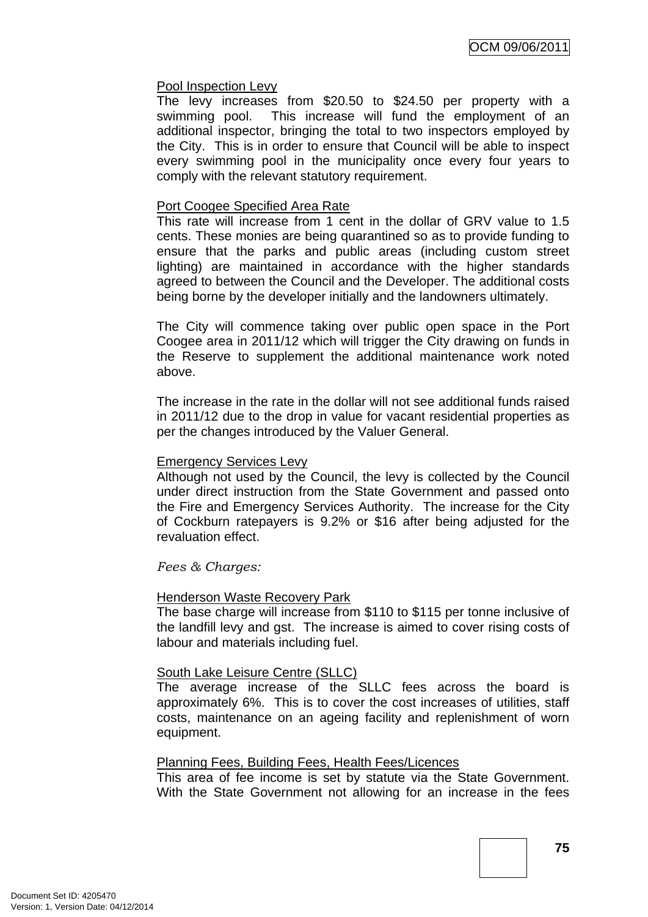### Pool Inspection Levy

The levy increases from \$20.50 to \$24.50 per property with a swimming pool. This increase will fund the employment of an additional inspector, bringing the total to two inspectors employed by the City. This is in order to ensure that Council will be able to inspect every swimming pool in the municipality once every four years to comply with the relevant statutory requirement.

### Port Coogee Specified Area Rate

This rate will increase from 1 cent in the dollar of GRV value to 1.5 cents. These monies are being quarantined so as to provide funding to ensure that the parks and public areas (including custom street lighting) are maintained in accordance with the higher standards agreed to between the Council and the Developer. The additional costs being borne by the developer initially and the landowners ultimately.

The City will commence taking over public open space in the Port Coogee area in 2011/12 which will trigger the City drawing on funds in the Reserve to supplement the additional maintenance work noted above.

The increase in the rate in the dollar will not see additional funds raised in 2011/12 due to the drop in value for vacant residential properties as per the changes introduced by the Valuer General.

#### Emergency Services Levy

Although not used by the Council, the levy is collected by the Council under direct instruction from the State Government and passed onto the Fire and Emergency Services Authority. The increase for the City of Cockburn ratepayers is 9.2% or \$16 after being adjusted for the revaluation effect.

*Fees & Charges:* 

### Henderson Waste Recovery Park

The base charge will increase from \$110 to \$115 per tonne inclusive of the landfill levy and gst. The increase is aimed to cover rising costs of labour and materials including fuel.

### South Lake Leisure Centre (SLLC)

The average increase of the SLLC fees across the board is approximately 6%. This is to cover the cost increases of utilities, staff costs, maintenance on an ageing facility and replenishment of worn equipment.

#### Planning Fees, Building Fees, Health Fees/Licences

This area of fee income is set by statute via the State Government. With the State Government not allowing for an increase in the fees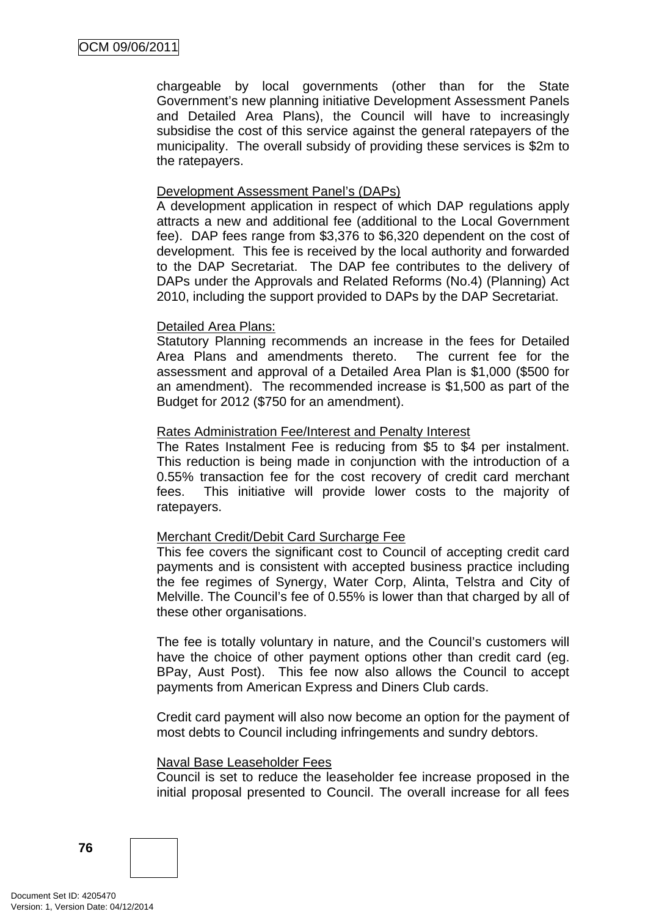chargeable by local governments (other than for the State Government's new planning initiative Development Assessment Panels and Detailed Area Plans), the Council will have to increasingly subsidise the cost of this service against the general ratepayers of the municipality. The overall subsidy of providing these services is \$2m to the ratepayers.

### Development Assessment Panel's (DAPs)

A development application in respect of which DAP regulations apply attracts a new and additional fee (additional to the Local Government fee). DAP fees range from \$3,376 to \$6,320 dependent on the cost of development. This fee is received by the local authority and forwarded to the DAP Secretariat. The DAP fee contributes to the delivery of DAPs under the Approvals and Related Reforms (No.4) (Planning) Act 2010, including the support provided to DAPs by the DAP Secretariat.

### Detailed Area Plans:

Statutory Planning recommends an increase in the fees for Detailed Area Plans and amendments thereto. The current fee for the assessment and approval of a Detailed Area Plan is \$1,000 (\$500 for an amendment). The recommended increase is \$1,500 as part of the Budget for 2012 (\$750 for an amendment).

#### Rates Administration Fee/Interest and Penalty Interest

The Rates Instalment Fee is reducing from \$5 to \$4 per instalment. This reduction is being made in conjunction with the introduction of a 0.55% transaction fee for the cost recovery of credit card merchant fees. This initiative will provide lower costs to the majority of ratepayers.

### Merchant Credit/Debit Card Surcharge Fee

This fee covers the significant cost to Council of accepting credit card payments and is consistent with accepted business practice including the fee regimes of Synergy, Water Corp, Alinta, Telstra and City of Melville. The Council's fee of 0.55% is lower than that charged by all of these other organisations.

The fee is totally voluntary in nature, and the Council's customers will have the choice of other payment options other than credit card (eg. BPay, Aust Post). This fee now also allows the Council to accept payments from American Express and Diners Club cards.

Credit card payment will also now become an option for the payment of most debts to Council including infringements and sundry debtors.

#### Naval Base Leaseholder Fees

Council is set to reduce the leaseholder fee increase proposed in the initial proposal presented to Council. The overall increase for all fees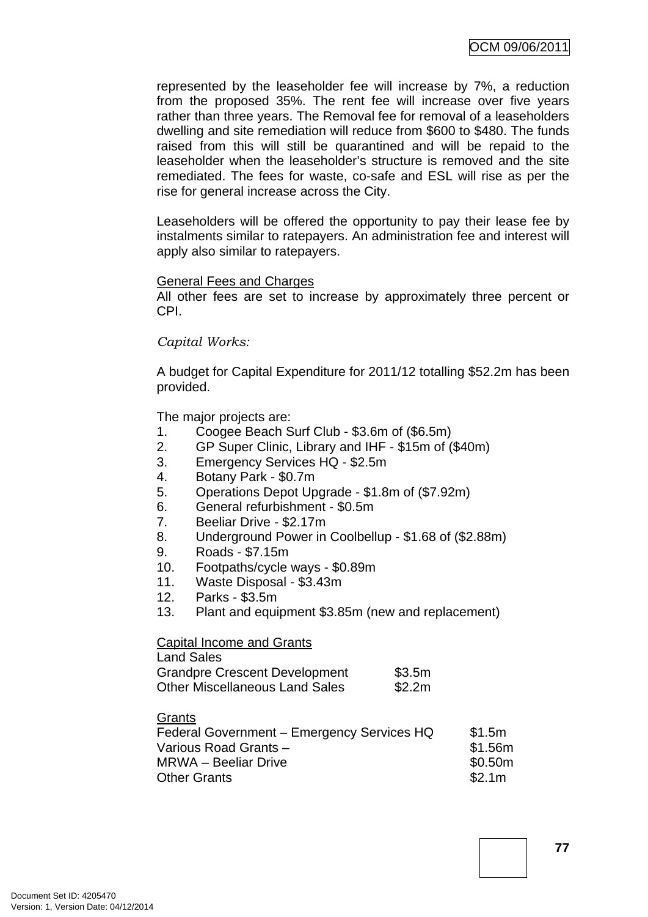represented by the leaseholder fee will increase by 7%, a reduction from the proposed 35%. The rent fee will increase over five years rather than three years. The Removal fee for removal of a leaseholders dwelling and site remediation will reduce from \$600 to \$480. The funds raised from this will still be quarantined and will be repaid to the leaseholder when the leaseholder's structure is removed and the site remediated. The fees for waste, co-safe and ESL will rise as per the rise for general increase across the City.

Leaseholders will be offered the opportunity to pay their lease fee by instalments similar to ratepayers. An administration fee and interest will apply also similar to ratepayers.

### General Fees and Charges

All other fees are set to increase by approximately three percent or CPI.

### *Capital Works:*

A budget for Capital Expenditure for 2011/12 totalling \$52.2m has been provided.

The major projects are:

- 1. Coogee Beach Surf Club \$3.6m of (\$6.5m)
- 2. GP Super Clinic, Library and IHF \$15m of (\$40m)
- 3. Emergency Services HQ \$2.5m
- 4. Botany Park \$0.7m
- 5. Operations Depot Upgrade \$1.8m of (\$7.92m)
- 6. General refurbishment \$0.5m
- 7. Beeliar Drive \$2.17m
- 8. Underground Power in Coolbellup \$1.68 of (\$2.88m)
- 9. Roads \$7.15m
- 10. Footpaths/cycle ways \$0.89m
- 11. Waste Disposal \$3.43m
- 12. Parks \$3.5m
- 13. Plant and equipment \$3.85m (new and replacement)

#### Capital Income and Grants

| <b>Land Sales</b>                     |        |
|---------------------------------------|--------|
| <b>Grandpre Crescent Development</b>  | \$3.5m |
| <b>Other Miscellaneous Land Sales</b> | \$2.2m |

#### Grants

| Federal Government - Emergency Services HQ | \$1.5m  |
|--------------------------------------------|---------|
| Various Road Grants -                      | \$1.56m |
| <b>MRWA - Beeliar Drive</b>                | \$0.50m |
| <b>Other Grants</b>                        | \$2.1m  |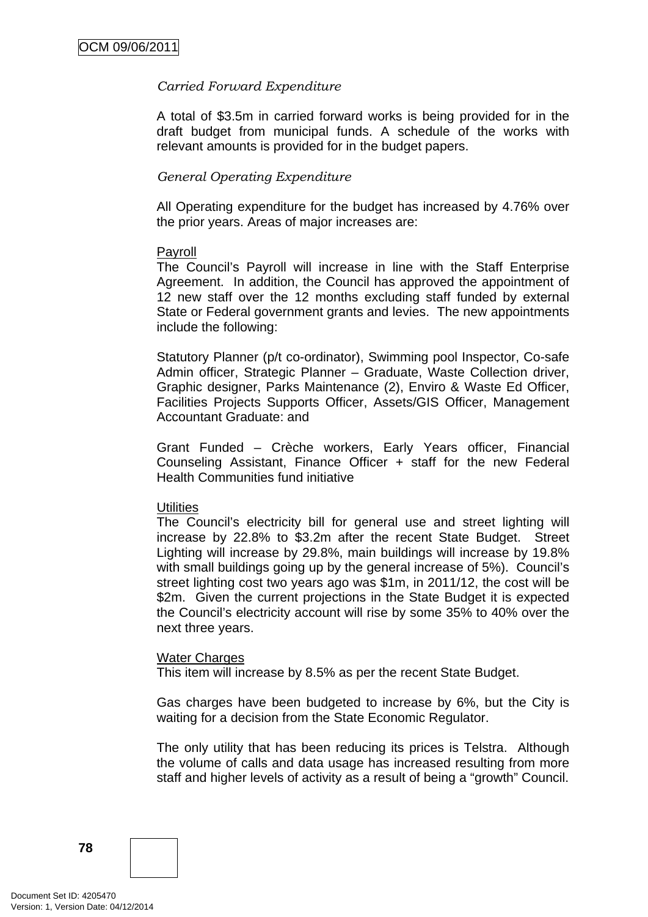### *Carried Forward Expenditure*

A total of \$3.5m in carried forward works is being provided for in the draft budget from municipal funds. A schedule of the works with relevant amounts is provided for in the budget papers.

### *General Operating Expenditure*

All Operating expenditure for the budget has increased by 4.76% over the prior years. Areas of major increases are:

#### Payroll

The Council's Payroll will increase in line with the Staff Enterprise Agreement. In addition, the Council has approved the appointment of 12 new staff over the 12 months excluding staff funded by external State or Federal government grants and levies. The new appointments include the following:

Statutory Planner (p/t co-ordinator), Swimming pool Inspector, Co-safe Admin officer, Strategic Planner – Graduate, Waste Collection driver, Graphic designer, Parks Maintenance (2), Enviro & Waste Ed Officer, Facilities Projects Supports Officer, Assets/GIS Officer, Management Accountant Graduate: and

Grant Funded – Crèche workers, Early Years officer, Financial Counseling Assistant, Finance Officer + staff for the new Federal Health Communities fund initiative

#### **Utilities**

The Council's electricity bill for general use and street lighting will increase by 22.8% to \$3.2m after the recent State Budget. Street Lighting will increase by 29.8%, main buildings will increase by 19.8% with small buildings going up by the general increase of 5%). Council's street lighting cost two years ago was \$1m, in 2011/12, the cost will be \$2m. Given the current projections in the State Budget it is expected the Council's electricity account will rise by some 35% to 40% over the next three years.

#### Water Charges

This item will increase by 8.5% as per the recent State Budget.

Gas charges have been budgeted to increase by 6%, but the City is waiting for a decision from the State Economic Regulator.

The only utility that has been reducing its prices is Telstra. Although the volume of calls and data usage has increased resulting from more staff and higher levels of activity as a result of being a "growth" Council.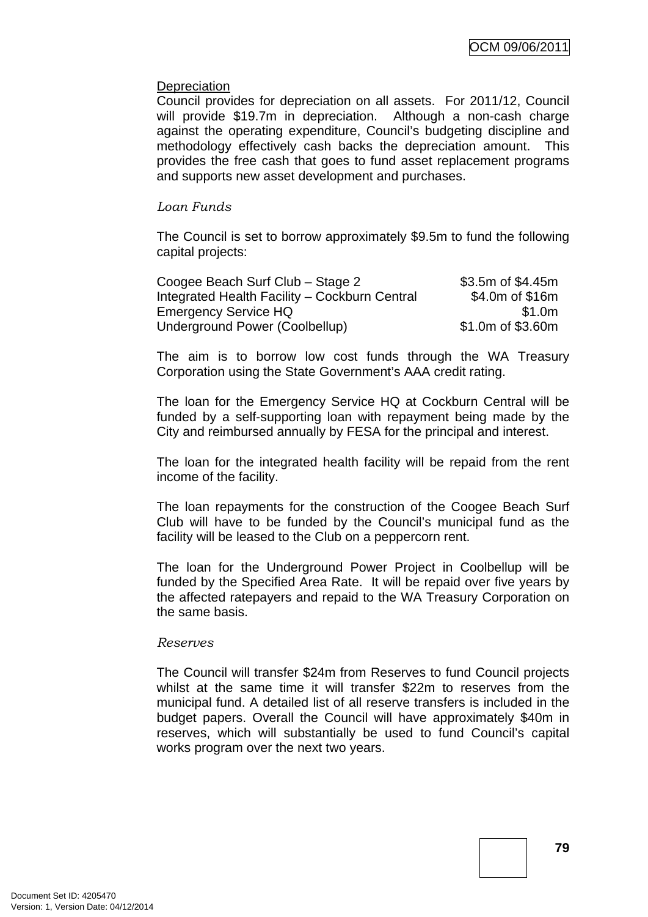### **Depreciation**

Council provides for depreciation on all assets. For 2011/12, Council will provide \$19.7m in depreciation. Although a non-cash charge against the operating expenditure, Council's budgeting discipline and methodology effectively cash backs the depreciation amount. This provides the free cash that goes to fund asset replacement programs and supports new asset development and purchases.

#### *Loan Funds*

The Council is set to borrow approximately \$9.5m to fund the following capital projects:

| Coogee Beach Surf Club - Stage 2              | \$3.5m of \$4.45m |
|-----------------------------------------------|-------------------|
| Integrated Health Facility - Cockburn Central | \$4.0m of \$16m   |
| Emergency Service HQ                          | \$1.0m            |
| Underground Power (Coolbellup)                | \$1.0m of \$3.60m |

The aim is to borrow low cost funds through the WA Treasury Corporation using the State Government's AAA credit rating.

The loan for the Emergency Service HQ at Cockburn Central will be funded by a self-supporting loan with repayment being made by the City and reimbursed annually by FESA for the principal and interest.

The loan for the integrated health facility will be repaid from the rent income of the facility.

The loan repayments for the construction of the Coogee Beach Surf Club will have to be funded by the Council's municipal fund as the facility will be leased to the Club on a peppercorn rent.

The loan for the Underground Power Project in Coolbellup will be funded by the Specified Area Rate. It will be repaid over five years by the affected ratepayers and repaid to the WA Treasury Corporation on the same basis.

#### *Reserves*

The Council will transfer \$24m from Reserves to fund Council projects whilst at the same time it will transfer \$22m to reserves from the municipal fund. A detailed list of all reserve transfers is included in the budget papers. Overall the Council will have approximately \$40m in reserves, which will substantially be used to fund Council's capital works program over the next two years.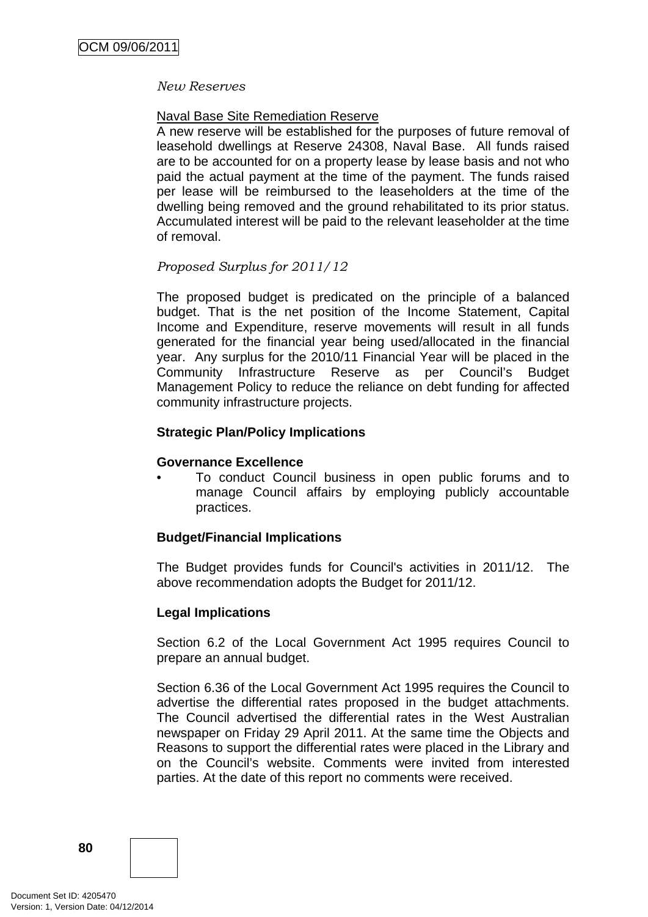### *New Reserves*

### Naval Base Site Remediation Reserve

A new reserve will be established for the purposes of future removal of leasehold dwellings at Reserve 24308, Naval Base. All funds raised are to be accounted for on a property lease by lease basis and not who paid the actual payment at the time of the payment. The funds raised per lease will be reimbursed to the leaseholders at the time of the dwelling being removed and the ground rehabilitated to its prior status. Accumulated interest will be paid to the relevant leaseholder at the time of removal.

# *Proposed Surplus for 2011/12*

The proposed budget is predicated on the principle of a balanced budget. That is the net position of the Income Statement, Capital Income and Expenditure, reserve movements will result in all funds generated for the financial year being used/allocated in the financial year. Any surplus for the 2010/11 Financial Year will be placed in the Community Infrastructure Reserve as per Council's Budget Management Policy to reduce the reliance on debt funding for affected community infrastructure projects.

### **Strategic Plan/Policy Implications**

### **Governance Excellence**

• To conduct Council business in open public forums and to manage Council affairs by employing publicly accountable practices.

### **Budget/Financial Implications**

The Budget provides funds for Council's activities in 2011/12. The above recommendation adopts the Budget for 2011/12.

### **Legal Implications**

Section 6.2 of the Local Government Act 1995 requires Council to prepare an annual budget.

Section 6.36 of the Local Government Act 1995 requires the Council to advertise the differential rates proposed in the budget attachments. The Council advertised the differential rates in the West Australian newspaper on Friday 29 April 2011. At the same time the Objects and Reasons to support the differential rates were placed in the Library and on the Council's website. Comments were invited from interested parties. At the date of this report no comments were received.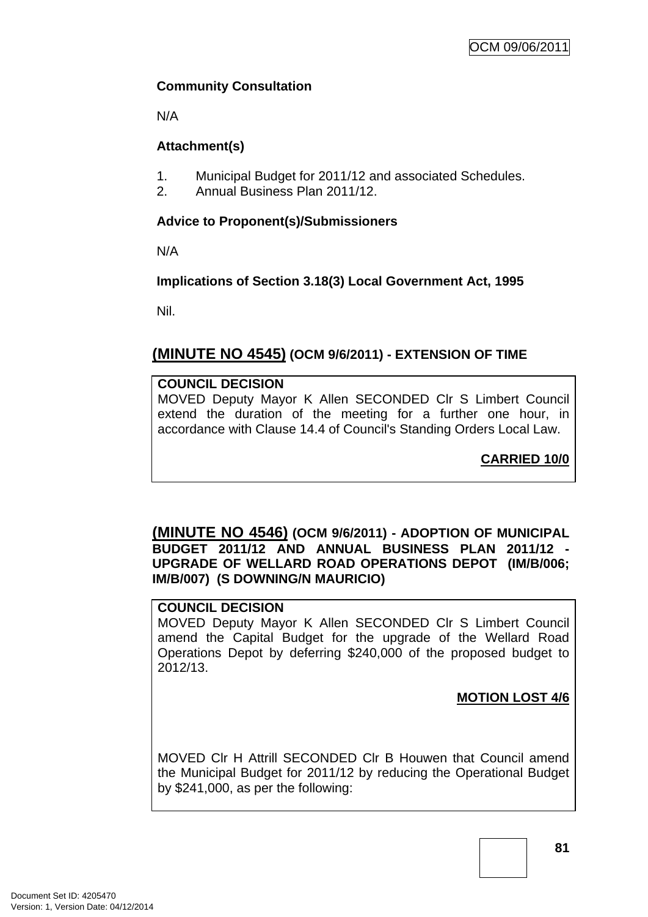# **Community Consultation**

N/A

# **Attachment(s)**

- 1. Municipal Budget for 2011/12 and associated Schedules.
- 2. Annual Business Plan 2011/12.

# **Advice to Proponent(s)/Submissioners**

N/A

# **Implications of Section 3.18(3) Local Government Act, 1995**

Nil.

# **(MINUTE NO 4545) (OCM 9/6/2011) - EXTENSION OF TIME**

# **COUNCIL DECISION**

MOVED Deputy Mayor K Allen SECONDED Clr S Limbert Council extend the duration of the meeting for a further one hour, in accordance with Clause 14.4 of Council's Standing Orders Local Law.

**CARRIED 10/0**

### **(MINUTE NO 4546) (OCM 9/6/2011) - ADOPTION OF MUNICIPAL BUDGET 2011/12 AND ANNUAL BUSINESS PLAN 2011/12 - UPGRADE OF WELLARD ROAD OPERATIONS DEPOT (IM/B/006; IM/B/007) (S DOWNING/N MAURICIO)**

# **COUNCIL DECISION**

MOVED Deputy Mayor K Allen SECONDED Clr S Limbert Council amend the Capital Budget for the upgrade of the Wellard Road Operations Depot by deferring \$240,000 of the proposed budget to 2012/13.

# **MOTION LOST 4/6**

MOVED Clr H Attrill SECONDED Clr B Houwen that Council amend the Municipal Budget for 2011/12 by reducing the Operational Budget by \$241,000, as per the following: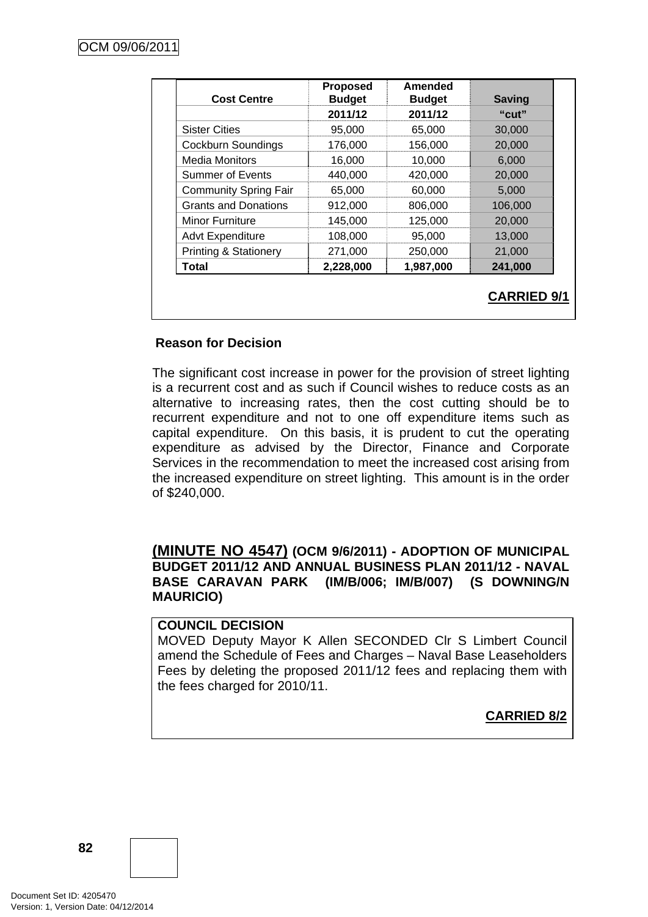| <b>Cost Centre</b>               | Proposed<br><b>Budget</b> | Amended<br><b>Budget</b> | <b>Saving</b> |
|----------------------------------|---------------------------|--------------------------|---------------|
|                                  | 2011/12                   | 2011/12                  | "cut"         |
| <b>Sister Cities</b>             | 95,000                    | 65,000                   | 30,000        |
| <b>Cockburn Soundings</b>        | 176,000                   | 156,000                  | 20,000        |
| Media Monitors                   | 16,000                    | 10,000                   | 6,000         |
| <b>Summer of Events</b>          | 440,000                   | 420,000                  | 20,000        |
| <b>Community Spring Fair</b>     | 65,000                    | 60,000                   | 5,000         |
| <b>Grants and Donations</b>      | 912,000                   | 806,000                  | 106,000       |
| <b>Minor Furniture</b>           | 145,000                   | 125,000                  | 20,000        |
| Advt Expenditure                 | 108,000                   | 95,000                   | 13,000        |
| <b>Printing &amp; Stationery</b> | 271,000                   | 250,000                  | 21,000        |
| Total                            | 2,228,000                 | 1,987,000                | 241,000       |

# **Reason for Decision**

The significant cost increase in power for the provision of street lighting is a recurrent cost and as such if Council wishes to reduce costs as an alternative to increasing rates, then the cost cutting should be to recurrent expenditure and not to one off expenditure items such as capital expenditure. On this basis, it is prudent to cut the operating expenditure as advised by the Director, Finance and Corporate Services in the recommendation to meet the increased cost arising from the increased expenditure on street lighting. This amount is in the order of \$240,000.

# **(MINUTE NO 4547) (OCM 9/6/2011) - ADOPTION OF MUNICIPAL BUDGET 2011/12 AND ANNUAL BUSINESS PLAN 2011/12 - NAVAL BASE CARAVAN PARK (IM/B/006; IM/B/007) (S DOWNING/N MAURICIO)**

### **COUNCIL DECISION**

MOVED Deputy Mayor K Allen SECONDED Clr S Limbert Council amend the Schedule of Fees and Charges – Naval Base Leaseholders Fees by deleting the proposed 2011/12 fees and replacing them with the fees charged for 2010/11.

**CARRIED 8/2**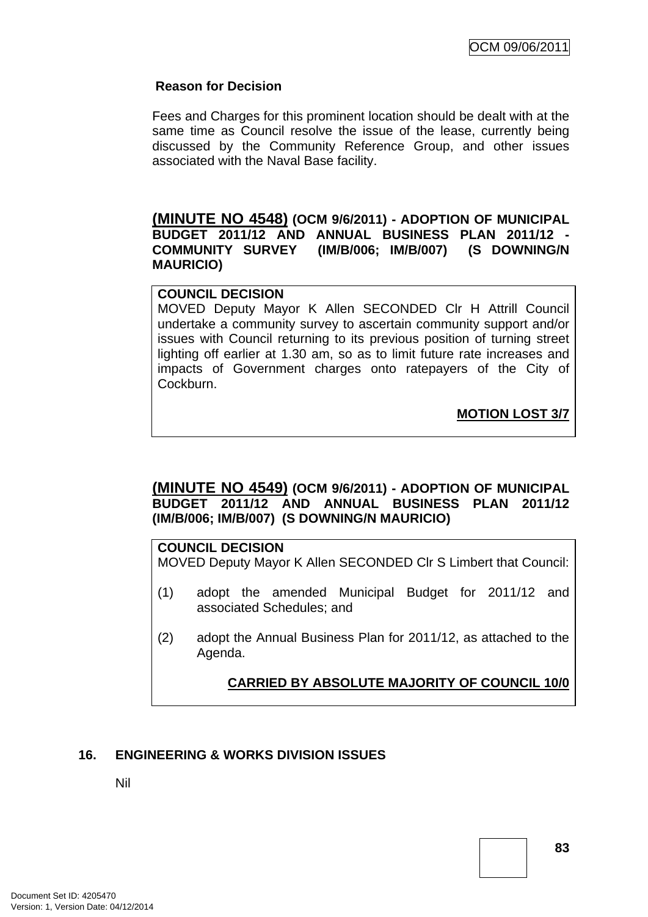### **Reason for Decision**

Fees and Charges for this prominent location should be dealt with at the same time as Council resolve the issue of the lease, currently being discussed by the Community Reference Group, and other issues associated with the Naval Base facility.

**(MINUTE NO 4548) (OCM 9/6/2011) - ADOPTION OF MUNICIPAL BUDGET 2011/12 AND ANNUAL BUSINESS PLAN 2011/12 - COMMUNITY SURVEY (IM/B/006; IM/B/007) (S DOWNING/N MAURICIO)** 

# **COUNCIL DECISION**

MOVED Deputy Mayor K Allen SECONDED Clr H Attrill Council undertake a community survey to ascertain community support and/or issues with Council returning to its previous position of turning street lighting off earlier at 1.30 am, so as to limit future rate increases and impacts of Government charges onto ratepayers of the City of Cockburn.

**MOTION LOST 3/7**

# **(MINUTE NO 4549) (OCM 9/6/2011) - ADOPTION OF MUNICIPAL BUDGET 2011/12 AND ANNUAL BUSINESS PLAN 2011/12 (IM/B/006; IM/B/007) (S DOWNING/N MAURICIO)**

#### **COUNCIL DECISION**

MOVED Deputy Mayor K Allen SECONDED Clr S Limbert that Council:

- (1) adopt the amended Municipal Budget for 2011/12 and associated Schedules; and
- (2) adopt the Annual Business Plan for 2011/12, as attached to the Agenda.

# **CARRIED BY ABSOLUTE MAJORITY OF COUNCIL 10/0**

### **16. ENGINEERING & WORKS DIVISION ISSUES**

Nil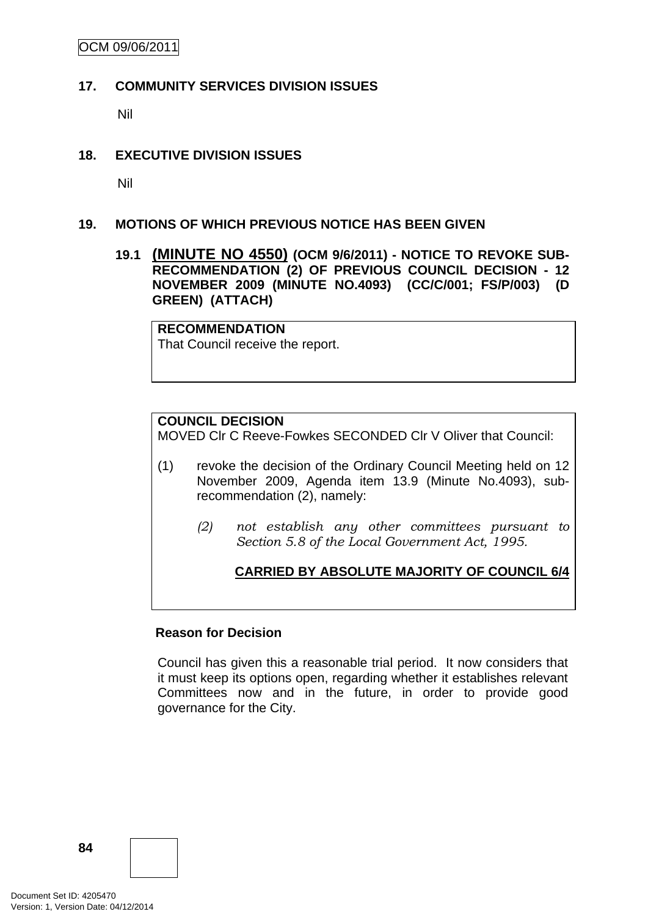OCM 09/06/2011

### **17. COMMUNITY SERVICES DIVISION ISSUES**

Nil

**18. EXECUTIVE DIVISION ISSUES** 

Nil

#### **19. MOTIONS OF WHICH PREVIOUS NOTICE HAS BEEN GIVEN**

**19.1 (MINUTE NO 4550) (OCM 9/6/2011) - NOTICE TO REVOKE SUB-RECOMMENDATION (2) OF PREVIOUS COUNCIL DECISION - 12 NOVEMBER 2009 (MINUTE NO.4093) (CC/C/001; FS/P/003) (D GREEN) (ATTACH)** 

**RECOMMENDATION** That Council receive the report.

**COUNCIL DECISION**  MOVED Clr C Reeve-Fowkes SECONDED Clr V Oliver that Council:

- (1) revoke the decision of the Ordinary Council Meeting held on 12 November 2009, Agenda item 13.9 (Minute No.4093), subrecommendation (2), namely:
	- *(2) not establish any other committees pursuant to Section 5.8 of the Local Government Act, 1995.*

#### **CARRIED BY ABSOLUTE MAJORITY OF COUNCIL 6/4**

#### **Reason for Decision**

Council has given this a reasonable trial period. It now considers that it must keep its options open, regarding whether it establishes relevant Committees now and in the future, in order to provide good governance for the City.

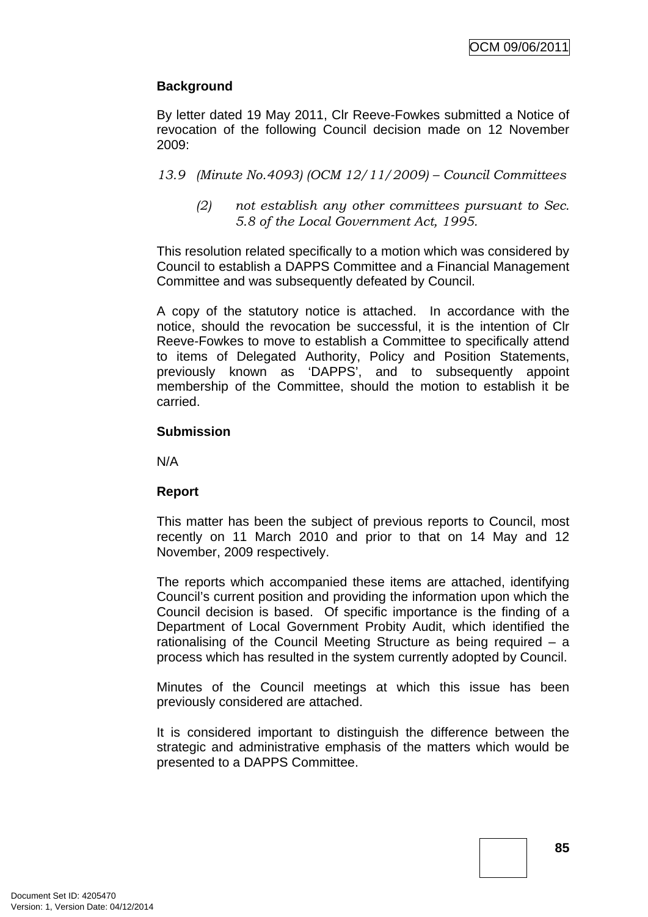# **Background**

By letter dated 19 May 2011, Clr Reeve-Fowkes submitted a Notice of revocation of the following Council decision made on 12 November 2009:

### *13.9 (Minute No.4093) (OCM 12/11/2009) – Council Committees*

*(2) not establish any other committees pursuant to Sec. 5.8 of the Local Government Act, 1995.*

This resolution related specifically to a motion which was considered by Council to establish a DAPPS Committee and a Financial Management Committee and was subsequently defeated by Council.

A copy of the statutory notice is attached. In accordance with the notice, should the revocation be successful, it is the intention of Clr Reeve-Fowkes to move to establish a Committee to specifically attend to items of Delegated Authority, Policy and Position Statements, previously known as 'DAPPS', and to subsequently appoint membership of the Committee, should the motion to establish it be carried.

### **Submission**

N/A

### **Report**

This matter has been the subject of previous reports to Council, most recently on 11 March 2010 and prior to that on 14 May and 12 November, 2009 respectively.

The reports which accompanied these items are attached, identifying Council's current position and providing the information upon which the Council decision is based. Of specific importance is the finding of a Department of Local Government Probity Audit, which identified the rationalising of the Council Meeting Structure as being required – a process which has resulted in the system currently adopted by Council.

Minutes of the Council meetings at which this issue has been previously considered are attached.

It is considered important to distinguish the difference between the strategic and administrative emphasis of the matters which would be presented to a DAPPS Committee.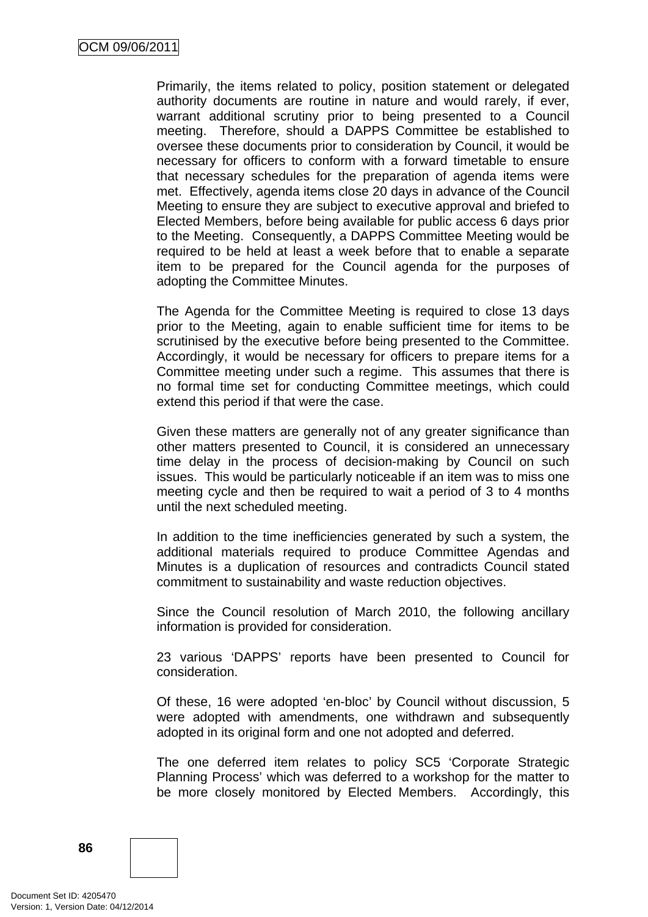Primarily, the items related to policy, position statement or delegated authority documents are routine in nature and would rarely, if ever, warrant additional scrutiny prior to being presented to a Council meeting. Therefore, should a DAPPS Committee be established to oversee these documents prior to consideration by Council, it would be necessary for officers to conform with a forward timetable to ensure that necessary schedules for the preparation of agenda items were met. Effectively, agenda items close 20 days in advance of the Council Meeting to ensure they are subject to executive approval and briefed to Elected Members, before being available for public access 6 days prior to the Meeting. Consequently, a DAPPS Committee Meeting would be required to be held at least a week before that to enable a separate item to be prepared for the Council agenda for the purposes of adopting the Committee Minutes.

The Agenda for the Committee Meeting is required to close 13 days prior to the Meeting, again to enable sufficient time for items to be scrutinised by the executive before being presented to the Committee. Accordingly, it would be necessary for officers to prepare items for a Committee meeting under such a regime. This assumes that there is no formal time set for conducting Committee meetings, which could extend this period if that were the case.

Given these matters are generally not of any greater significance than other matters presented to Council, it is considered an unnecessary time delay in the process of decision-making by Council on such issues. This would be particularly noticeable if an item was to miss one meeting cycle and then be required to wait a period of 3 to 4 months until the next scheduled meeting.

In addition to the time inefficiencies generated by such a system, the additional materials required to produce Committee Agendas and Minutes is a duplication of resources and contradicts Council stated commitment to sustainability and waste reduction objectives.

Since the Council resolution of March 2010, the following ancillary information is provided for consideration.

23 various 'DAPPS' reports have been presented to Council for consideration.

Of these, 16 were adopted 'en-bloc' by Council without discussion, 5 were adopted with amendments, one withdrawn and subsequently adopted in its original form and one not adopted and deferred.

The one deferred item relates to policy SC5 'Corporate Strategic Planning Process' which was deferred to a workshop for the matter to be more closely monitored by Elected Members. Accordingly, this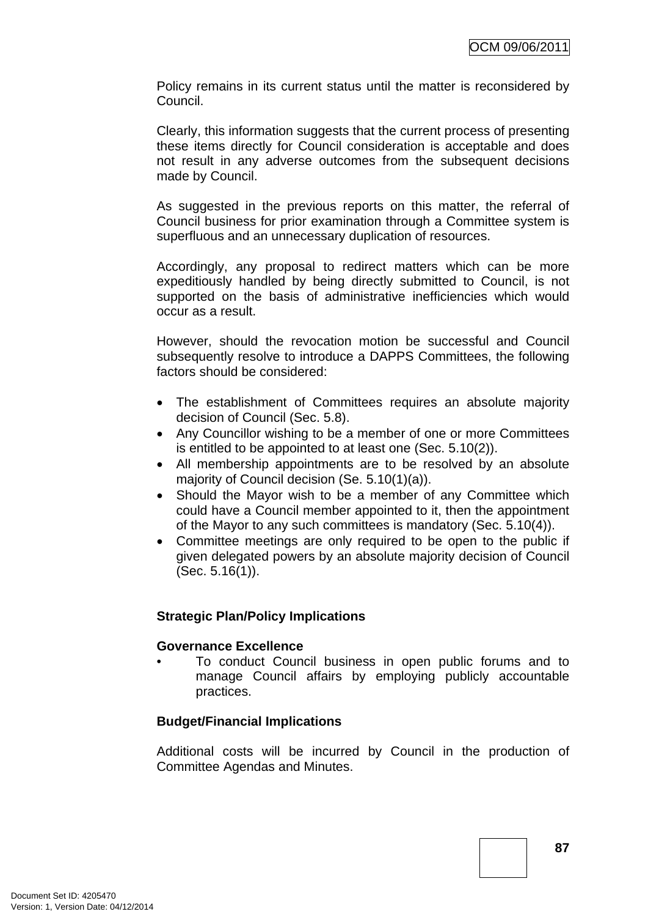Policy remains in its current status until the matter is reconsidered by Council.

Clearly, this information suggests that the current process of presenting these items directly for Council consideration is acceptable and does not result in any adverse outcomes from the subsequent decisions made by Council.

As suggested in the previous reports on this matter, the referral of Council business for prior examination through a Committee system is superfluous and an unnecessary duplication of resources.

Accordingly, any proposal to redirect matters which can be more expeditiously handled by being directly submitted to Council, is not supported on the basis of administrative inefficiencies which would occur as a result.

However, should the revocation motion be successful and Council subsequently resolve to introduce a DAPPS Committees, the following factors should be considered:

- The establishment of Committees requires an absolute majority decision of Council (Sec. 5.8).
- Any Councillor wishing to be a member of one or more Committees is entitled to be appointed to at least one (Sec. 5.10(2)).
- All membership appointments are to be resolved by an absolute majority of Council decision (Se. 5.10(1)(a)).
- Should the Mayor wish to be a member of any Committee which could have a Council member appointed to it, then the appointment of the Mayor to any such committees is mandatory (Sec. 5.10(4)).
- Committee meetings are only required to be open to the public if given delegated powers by an absolute majority decision of Council (Sec. 5.16(1)).

# **Strategic Plan/Policy Implications**

### **Governance Excellence**

• To conduct Council business in open public forums and to manage Council affairs by employing publicly accountable practices.

### **Budget/Financial Implications**

Additional costs will be incurred by Council in the production of Committee Agendas and Minutes.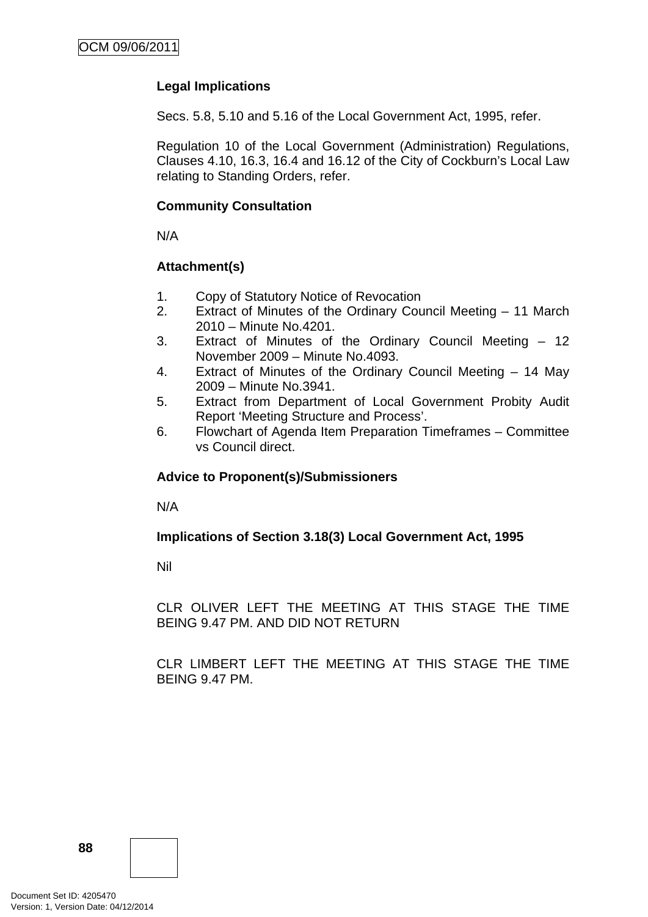# **Legal Implications**

Secs. 5.8, 5.10 and 5.16 of the Local Government Act, 1995, refer.

Regulation 10 of the Local Government (Administration) Regulations, Clauses 4.10, 16.3, 16.4 and 16.12 of the City of Cockburn's Local Law relating to Standing Orders, refer.

### **Community Consultation**

N/A

# **Attachment(s)**

- 1. Copy of Statutory Notice of Revocation
- 2. Extract of Minutes of the Ordinary Council Meeting 11 March 2010 – Minute No.4201.
- 3. Extract of Minutes of the Ordinary Council Meeting 12 November 2009 – Minute No.4093.
- 4. Extract of Minutes of the Ordinary Council Meeting 14 May 2009 – Minute No.3941.
- 5. Extract from Department of Local Government Probity Audit Report 'Meeting Structure and Process'.
- 6. Flowchart of Agenda Item Preparation Timeframes Committee vs Council direct.

# **Advice to Proponent(s)/Submissioners**

N/A

### **Implications of Section 3.18(3) Local Government Act, 1995**

Nil

CLR OLIVER LEFT THE MEETING AT THIS STAGE THE TIME BEING 9.47 PM. AND DID NOT RETURN

CLR LIMBERT LEFT THE MEETING AT THIS STAGE THE TIME BEING 9.47 PM.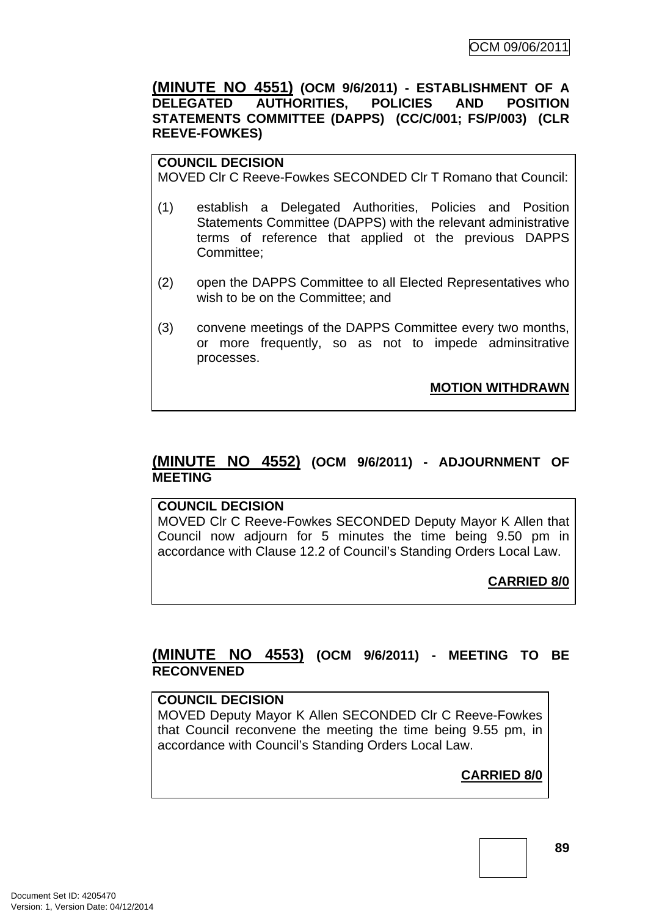### **(MINUTE NO 4551) (OCM 9/6/2011) - ESTABLISHMENT OF A DELEGATED AUTHORITIES, POLICIES AND POSITION STATEMENTS COMMITTEE (DAPPS) (CC/C/001; FS/P/003) (CLR REEVE-FOWKES)**

#### **COUNCIL DECISION**

MOVED Clr C Reeve-Fowkes SECONDED Clr T Romano that Council:

- (1) establish a Delegated Authorities, Policies and Position Statements Committee (DAPPS) with the relevant administrative terms of reference that applied ot the previous DAPPS Committee;
- (2) open the DAPPS Committee to all Elected Representatives who wish to be on the Committee; and
- (3) convene meetings of the DAPPS Committee every two months, or more frequently, so as not to impede adminsitrative processes.

**MOTION WITHDRAWN**

# **(MINUTE NO 4552) (OCM 9/6/2011) - ADJOURNMENT OF MEETING**

#### **COUNCIL DECISION**

MOVED Clr C Reeve-Fowkes SECONDED Deputy Mayor K Allen that Council now adjourn for 5 minutes the time being 9.50 pm in accordance with Clause 12.2 of Council's Standing Orders Local Law.

**CARRIED 8/0**

# **(MINUTE NO 4553) (OCM 9/6/2011) - MEETING TO BE RECONVENED**

#### **COUNCIL DECISION**

MOVED Deputy Mayor K Allen SECONDED Clr C Reeve-Fowkes that Council reconvene the meeting the time being 9.55 pm, in accordance with Council's Standing Orders Local Law.

**CARRIED 8/0**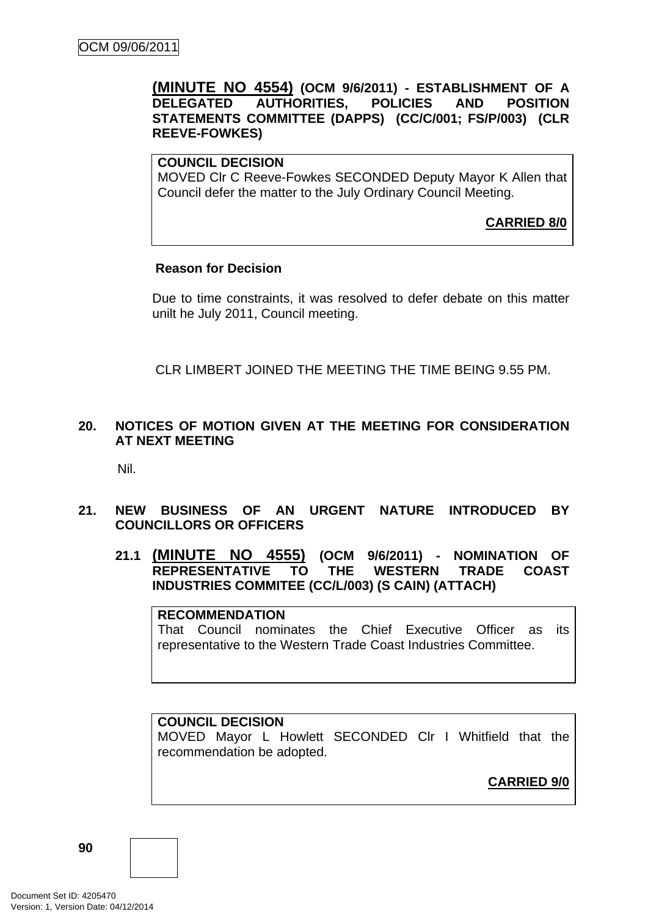# **(MINUTE NO 4554) (OCM 9/6/2011) - ESTABLISHMENT OF A DELEGATED AUTHORITIES, POLICIES AND POSITION STATEMENTS COMMITTEE (DAPPS) (CC/C/001; FS/P/003) (CLR REEVE-FOWKES)**

#### **COUNCIL DECISION**

MOVED Clr C Reeve-Fowkes SECONDED Deputy Mayor K Allen that Council defer the matter to the July Ordinary Council Meeting.

**CARRIED 8/0**

#### **Reason for Decision**

Due to time constraints, it was resolved to defer debate on this matter unilt he July 2011, Council meeting.

CLR LIMBERT JOINED THE MEETING THE TIME BEING 9.55 PM.

### **20. NOTICES OF MOTION GIVEN AT THE MEETING FOR CONSIDERATION AT NEXT MEETING**

Nil.

- **21. NEW BUSINESS OF AN URGENT NATURE INTRODUCED BY COUNCILLORS OR OFFICERS** 
	- **21.1 (MINUTE NO 4555) (OCM 9/6/2011) NOMINATION OF REPRESENTATIVE TO THE WESTERN TRADE COAST INDUSTRIES COMMITEE (CC/L/003) (S CAIN) (ATTACH)**

# **RECOMMENDATION**

That Council nominates the Chief Executive Officer as its representative to the Western Trade Coast Industries Committee.

### **COUNCIL DECISION**

MOVED Mayor L Howlett SECONDED Clr I Whitfield that the recommendation be adopted.

**CARRIED 9/0**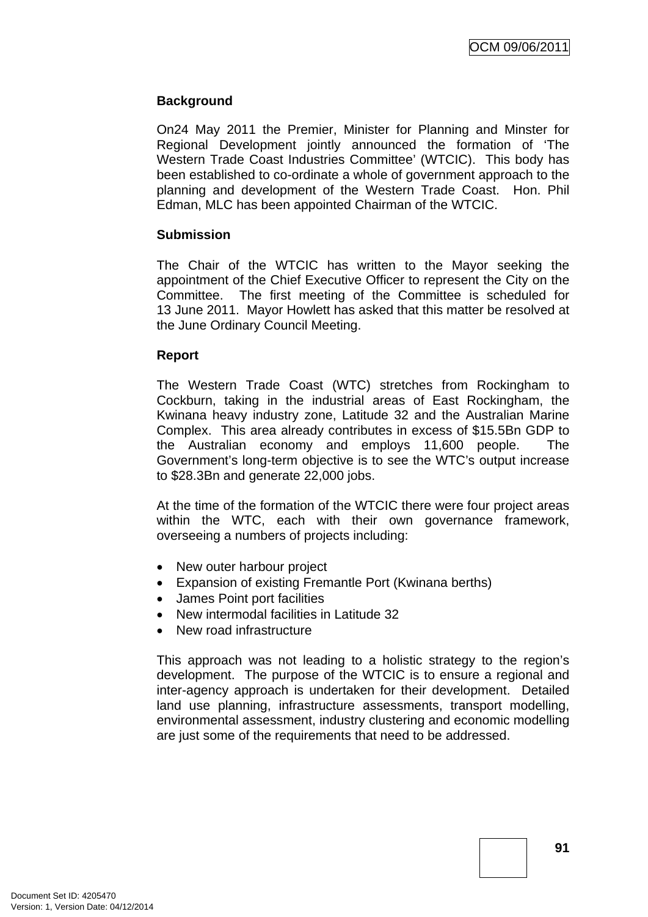### **Background**

On24 May 2011 the Premier, Minister for Planning and Minster for Regional Development jointly announced the formation of 'The Western Trade Coast Industries Committee' (WTCIC). This body has been established to co-ordinate a whole of government approach to the planning and development of the Western Trade Coast. Hon. Phil Edman, MLC has been appointed Chairman of the WTCIC.

### **Submission**

The Chair of the WTCIC has written to the Mayor seeking the appointment of the Chief Executive Officer to represent the City on the Committee. The first meeting of the Committee is scheduled for 13 June 2011. Mayor Howlett has asked that this matter be resolved at the June Ordinary Council Meeting.

### **Report**

The Western Trade Coast (WTC) stretches from Rockingham to Cockburn, taking in the industrial areas of East Rockingham, the Kwinana heavy industry zone, Latitude 32 and the Australian Marine Complex. This area already contributes in excess of \$15.5Bn GDP to the Australian economy and employs 11,600 people. The Government's long-term objective is to see the WTC's output increase to \$28.3Bn and generate 22,000 jobs.

At the time of the formation of the WTCIC there were four project areas within the WTC, each with their own governance framework, overseeing a numbers of projects including:

- New outer harbour project
- Expansion of existing Fremantle Port (Kwinana berths)
- James Point port facilities
- New intermodal facilities in Latitude 32
- New road infrastructure

This approach was not leading to a holistic strategy to the region's development. The purpose of the WTCIC is to ensure a regional and inter-agency approach is undertaken for their development. Detailed land use planning, infrastructure assessments, transport modelling, environmental assessment, industry clustering and economic modelling are just some of the requirements that need to be addressed.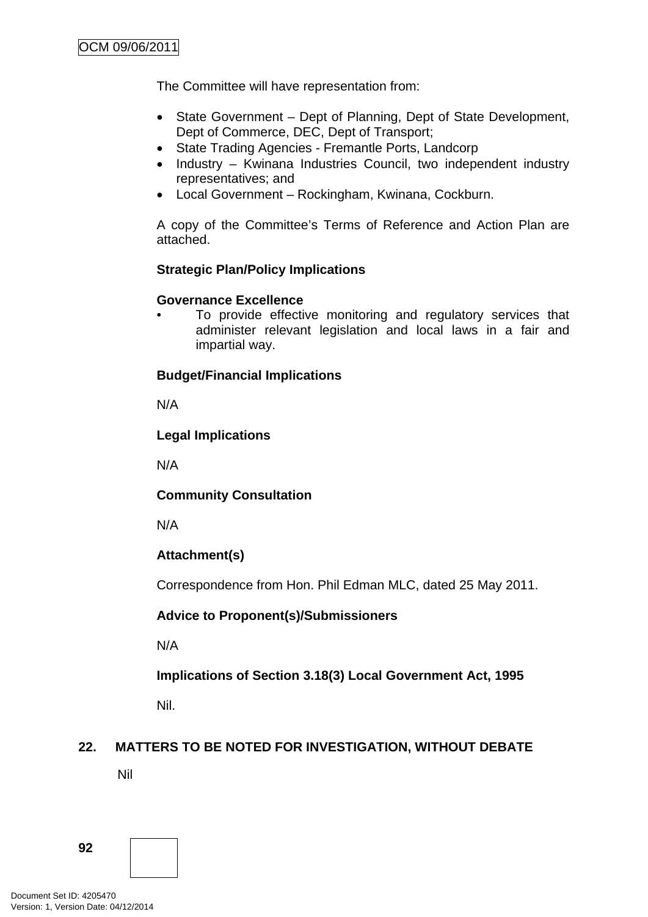The Committee will have representation from:

- State Government Dept of Planning, Dept of State Development, Dept of Commerce, DEC, Dept of Transport;
- State Trading Agencies Fremantle Ports, Landcorp
- Industry Kwinana Industries Council, two independent industry representatives; and
- Local Government Rockingham, Kwinana, Cockburn.

A copy of the Committee's Terms of Reference and Action Plan are attached.

# **Strategic Plan/Policy Implications**

### **Governance Excellence**

To provide effective monitoring and regulatory services that administer relevant legislation and local laws in a fair and impartial way.

# **Budget/Financial Implications**

N/A

# **Legal Implications**

N/A

**Community Consultation** 

N/A

# **Attachment(s)**

Correspondence from Hon. Phil Edman MLC, dated 25 May 2011.

# **Advice to Proponent(s)/Submissioners**

N/A

**Implications of Section 3.18(3) Local Government Act, 1995**

Nil.

# **22. MATTERS TO BE NOTED FOR INVESTIGATION, WITHOUT DEBATE**

Nil